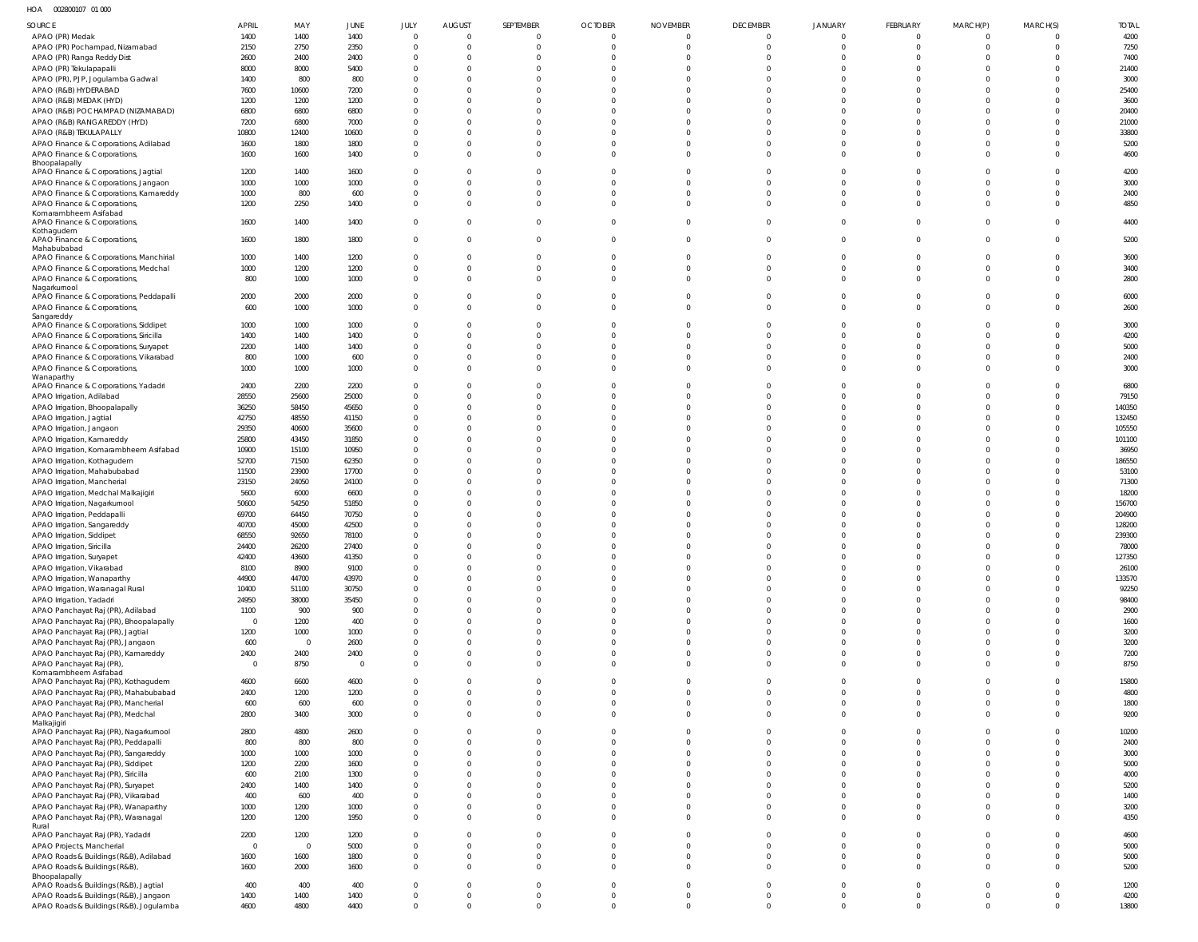HOA 002800107 01 000

| SOURCE                                                                          | <b>APRIL</b>   | MAY            | <b>JUNE</b>    | JULY                          | <b>AUGUST</b>        | SEPTEMBER                  | <b>OCTOBER</b>          | <b>NOVEMBER</b>         | <b>DECEMBER</b>                | <b>JANUARY</b>                 | <b>FEBRUARY</b>                  | MARCH(P)                         | MARCH(S)                   | <b>TOTAL</b>    |
|---------------------------------------------------------------------------------|----------------|----------------|----------------|-------------------------------|----------------------|----------------------------|-------------------------|-------------------------|--------------------------------|--------------------------------|----------------------------------|----------------------------------|----------------------------|-----------------|
| APAO (PR) Medak                                                                 | 1400           | 1400           | 1400           | $\overline{0}$                | $\mathbf 0$          | $\mathbf{0}$               | $\mathbf 0$             | 0                       | $\overline{0}$                 | $\overline{0}$                 | $\overline{0}$                   | $\overline{0}$                   | $\Omega$                   | 4200            |
| APAO (PR) Pochampad, Nizamabad                                                  | 2150           | 2750           | 2350           | $\overline{0}$                | $\Omega$             | $\overline{0}$             | $\mathbf 0$             | $\Omega$                | $\overline{0}$                 | $\overline{0}$                 | $\overline{0}$                   | $\overline{0}$                   | $\overline{0}$             | 7250            |
| APAO (PR) Ranga Reddy Dist                                                      | 2600           | 2400           | 2400           | $\overline{0}$                | $\Omega$             | $\Omega$                   | $\Omega$                |                         | $\overline{0}$                 | $\mathbf{0}$                   | $\overline{0}$                   | $\Omega$                         | $\Omega$                   | 7400            |
| APAO (PR) Tekulapapalli<br>APAO (PR), PJP, Jogulamba Gadwal                     | 8000<br>1400   | 8000<br>800    | 5400<br>800    | $\overline{0}$<br>$\mathbf 0$ | $\Omega$<br>$\Omega$ | $\Omega$<br>$\Omega$       | $\Omega$<br>$\Omega$    |                         | $\mathbf 0$<br>$\mathbf{0}$    | $\mathbf 0$<br>$\mathbf 0$     | $\mathbf 0$<br>$\mathbf 0$       | $\Omega$<br>$\Omega$             | $\Omega$<br>$\Omega$       | 21400<br>3000   |
| APAO (R&B) HYDERABAD                                                            | 7600           | 10600          | 7200           | $\mathbf 0$                   | $\Omega$             | $\Omega$                   | $\Omega$                |                         | $\mathbf 0$                    | $\mathbf 0$                    | $\mathbf 0$                      | $\Omega$                         | $\Omega$                   | 25400           |
| APAO (R&B) MEDAK (HYD)                                                          | 1200           | 1200           | 1200           | $\mathbf 0$                   | $\Omega$             | $\Omega$                   | $\Omega$                |                         | $\mathbf 0$                    | $\mathbf 0$                    | $\mathbf 0$                      | $\Omega$                         | $\Omega$                   | 3600            |
| APAO (R&B) POCHAMPAD (NIZAMABAD)                                                | 6800           | 6800           | 6800           | $\overline{0}$                | $\Omega$             | $\Omega$                   | $\Omega$                |                         | $\mathbf 0$                    | $\mathbf 0$                    | $\mathbf 0$                      | $\Omega$                         | $\Omega$                   | 20400           |
| APAO (R&B) RANGAREDDY (HYD)                                                     | 7200           | 6800           | 7000           | $\overline{0}$                | $\Omega$             | $\Omega$                   | $\Omega$                |                         | $\mathbf 0$                    | $\mathbf 0$                    | $\mathbf 0$                      | $\Omega$                         | $\Omega$                   | 21000           |
| APAO (R&B) TEKULAPALLY<br>APAO Finance & Corporations, Adilabad                 | 10800<br>1600  | 12400<br>1800  | 10600<br>1800  | $\mathbf 0$<br>$\mathbf 0$    | $\Omega$<br>$\Omega$ | $\Omega$<br>$\mathbf{0}$   | $\Omega$<br>$\Omega$    | $\Omega$                | $\mathbf 0$<br>$\overline{0}$  | $\mathbf 0$<br>$\mathbf 0$     | $\mathbf 0$<br>$\mathbf{0}$      | $\Omega$<br>$\Omega$             | $\Omega$<br>$\Omega$       | 33800<br>5200   |
| APAO Finance & Corporations,                                                    | 1600           | 1600           | 1400           | $\mathbf 0$                   | $\Omega$             | $\Omega$                   | $\Omega$                | $\Omega$                | $\mathbf 0$                    | $\mathbf 0$                    | $\mathbf 0$                      | $\Omega$                         | $\Omega$                   | 4600            |
| Bhoopalapally                                                                   |                |                |                |                               |                      |                            |                         |                         |                                |                                |                                  |                                  |                            |                 |
| APAO Finance & Corporations, Jagtial                                            | 1200           | 1400           | 1600           | $\overline{0}$                | $\Omega$<br>$\Omega$ | $\Omega$<br>$\Omega$       | $\Omega$<br>$\Omega$    |                         | $\overline{0}$                 | $\mathbf{0}$                   | $\overline{0}$                   | $\Omega$<br>$\Omega$             | $\Omega$                   | 4200            |
| APAO Finance & Corporations, Jangaon<br>APAO Finance & Corporations, Kamareddy  | 1000<br>1000   | 1000<br>800    | 1000<br>600    | $\overline{0}$<br>$\mathbf 0$ | $\Omega$             | $\Omega$                   | $\Omega$                |                         | $\mathbf 0$<br>$\mathbf 0$     | $\mathbf 0$<br>$\mathbf 0$     | $\mathbf{0}$<br>$\mathbf 0$      | $\Omega$                         | $\overline{0}$<br>$\Omega$ | 3000<br>2400    |
| APAO Finance & Corporations,                                                    | 1200           | 2250           | 1400           | $\mathbf 0$                   | $\Omega$             | $\mathbf 0$                | $\Omega$                | $\Omega$                | $\mathbf 0$                    | $\mathbf 0$                    | $\mathbf 0$                      | $\Omega$                         | $\overline{0}$             | 4850            |
| Komarambheem Asifabad                                                           |                |                |                |                               |                      |                            |                         |                         |                                |                                |                                  |                                  |                            |                 |
| APAO Finance & Corporations,<br>Kothagudem                                      | 1600           | 1400           | 1400           | $\mathbf 0$                   | $\Omega$             | $\mathbf 0$                | $\mathbf 0$             | $\Omega$                | $\overline{0}$                 | $\overline{0}$                 | $\mathbf{0}$                     | $\overline{0}$                   | $\Omega$                   | 4400            |
| APAO Finance & Corporations,                                                    | 1600           | 1800           | 1800           | $\mathbf 0$                   | $\mathbf{0}$         | $\mathbf 0$                | $\mathbf 0$             | $\Omega$                | $\overline{0}$                 | $\mathbf 0$                    | $\mathbf{0}$                     | $\overline{0}$                   | $\mathbf 0$                | 5200            |
| Mahabubabad<br>APAO Finance & Corporations, Manchirial                          | 1000           | 1400           | 1200           | $\mathbf 0$                   | $\Omega$             | $\mathbf{0}$               | $\mathbf 0$             | $\Omega$                | $\overline{0}$                 | $\mathbf{0}$                   | $\overline{0}$                   | $\overline{0}$                   | $\overline{0}$             | 3600            |
| APAO Finance & Corporations, Medchal                                            | 1000           | 1200           | 1200           | $\overline{0}$                | $\Omega$             | $\overline{0}$             | $\mathbf 0$             | $\Omega$                | $\overline{0}$                 | $\mathbf 0$                    | $\mathbf{0}$                     | $\overline{0}$                   | $\overline{0}$             | 3400            |
| APAO Finance & Corporations,                                                    | 800            | 1000           | 1000           | $\mathbf 0$                   | $\Omega$             | $\Omega$                   | $\Omega$                | $\Omega$                | $\overline{0}$                 | $\mathbf 0$                    | $\overline{0}$                   | $\Omega$                         | $\Omega$                   | 2800            |
| Nagarkurnool                                                                    |                |                |                |                               |                      |                            |                         |                         |                                |                                |                                  |                                  |                            |                 |
| APAO Finance & Corporations, Peddapalli<br>APAO Finance & Corporations,         | 2000<br>600    | 2000<br>1000   | 2000<br>1000   | $\mathbf 0$<br>$\mathbf 0$    | $\Omega$<br>$\Omega$ | $\mathbf 0$<br>$\Omega$    | $\mathbf 0$<br>$\Omega$ | $\Omega$                | $\mathbf{0}$<br>$\overline{0}$ | $\mathbf{0}$<br>$\overline{0}$ | $\overline{0}$<br>$\overline{0}$ | $\Omega$<br>$\Omega$             | $\Omega$<br>$\Omega$       | 6000<br>2600    |
| Sangareddy                                                                      |                |                |                |                               |                      |                            |                         |                         |                                |                                |                                  |                                  |                            |                 |
| APAO Finance & Corporations, Siddipet                                           | 1000           | 1000           | 1000           | $\overline{0}$                | $\Omega$             | $\Omega$                   | $\Omega$                |                         | $\mathbf 0$                    | $\mathbf 0$                    | $\mathbf 0$                      | $\Omega$                         | $\Omega$                   | 3000            |
| APAO Finance & Corporations, Siricilla                                          | 1400           | 1400           | 1400           | $\overline{0}$                | $\Omega$             | $\Omega$                   | $\Omega$                |                         | $\mathbf 0$                    | $\mathbf 0$                    | $\mathbf 0$                      | $\Omega$                         | $\Omega$                   | 4200            |
| APAO Finance & Corporations, Suryapet<br>APAO Finance & Corporations, Vikarabad | 2200<br>800    | 1400<br>1000   | 1400<br>600    | $\mathbf 0$<br>$\mathbf 0$    | $\Omega$<br>$\Omega$ | $\mathbf 0$<br>$\Omega$    | $\Omega$<br>$\Omega$    | $\Omega$<br>$\Omega$    | $\mathbf 0$<br>$\overline{0}$  | $\mathbf 0$<br>$\overline{0}$  | $\mathbf 0$<br>$\overline{0}$    | $\Omega$<br>$\Omega$             | $\overline{0}$<br>$\Omega$ | 5000<br>2400    |
| APAO Finance & Corporations,                                                    | 1000           | 1000           | 1000           | $\mathbf 0$                   | $\Omega$             | $\mathbf 0$                | $\Omega$                | $\Omega$                | $\mathbf 0$                    | $\mathbf 0$                    | $\mathbf 0$                      | $\Omega$                         | $\Omega$                   | 3000            |
| Wanaparthy                                                                      |                |                |                |                               |                      |                            |                         |                         |                                |                                |                                  |                                  |                            |                 |
| APAO Finance & Corporations, Yadadri                                            | 2400           | 2200           | 2200           | $\overline{0}$                | $\Omega$             | $\overline{0}$             | $\mathbf 0$             |                         | $\overline{0}$                 | $\mathbf 0$                    | $\overline{0}$                   | $\Omega$                         | $\Omega$                   | 6800            |
| APAO Irrigation, Adilabad<br>APAO Irrigation, Bhoopalapally                     | 28550<br>36250 | 25600<br>58450 | 25000<br>45650 | $\mathbf 0$<br>$\mathbf 0$    | $\Omega$<br>$\Omega$ | $\Omega$<br>$\Omega$       | $\Omega$<br>$\Omega$    |                         | $\mathbf 0$<br>$\mathbf{0}$    | $\mathbf 0$<br>$\mathbf 0$     | $\mathbf{0}$<br>$\mathbf 0$      | $\Omega$<br>$\Omega$             | $\Omega$<br>$\Omega$       | 79150<br>140350 |
| APAO Irrigation, Jagtial                                                        | 42750          | 48550          | 41150          | $\overline{0}$                | $\Omega$             | $\Omega$                   | $\Omega$                |                         | $\mathbf 0$                    | $\mathbf 0$                    | $\mathbf 0$                      | $\Omega$                         | $\Omega$                   | 132450          |
| APAO Irrigation, Jangaon                                                        | 29350          | 40600          | 35600          | $\mathbf 0$                   | $\Omega$             | $\Omega$                   | $\Omega$                |                         | $\mathbf 0$                    | $\mathbf{0}$                   | $\mathbf 0$                      | $\Omega$                         | $\Omega$                   | 105550          |
| APAO Irrigation, Kamareddy                                                      | 25800          | 43450          | 31850          | $\mathbf 0$                   | $\Omega$             | $\Omega$                   | $\Omega$                |                         | $\mathbf 0$                    | $\mathbf 0$                    | $\mathbf 0$                      | $\Omega$                         | $\Omega$                   | 101100          |
| APAO Irrigation, Komarambheem Asifabad                                          | 10900          | 15100          | 10950          | $\mathbf 0$                   | $\Omega$             | $\Omega$                   | $\Omega$                |                         | $\mathbf 0$                    | $\mathbf 0$                    | $\mathbf 0$                      | $\Omega$                         | $\Omega$                   | 36950           |
| APAO Irrigation, Kothagudem                                                     | 52700          | 71500<br>23900 | 62350          | $\mathbf{0}$<br>$\mathbf 0$   | $\Omega$<br>$\Omega$ | $\Omega$<br>$\Omega$       | $\Omega$<br>$\Omega$    |                         | $\mathbf 0$<br>$\mathbf 0$     | $\mathbf 0$<br>$\mathbf 0$     | $\mathbf 0$<br>$\mathbf 0$       | $\Omega$<br>$\Omega$             | $\Omega$<br>$\Omega$       | 186550<br>53100 |
| APAO Irrigation, Mahabubabad<br>APAO Irrigation, Mancherial                     | 11500<br>23150 | 24050          | 17700<br>24100 | $\Omega$                      | $\Omega$             | $\Omega$                   | $\Omega$                |                         | $\Omega$                       | $\mathbf 0$                    | $\mathbf 0$                      | $\Omega$                         | $\Omega$                   | 71300           |
| APAO Irrigation, Medchal Malkajigiri                                            | 5600           | 6000           | 6600           | $\mathbf 0$                   | $\Omega$             | $\Omega$                   | $\Omega$                |                         | $\mathbf 0$                    | $\mathbf 0$                    | $\mathbf 0$                      | $\Omega$                         | $\Omega$                   | 18200           |
| APAO Irrigation, Nagarkurnool                                                   | 50600          | 54250          | 51850          | $\Omega$                      | $\Omega$             | $\Omega$                   | $\Omega$                |                         | $\Omega$                       | $\Omega$                       | $\mathbf 0$                      | $\Omega$                         | $\Omega$                   | 156700          |
| APAO Irrigation, Peddapalli                                                     | 69700          | 64450          | 70750          | $\mathbf 0$                   | $\Omega$             | $\Omega$                   | $\Omega$                |                         | $\mathbf 0$                    | $\mathbf 0$                    | $\mathbf 0$                      | $\Omega$                         |                            | 204900          |
| APAO Irrigation, Sangareddy                                                     | 40700          | 45000          | 42500          | $\Omega$                      | $\Omega$<br>$\Omega$ | $\Omega$<br>$\Omega$       | $\Omega$<br>$\Omega$    | $\Omega$                | $\mathbf 0$                    | $\mathbf 0$                    | $\mathbf 0$                      | $\Omega$<br>$\Omega$             |                            | 128200          |
| APAO Irrigation, Siddipet<br>APAO Irrigation, Siricilla                         | 68550<br>24400 | 92650<br>26200 | 78100<br>27400 | $\mathbf 0$<br>$\cap$         |                      |                            |                         |                         | $\mathbf 0$                    | $\mathbf 0$<br>$\cap$          | $\mathbf 0$<br>$\cap$            |                                  | $\Omega$                   | 239300<br>78000 |
| APAO Irrigation, Suryapet                                                       | 42400          | 43600          | 41350          | $\mathbf 0$                   | $\Omega$             |                            |                         |                         | $\mathbf 0$                    | $\mathbf 0$                    | $\mathbf 0$                      | $\Omega$                         |                            | 127350          |
| APAO Irrigation, Vikarabad                                                      | 8100           | 8900           | 9100           | $\mathbf 0$                   | $\mathbf 0$          | $\mathbf 0$                | $\mathbf 0$             | $\Omega$                | $\overline{0}$                 | $\overline{0}$                 | $\overline{0}$                   | $\overline{0}$                   | $\Omega$                   | 26100           |
| APAO Irrigation, Wanaparthy                                                     | 44900          | 44700          | 43970          | $\mathbf 0$                   | $\Omega$             | $\Omega$                   | $\Omega$                | $\Omega$                | $\mathbf 0$                    | $\mathbf 0$                    | $\overline{0}$                   | $\overline{0}$                   | $\Omega$                   | 133570          |
| APAO Irrigation, Waranagal Rural                                                | 10400          | 51100          | 30750          | $\mathbf 0$                   | $\Omega$             | $\mathbf 0$                | $\Omega$                | $\Omega$                | $\mathbf 0$                    | $\mathbf 0$                    | $\mathbf 0$                      | $\Omega$                         | $\Omega$                   | 92250           |
| APAO Irrigation, Yadadri<br>APAO Panchayat Raj (PR), Adilabad                   | 24950<br>1100  | 38000<br>900   | 35450<br>900   | $\mathbf 0$<br>$\mathbf 0$    | $\Omega$<br>$\Omega$ | $\mathbf 0$<br>$\mathbf 0$ | $\Omega$<br>$\Omega$    | $\Omega$<br>$\Omega$    | $\mathbf 0$<br>$\mathbf 0$     | $\mathbf 0$<br>$\mathbf 0$     | $\mathbf 0$<br>$\mathbf 0$       | $\overline{0}$<br>$\overline{0}$ | $\Omega$<br>$\Omega$       | 98400<br>2900   |
| APAO Panchayat Raj (PR), Bhoopalapally                                          | $\overline{0}$ | 1200           | 400            | $\mathbf 0$                   | $\Omega$             | $\mathbf 0$                | $\Omega$                | $\Omega$                | $\mathbf 0$                    | $\mathbf 0$                    | $\mathbf 0$                      | $\overline{0}$                   | $\Omega$                   | 1600            |
| APAO Panchayat Raj (PR), Jagtial                                                | 1200           | 1000           | 1000           | $\mathbf 0$                   | $\Omega$             | $\Omega$                   | $\Omega$                | $\Omega$                | $\mathbf 0$                    | $\mathbf 0$                    | $\mathbf 0$                      | $\overline{0}$                   | $\Omega$                   | 3200            |
| APAO Panchayat Raj (PR), Jangaon                                                | 600            | $\overline{0}$ | 2600           | $\mathbf 0$                   | $\Omega$             | $\mathbf 0$                | $\Omega$                | $\Omega$                | $\mathbf 0$                    | $\mathbf 0$                    | $\overline{0}$                   | $\overline{0}$                   | $\Omega$                   | 3200            |
| APAO Panchayat Raj (PR), Kamareddy                                              | 2400           | 2400           | 2400           | $\mathbf 0$                   | $\Omega$             | $\mathbf 0$                | $\Omega$                | $\Omega$                | $\mathbf 0$                    | $\mathbf 0$                    | $\overline{0}$                   | $\overline{0}$                   | $\Omega$                   | 7200            |
| APAO Panchayat Raj (PR)<br>Komarambheem Asifabad                                | $\overline{0}$ | 8750           | $\overline{0}$ | $\mathbf 0$                   | $\Omega$             | $\mathbf 0$                | $\Omega$                | $\Omega$                | $\mathbf 0$                    | $\overline{0}$                 | $\overline{0}$                   | $\overline{0}$                   | $\Omega$                   | 8750            |
| APAO Panchayat Raj (PR), Kothagudem                                             | 4600           | 6600           | 4600           | $\mathbf 0$                   | $\Omega$             | $\mathbf 0$                | $\Omega$                | $\Omega$                | $\mathbf{0}$                   | $\mathbf{0}$                   | $\overline{0}$                   | $\Omega$                         | $\Omega$                   | 15800           |
| APAO Panchayat Raj (PR), Mahabubabad                                            | 2400           | 1200           | 1200           | $\mathbf 0$                   | $\mathbf 0$          | $\mathbf 0$                | $\mathbf 0$             | $\Omega$                | $\overline{0}$                 | $\overline{0}$                 | $\overline{0}$                   | $\overline{0}$                   | $\Omega$                   | 4800            |
| APAO Panchayat Raj (PR), Mancherial                                             | 600            | 600            | 600            | $\mathbf 0$<br>$\mathbf 0$    | $\Omega$<br>$\Omega$ | $\mathbf{0}$<br>$\Omega$   | $\mathbf 0$<br>$\Omega$ | $\mathbf 0$<br>$\Omega$ | $\overline{0}$                 | $\mathbf 0$                    | $\overline{0}$                   | $\overline{0}$<br>$\Omega$       | $\mathbf 0$<br>$\Omega$    | 1800            |
| APAO Panchayat Raj (PR), Medchal<br>Malkajigiri                                 | 2800           | 3400           | 3000           |                               |                      |                            |                         |                         | $\overline{0}$                 | $\overline{0}$                 | $\overline{0}$                   |                                  |                            | 9200            |
| APAO Panchayat Raj (PR), Nagarkurnool                                           | 2800           | 4800           | 2600           | $\mathbf 0$                   | $\Omega$             | $\mathbf 0$                | $\Omega$                | $\Omega$                | $\mathbf{0}$                   | $\mathbf{0}$                   | $\mathbf{0}$                     | $\Omega$                         | $\Omega$                   | 10200           |
| APAO Panchayat Raj (PR), Peddapalli                                             | 800            | 800            | 800            | $\mathbf 0$                   | $\Omega$             | $\mathbf{0}$               | $\Omega$                | $\Omega$                | $\mathbf 0$                    | $\mathbf 0$                    | $\overline{0}$                   | $\overline{0}$                   | $\Omega$                   | 2400            |
| APAO Panchayat Raj (PR), Sangareddy                                             | 1000           | 1000           | 1000           | $\mathbf 0$<br>$\mathbf 0$    | $\Omega$<br>$\Omega$ | $\mathbf 0$<br>$\Omega$    | $\Omega$<br>$\Omega$    | $\Omega$<br>$\Omega$    | $\mathbf 0$<br>$\mathbf 0$     | $\mathbf 0$<br>$\mathbf 0$     | $\mathbf 0$<br>$\mathbf 0$       | $\overline{0}$<br>$\overline{0}$ | $\Omega$<br>$\Omega$       | 3000            |
| APAO Panchayat Raj (PR), Siddipet<br>APAO Panchayat Raj (PR), Siricilla         | 1200<br>600    | 2200<br>2100   | 1600<br>1300   | $\mathbf 0$                   | $\Omega$             | $\Omega$                   | $\Omega$                | $\Omega$                | $\Omega$                       | $\mathbf 0$                    | $\Omega$                         | $\Omega$                         | $\Omega$                   | 5000<br>4000    |
| APAO Panchayat Raj (PR), Suryapet                                               | 2400           | 1400           | 1400           | $\mathbf 0$                   | $\Omega$             | $\Omega$                   | $\Omega$                | $\Omega$                | $\mathbf 0$                    | $\mathbf 0$                    | $\mathbf 0$                      | $\overline{0}$                   | $\Omega$                   | 5200            |
| APAO Panchayat Raj (PR), Vikarabad                                              | 400            | 600            | 400            | $\mathbf 0$                   | $\Omega$             | $\mathbf{0}$               | $\Omega$                | $\Omega$                | $\mathbf 0$                    | $\mathbf 0$                    | $\mathbf 0$                      | $\overline{0}$                   | $\Omega$                   | 1400            |
| APAO Panchayat Raj (PR), Wanaparthy                                             | 1000           | 1200           | 1000           | $\mathbf 0$                   | $\mathbf{0}$         | $\mathbf{0}$               | $\mathbf 0$             | $\mathbf 0$             | $\overline{0}$                 | $\mathbf 0$                    | $\overline{0}$                   | $\overline{0}$                   | $\mathbf 0$                | 3200            |
| APAO Panchayat Raj (PR), Waranagal<br>Rural                                     | 1200           | 1200           | 1950           | $\mathbf 0$                   | $\Omega$             | $\mathbf{0}$               | $\Omega$                | $\mathbf 0$             | $\mathbf 0$                    | $\mathbf 0$                    | $\overline{0}$                   | $\overline{0}$                   | $\Omega$                   | 4350            |
| APAO Panchayat Raj (PR), Yadadri                                                | 2200           | 1200           | 1200           | $\mathbf 0$                   | $\Omega$             | $\mathbf{0}$               | $\mathbf 0$             | $\mathbf 0$             | $\overline{0}$                 | $\mathbf 0$                    | $\mathbf{0}$                     | $\overline{0}$                   | $\Omega$                   | 4600            |
| APAO Projects, Mancherial                                                       | $\overline{0}$ | $\overline{0}$ | 5000           | $\mathbf 0$                   | $\Omega$             | $\mathbf{0}$               | $\mathbf 0$             | $\Omega$                | $\overline{0}$                 | $\overline{0}$                 | $\overline{0}$                   | $\overline{0}$                   | $\Omega$                   | 5000            |
| APAO Roads & Buildings (R&B), Adilabad                                          | 1600           | 1600           | 1800           | $\mathbf 0$                   | $\mathbf 0$          | $\mathbf{0}$               | $\mathbf 0$             | $\mathbf 0$             | $\overline{0}$                 | $\mathbf 0$                    | $\overline{0}$                   | $\overline{0}$                   | $\mathbf 0$                | 5000            |
| APAO Roads & Buildings (R&B),<br>Bhoopalapally                                  | 1600           | 2000           | 1600           | $\mathbf 0$                   | $\Omega$             | $\mathbf{0}$               | $\mathbf 0$             | $\mathbf 0$             | $\overline{0}$                 | $\overline{0}$                 | $\overline{0}$                   | $\overline{0}$                   | $\Omega$                   | 5200            |
| APAO Roads & Buildings (R&B), Jagtial                                           | 400            | 400            | 400            | $\mathbf 0$                   | $\mathbf{0}$         | $\mathbf{0}$               | $\mathbf 0$             | $\mathbf 0$             | $\overline{0}$                 | $\mathbf 0$                    | $\overline{0}$                   | $\overline{0}$                   | $\Omega$                   | 1200            |
| APAO Roads & Buildings (R&B), Jangaon                                           | 1400           | 1400           | 1400           | $\mathbf 0$                   | $\mathbf{0}$         | $\overline{0}$             | $\pmb{0}$               | $\mathbf 0$             | $\overline{0}$                 | $\mathbf 0$                    | $\mathbf 0$                      | $\mathbf 0$                      | $\mathbf 0$                | 4200            |
| APAO Roads & Buildings (R&B), Jogulamba                                         | 4600           | 4800           | 4400           | $\mathbf 0$                   | $\Omega$             | $\mathbf{0}$               | $\mathbf{0}$            | $\mathbf 0$             | $\overline{0}$                 | $\mathbf 0$                    | $\mathbf 0$                      | $\overline{0}$                   | $\Omega$                   | 13800           |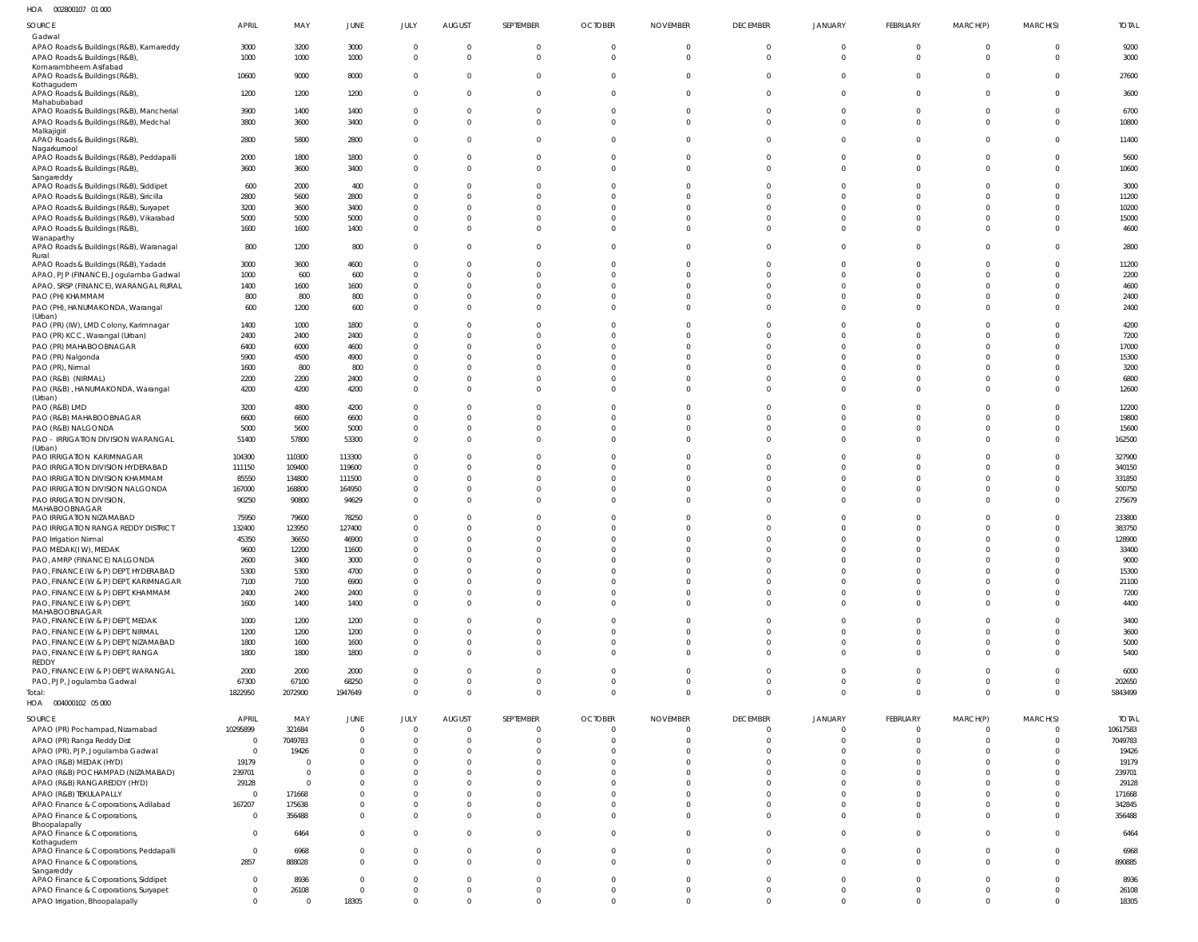002800107 01 000 HOA

| $\cdot$                                      |                |          |                     |                |               |                |                |                 |                 |                |                |                |                |              |
|----------------------------------------------|----------------|----------|---------------------|----------------|---------------|----------------|----------------|-----------------|-----------------|----------------|----------------|----------------|----------------|--------------|
| SOURCE                                       | APRIL          | MAY      | JUNE                | JULY           | <b>AUGUST</b> | SEPTEMBER      | <b>OCTOBER</b> | <b>NOVEMBER</b> | <b>DECEMBER</b> | JANUARY        | FEBRUARY       | MARCH(P)       | MARCH(S)       | <b>TOTAL</b> |
| Gadwal                                       |                |          |                     |                |               |                |                |                 |                 |                |                |                |                |              |
| APAO Roads & Buildings (R&B), Kamareddy      | 3000           | 3200     | 3000                | $\Omega$       | $\Omega$      | $\mathbf{0}$   | $\mathbf{0}$   | $\mathbf 0$     | $\mathbf{0}$    | $\mathbf{0}$   | $\overline{0}$ | $\overline{0}$ | $\overline{0}$ | 9200         |
| APAO Roads & Buildings (R&B)                 | 1000           | 1000     | 1000                | $\mathbf 0$    | $\Omega$      | $\Omega$       | $\Omega$       | $\Omega$        | $\overline{0}$  | $\overline{0}$ | $\mathbf{0}$   | $\Omega$       | $\Omega$       | 3000         |
| Komarambheem Asifabad                        |                |          |                     |                |               |                |                |                 |                 |                |                |                |                |              |
| APAO Roads & Buildings (R&B),                | 10600          | 9000     | 8000                | $\mathbf{0}$   | $\Omega$      | $\mathbf{0}$   | $\mathbf 0$    | $\mathbf{0}$    | $\overline{0}$  | $\mathbf 0$    | $\mathbf 0$    | $\Omega$       | $\overline{0}$ | 27600        |
| Kothagudem                                   |                |          |                     | $\mathbf{0}$   | $\Omega$      | $\mathbf{0}$   | $\mathbf 0$    | $\Omega$        | $\overline{0}$  | $\mathbf 0$    | $\Omega$       | $\Omega$       | $\Omega$       |              |
| APAO Roads & Buildings (R&B),<br>Mahabubabad | 1200           | 1200     | 1200                |                |               |                |                |                 |                 |                |                |                |                | 3600         |
| APAO Roads & Buildings (R&B), Mancherial     | 3900           | 1400     | 1400                | $\mathbf 0$    |               | $\mathbf{0}$   | $\mathbf{0}$   | $\Omega$        | $\mathbf 0$     | 0              | $\Omega$       | $\Omega$       | $\mathbf 0$    | 6700         |
| APAO Roads & Buildings (R&B), Medchal        | 3800           | 3600     | 3400                | $\overline{0}$ | $\Omega$      | $\Omega$       | $\Omega$       | $\Omega$        | $\Omega$        | $\Omega$       | $\Omega$       | $\Omega$       | $\Omega$       | 10800        |
| Malkajigiri                                  |                |          |                     |                |               |                |                |                 |                 |                |                |                |                |              |
| APAO Roads & Buildings (R&B),                | 2800           | 5800     | 2800                | $\Omega$       | $\Omega$      | $\Omega$       | $\Omega$       | $\Omega$        | $\Omega$        | $\Omega$       | $\Omega$       | $\Omega$       | $\Omega$       | 11400        |
| Nagarkurnool                                 |                |          |                     |                |               |                |                |                 |                 |                |                |                |                |              |
| APAO Roads & Buildings (R&B), Peddapalli     | 2000           | 1800     | 1800                | $\Omega$       | $\Omega$      | $\mathbf 0$    | $\mathbf 0$    | $\Omega$        | $\Omega$        | $\mathbf 0$    | $\Omega$       | $\Omega$       | $\Omega$       | 5600         |
| APAO Roads & Buildings (R&B),                | 3600           | 3600     | 3400                | $\Omega$       | $\Omega$      | $\mathbf{0}$   | $\Omega$       | $\Omega$        | $\Omega$        | $\Omega$       | $\Omega$       | $\Omega$       | $\Omega$       | 10600        |
| Sangareddy                                   |                |          |                     |                |               |                |                |                 |                 |                |                |                |                |              |
| APAO Roads & Buildings (R&B), Siddipet       | 600            | 2000     | 400                 | $\Omega$       |               | $\Omega$       | $\Omega$       | 0               | $\Omega$        | $\Omega$       | $\Omega$       | $\Omega$       | $\Omega$       | 3000         |
| APAO Roads & Buildings (R&B), Siricilla      | 2800           | 5600     | 2800                | $\Omega$       |               | $\Omega$       | $\Omega$       |                 | $\Omega$        | $\Omega$       | $\Omega$       |                | $\Omega$       | 11200        |
| APAO Roads & Buildings (R&B), Suryapet       | 3200           | 3600     | 3400                | $\Omega$       |               | $\Omega$       | $\Omega$       | <sup>0</sup>    | $\Omega$        | $\Omega$       | $\Omega$       | $\Omega$       | $\Omega$       | 10200        |
| APAO Roads & Buildings (R&B), Vikarabad      | 5000           | 5000     | 5000                | $\mathbf 0$    |               | $\Omega$       | $\Omega$       | $\Omega$        | $\Omega$        | $\Omega$       | $\Omega$       | $\Omega$       | $\Omega$       | 15000        |
| APAO Roads & Buildings (R&B),                | 1600           | 1600     | 1400                | $\Omega$       | $\Omega$      | $\Omega$       | $\Omega$       | $\Omega$        | $\Omega$        | $\Omega$       | $\Omega$       | $\Omega$       | $\Omega$       | 4600         |
| Wanaparthy                                   |                |          |                     |                |               |                |                |                 |                 |                |                |                |                |              |
| APAO Roads & Buildings (R&B), Waranagal      | 800            | 1200     | 800                 | $\Omega$       | $\Omega$      | $\Omega$       | $\Omega$       | $\Omega$        | $\Omega$        | $\Omega$       | $\Omega$       | $\Omega$       | $\Omega$       | 2800         |
| Rural                                        |                |          |                     |                |               |                |                |                 |                 |                |                |                |                |              |
| APAO Roads & Buildings (R&B), Yadadri        | 3000           | 3600     | 4600                | $\mathbf 0$    |               | $\Omega$       | $\mathbf{0}$   |                 | $\mathbf 0$     | 0              | $\Omega$       | $\Omega$       | $\Omega$       | 11200        |
| APAO, PJP (FINANCE), Jogulamba Gadwal        | 1000           | 600      | 600                 | $\mathbf 0$    |               | $\Omega$       | $\Omega$       | $\Omega$        | $\Omega$        | $\Omega$       | $\Omega$       | $\Omega$       | $\Omega$       | 2200         |
| APAO, SRSP (FINANCE), WARANGAL RURAL         | 1400           | 1600     | 1600                | $\mathbf 0$    | $\Omega$      | $\Omega$       | $\Omega$       | 0               | $\Omega$        | $\Omega$       | $\Omega$       | $\Omega$       | $\Omega$       | 4600         |
| PAO (PH) KHAMMAM                             | 800            | 800      | 800                 | $\mathbf 0$    | $\Omega$      | $\Omega$       | $\Omega$       | $\Omega$        | $\Omega$        | $\mathbf 0$    | $\mathbf 0$    | $\Omega$       | $\Omega$       | 2400         |
| PAO (PH), HANUMAKONDA, Warangal              | 600            | 1200     | 600                 | $\mathbf{0}$   | $\Omega$      | $\Omega$       | $\Omega$       | $\Omega$        | $\Omega$        | $\Omega$       | $\Omega$       | $\Omega$       | $\Omega$       | 2400         |
| (Urban)                                      |                |          |                     |                |               |                |                |                 |                 |                |                |                |                |              |
| PAO (PR) (IW), LMD Colony, Karimnagar        | 1400           | 1000     | 1800                | $\mathbf 0$    |               | $\Omega$       | $\Omega$       |                 | $\Omega$        | $\Omega$       | $\Omega$       | $\Omega$       | $\Omega$       | 4200         |
| PAO (PR) KCC, Warangal (Urban)               | 2400           | 2400     | 2400                | $\mathbf 0$    | $\Omega$      | $\Omega$       | $\Omega$       |                 | $\Omega$        | $\Omega$       | $\Omega$       | $\Omega$       | $\Omega$       | 7200         |
| PAO (PR) MAHABOOBNAGAR                       | 6400           | 6000     | 4600                | $\mathbf 0$    |               | $\Omega$       | $\Omega$       |                 | $\Omega$        | $\Omega$       | $\Omega$       | $\Omega$       | $\Omega$       | 17000        |
| PAO (PR) Nalgonda                            | 5900           | 4500     | 4900                | $\mathbf 0$    | $\Omega$      | $\Omega$       | $\Omega$       |                 | $\Omega$        | $\Omega$       | $\Omega$       | $\Omega$       | $\Omega$       | 15300        |
| PAO (PR), Nirmal                             | 1600           | 800      | 800                 | $\mathbf 0$    |               | $\Omega$       | $\Omega$       |                 | $\Omega$        | $\Omega$       | $\Omega$       |                | $\Omega$       | 3200         |
| PAO (R&B) (NIRMAL)                           | 2200           | 2200     | 2400                | $\mathbf 0$    | $\Omega$      | $\Omega$       | $\Omega$       | $\Omega$        | $\Omega$        | $\mathbf 0$    | $\mathbf 0$    | $\Omega$       | $\Omega$       | 6800         |
| PAO (R&B), HANUMAKONDA, Warangal             | 4200           | 4200     | 4200                | $\Omega$       | $\Omega$      | $\Omega$       | $\Omega$       | $\Omega$        | $\Omega$        | $\Omega$       | $\Omega$       | $\Omega$       | $\Omega$       | 12600        |
| (Urban)                                      |                |          |                     |                |               |                |                |                 |                 |                |                |                |                |              |
| PAO (R&B) LMD                                | 3200           | 4800     | 4200                | $\mathbf 0$    |               | $\Omega$       | $\Omega$       |                 | $\Omega$        | $\Omega$       | $\Omega$       | $\Omega$       | $\Omega$       | 12200        |
| PAO (R&B) MAHABOOBNAGAR                      | 6600           | 6600     | 6600                | $\mathbf{0}$   | $\Omega$      | $\Omega$       | $\Omega$       | $\Omega$        | $\Omega$        | $\Omega$       | $\Omega$       | $\Omega$       | $\mathbf 0$    | 19800        |
| PAO (R&B) NALGONDA                           | 5000           | 5600     | 5000                | $\mathbf 0$    | $\Omega$      | $\mathbf 0$    | $\mathbf 0$    | $\Omega$        | $\mathbf 0$     | $\mathbf 0$    | $\mathbf 0$    | $\Omega$       | $\Omega$       | 15600        |
| PAO - IRRIGATION DIVISION WARANGAL           | 51400          | 57800    | 53300               | $\mathbf 0$    | $\Omega$      | $\Omega$       | $\Omega$       | $\Omega$        | $\Omega$        | $\Omega$       | $\Omega$       | $\Omega$       | $\Omega$       | 162500       |
| (Urban)                                      |                |          |                     |                |               |                |                |                 |                 |                |                |                |                |              |
| PAO IRRIGATION KARIMNAGAR                    | 104300         | 110300   | 113300              | 0              |               | $\Omega$       | $\Omega$       | <sup>0</sup>    | $\Omega$        | $\Omega$       | $\Omega$       | $\Omega$       | $\Omega$       | 327900       |
| PAO IRRIGATION DIVISION HYDERABAD            | 111150         | 109400   | 119600              | $\mathbf 0$    | $\Omega$      | $\Omega$       | $\Omega$       |                 | $\Omega$        | $\Omega$       | $\Omega$       |                | $\Omega$       | 340150       |
| PAO IRRIGATION DIVISION KHAMMAM              | 85550          | 134800   | 111500              | $\mathbf 0$    |               | $\Omega$       | $\Omega$       | 0               | $\Omega$        | $\Omega$       | $\Omega$       | $\Omega$       | $\Omega$       | 331850       |
| PAO IRRIGATION DIVISION NALGONDA             | 167000         | 168800   | 164950              | $\mathbf 0$    |               | $\Omega$       | $\Omega$       | $\Omega$        | $\Omega$        | $\mathbf 0$    | $\mathbf 0$    | $\Omega$       | $\Omega$       | 500750       |
|                                              | 90250          | 90800    |                     | $\mathbf 0$    | $\Omega$      | $\Omega$       | $\Omega$       | $\Omega$        | $\Omega$        | $\Omega$       | $\Omega$       | $\Omega$       | $\Omega$       | 275679       |
| PAO IRRIGATION DIVISION,<br>MAHABOOBNAGAR    |                |          | 94629               |                |               |                |                |                 |                 |                |                |                |                |              |
| PAO IRRIGATION NIZAMABAD                     | 75950          | 79600    | 78250               | $\mathbf 0$    | $\Omega$      | $\Omega$       | $\Omega$       | $\Omega$        | $\Omega$        | $\Omega$       | $\Omega$       |                | $\Omega$       | 233800       |
| PAO IRRIGATION RANGA REDDY DISTRICT          | 132400         | 123950   | 127400              | $\Omega$       | $\Omega$      | $\Omega$       | $\Omega$       | <sup>0</sup>    | $\mathbf 0$     | $\Omega$       | $\mathbf 0$    | $\Omega$       |                | 383750       |
| PAO Irrigation Nirmal                        | 45350          | 36650    | 46900               | $\Omega$       | $\Omega$      | $\Omega$       | $\Omega$       | $\Omega$        | $\Omega$        | $\Omega$       | $\Omega$       | $\Omega$       | $\Omega$       | 128900       |
|                                              |                |          |                     |                |               |                |                |                 |                 |                |                |                |                |              |
| PAO MEDAK(IW), MEDAK                         | 9600           | 12200    | 11600               | $\Omega$       |               | 0              | 0              |                 | $\Omega$        | $\Omega$       | 0              | - 0            | -0             | 33400        |
| PAO, AMRP (FINANCE) NALGONDA                 | 2600           | 3400     | 3000                | $\mathbf 0$    | $\Omega$      | $\Omega$       | $\Omega$       | $\Omega$        | $\mathbf 0$     | $\mathbf 0$    | $\mathbf 0$    | $\Omega$       | $\Omega$       | 9000         |
| PAO, FINANCE (W & P) DEPT, HYDERABAD         | 5300           | 5300     | 4700                | $\mathbf 0$    | $\Omega$      | $\Omega$       | $\Omega$       | $\Omega$        | $\mathbf 0$     | $\mathbf 0$    | $\mathbf 0$    | $\Omega$       | $\Omega$       | 15300        |
| PAO, FINANCE (W & P) DEPT, KARIMNAGAR        | 7100           | 7100     | 6900                | $\mathbf 0$    | $\Omega$      | $\Omega$       | $\Omega$       | $\Omega$        | $\Omega$        | $\mathbf 0$    | $\Omega$       | $\Omega$       | $\Omega$       | 21100        |
| PAO, FINANCE (W & P) DEPT, KHAMMAM           | 2400           | 2400     | 2400                | $\mathbf 0$    | $\Omega$      | $\overline{0}$ | $\Omega$       | $\Omega$        | $\mathbf 0$     | $\mathbf 0$    | $\mathbf 0$    | $\Omega$       | $\Omega$       | 7200         |
| PAO, FINANCE (W & P) DEPT,                   | 1600           | 1400     | 1400                | $\mathbf 0$    | $\Omega$      | $\overline{0}$ | $\Omega$       | $\Omega$        | $\mathbf 0$     | $\mathbf 0$    | $\mathbf 0$    | $\Omega$       | $\Omega$       | 4400         |
| MAHABOOBNAGAR                                |                |          |                     |                |               |                |                |                 |                 |                |                |                |                |              |
| PAO, FINANCE (W & P) DEPT, MEDAK             | 1000           | 1200     | 1200                | 0              | $\Omega$      | $\Omega$       | $\Omega$       | $\Omega$        | $\overline{0}$  | $\mathbf 0$    | $\overline{0}$ | $\overline{0}$ | $\mathbf 0$    | 3400         |
| PAO, FINANCE (W & P) DEPT, NIRMAL            | 1200           | 1200     | 1200                | $\mathbf 0$    | $\Omega$      | $\Omega$       | $\Omega$       | $\Omega$        | $\mathbf 0$     | $\mathbf 0$    | $\mathbf 0$    | $\Omega$       | $\mathbf 0$    | 3600         |
| PAO, FINANCE (W & P) DEPT, NIZAMABAD         | 1800           | 1600     | 1600                | $\mathbf{0}$   | $\Omega$      | $\mathbf 0$    | $\Omega$       | $\Omega$        | $\mathbf 0$     | $\mathbf 0$    | $\mathbf 0$    | $\Omega$       | $\Omega$       | 5000         |
| PAO, FINANCE (W & P) DEPT, RANGA             | 1800           | 1800     | 1800                | $\mathbf{0}$   | $\Omega$      | $\overline{0}$ | $\overline{0}$ | $\Omega$        | $\mathbf 0$     | $\overline{0}$ | $\mathbf 0$    | $\Omega$       | $\overline{0}$ | 5400         |
| REDDY                                        |                |          |                     |                |               |                |                |                 |                 |                |                |                |                |              |
| PAO, FINANCE (W & P) DEPT, WARANGAL          | 2000           | 2000     | 2000                | $\mathbf 0$    | $\Omega$      | $\overline{0}$ | $\Omega$       | $\Omega$        | $\mathbf 0$     | $\overline{0}$ | $\mathbf 0$    | $\overline{0}$ | $\Omega$       | 6000         |
| PAO, PJP, Jogulamba Gadwal                   | 67300          | 67100    | 68250               | $\mathbf 0$    | $\Omega$      | $\overline{0}$ | $\mathbf 0$    | $\Omega$        | $\mathbf 0$     | $\overline{0}$ | $\mathbf 0$    | $\Omega$       | $\overline{0}$ | 202650       |
| Total:                                       | 1822950        | 2072900  | 1947649             | $\mathbf 0$    | $\Omega$      | $\overline{0}$ | $\overline{0}$ | $\mathbf 0$     | $\mathbf 0$     | $\overline{0}$ | $\mathbf{0}$   | $\Omega$       | $\Omega$       | 5843499      |
| HOA  004000102  05  000                      |                |          |                     |                |               |                |                |                 |                 |                |                |                |                |              |
|                                              |                |          |                     |                |               |                |                |                 |                 |                |                |                |                |              |
| SOURCE                                       | APRIL          | MAY      | JUNE<br>$\mathbf 0$ | JULY           | <b>AUGUST</b> | SEPTEMBER      | <b>OCTOBER</b> | <b>NOVEMBER</b> | <b>DECEMBER</b> | JANUARY        | FEBRUARY       | MARCH(P)       | MARCH(S)       | <b>TOTAL</b> |
| APAO (PR) Pochampad, Nizamabad               | 10295899       | 321684   |                     | $\overline{0}$ | $\Omega$      | $\mathbf{0}$   | $\overline{0}$ | $\overline{0}$  | $^{\circ}$      | $\overline{0}$ | $^{\circ}$     | $\overline{0}$ | $\overline{0}$ | 10617583     |
| APAO (PR) Ranga Reddy Dist                   | 0              | 7049783  | $\mathbf 0$         | $\mathbf 0$    | $\Omega$      | $\overline{0}$ | $\overline{0}$ | $\Omega$        | $\mathbf{0}$    | $\mathbf 0$    | $\mathbf 0$    | $\overline{0}$ | $\overline{0}$ | 7049783      |
| APAO (PR), PJP, Jogulamba Gadwal             | $\Omega$       | 19426    | $\mathbf 0$         | $\mathbf{0}$   | $\Omega$      | $\overline{0}$ | $\Omega$       | $\Omega$        | $\mathbf 0$     | $\mathbf 0$    | $\mathbf 0$    | $\overline{0}$ | $\Omega$       | 19426        |
| APAO (R&B) MEDAK (HYD)                       | 19179          |          | $\Omega$            | $\mathbf 0$    | $\Omega$      | $\Omega$       | $\Omega$       | $\Omega$        | $\Omega$        | $\mathbf 0$    | $\mathbf 0$    | $\Omega$       | $\Omega$       | 19179        |
| APAO (R&B) POCHAMPAD (NIZAMABAD)             | 239701         | $\Omega$ | $\Omega$            | $\mathbf 0$    | $\Omega$      | $\Omega$       | $\Omega$       | $\Omega$        | $\Omega$        | $\Omega$       | $\Omega$       | $\Omega$       | $\Omega$       | 239701       |
| APAO (R&B) RANGAREDDY (HYD)                  | 29128          | $\Omega$ | $\Omega$            | $\mathbf 0$    | $\Omega$      | $\Omega$       | $\Omega$       | $\Omega$        | $\mathbf 0$     | $\mathbf 0$    | $\mathbf 0$    | $\Omega$       | $\mathbf 0$    | 29128        |
| APAO (R&B) TEKULAPALLY                       | $\Omega$       | 171668   | $\Omega$            | $\mathbf 0$    | $\Omega$      | $\Omega$       | $\Omega$       | $\Omega$        | $\Omega$        | $\Omega$       | $\Omega$       | $\Omega$       | $\Omega$       | 171668       |
| APAO Finance & Corporations, Adilabad        | 167207         | 175638   | 0                   | $\mathbf{0}$   | $\Omega$      | $\mathbf{0}$   | $\Omega$       | $\Omega$        | $\mathbf 0$     | $\mathbf 0$    | $\mathbf 0$    | $\overline{0}$ | $\overline{0}$ | 342845       |
| APAO Finance & Corporations,                 | $\Omega$       | 356488   | $\mathbf 0$         | $\mathbf 0$    | $\Omega$      | $\overline{0}$ | $\Omega$       | $\Omega$        | $\mathbf 0$     | $\mathbf 0$    | $\mathbf{0}$   | $\Omega$       | $\mathbf{0}$   | 356488       |
| Bhoopalapally                                |                |          |                     |                |               |                |                |                 |                 |                |                |                |                |              |
| APAO Finance & Corporations,                 | $\Omega$       | 6464     | $\mathbf 0$         | $\mathbf 0$    | $\Omega$      | $\overline{0}$ | $\Omega$       | $\Omega$        | $\mathbf 0$     | $\overline{0}$ | $\mathbf{0}$   | $\Omega$       | $\Omega$       | 6464         |
| Kothagudem                                   |                |          |                     |                |               |                |                |                 |                 |                |                |                |                |              |
| APAO Finance & Corporations, Peddapalli      | $\overline{0}$ | 6968     | $\mathbf 0$         | $\mathbf{0}$   | $\Omega$      | $\overline{0}$ | $\overline{0}$ | $\mathbf{0}$    | $\mathbf 0$     | $\overline{0}$ | $\mathbf{0}$   | $\overline{0}$ | $\overline{0}$ | 6968         |
| APAO Finance & Corporations,                 | 2857           | 888028   | $\mathbf 0$         | $\mathbf{0}$   | $\Omega$      | $\overline{0}$ | $\Omega$       | $\Omega$        | $\mathbf{0}$    | $\overline{0}$ | $\mathbf{0}$   | $\Omega$       | $\Omega$       | 890885       |
| Sangareddy                                   |                |          |                     |                |               |                |                |                 |                 |                |                |                |                |              |
| APAO Finance & Corporations, Siddipet        | $\Omega$       | 8936     | $\mathbf 0$         | $\overline{0}$ | $\Omega$      | $\overline{0}$ | $\Omega$       | $\Omega$        | $\mathbf 0$     | $\overline{0}$ | $\mathbf{0}$   | $\overline{0}$ | $\overline{0}$ | 8936         |
| APAO Finance & Corporations, Suryapet        | 0              | 26108    | $\mathbf 0$         | $\mathbf 0$    | $\mathbf{0}$  | $\overline{0}$ | $\overline{0}$ | $\mathbf{0}$    | $\mathbf 0$     | $\overline{0}$ | $\mathbf 0$    | $\overline{0}$ | $\overline{0}$ | 26108        |
| APAO Irrigation, Bhoopalapally               | $\Omega$       |          | 18305               | $\mathbf 0$    | $\Omega$      | $\overline{0}$ | $\overline{0}$ | $\mathbf{0}$    | $\mathbf 0$     | $\overline{0}$ | $\mathbf 0$    | $\overline{0}$ | $\mathbf{0}$   | 18305        |
|                                              |                |          |                     |                |               |                |                |                 |                 |                |                |                |                |              |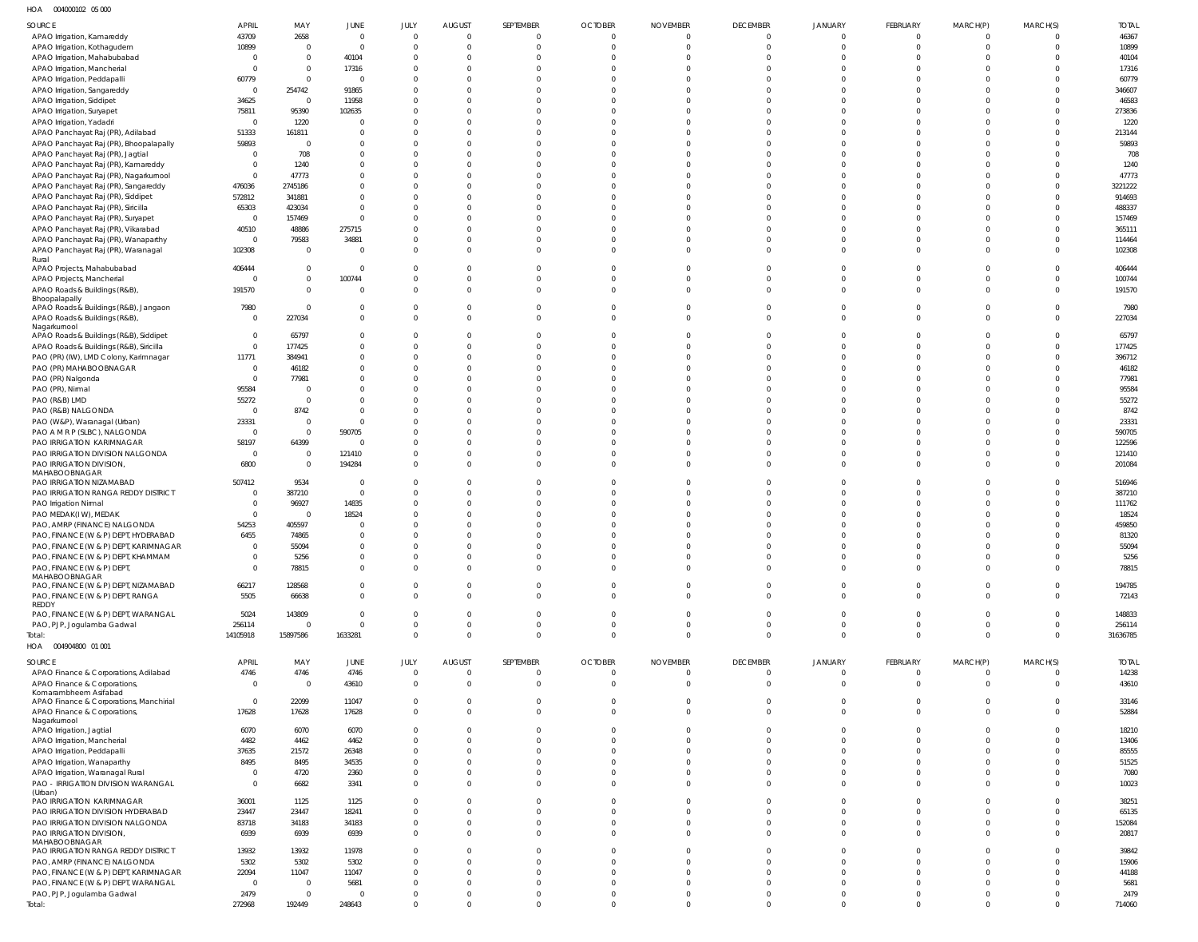004000102 05 000 HOA

| SOURCE                                                                     | APRIL                      | MAY                              | JUNE                             | JULY                 | <b>AUGUST</b>                  | SEPTEMBER                  | <b>OCTOBER</b>             | <b>NOVEMBER</b>            | <b>DECEMBER</b>      | <b>JANUARY</b>       | FEBRUARY                         | MARCH(P)                   | MARCH(S)             | <b>TOTAL</b>     |
|----------------------------------------------------------------------------|----------------------------|----------------------------------|----------------------------------|----------------------|--------------------------------|----------------------------|----------------------------|----------------------------|----------------------|----------------------|----------------------------------|----------------------------|----------------------|------------------|
| APAO Irrigation, Kamareddy                                                 | 43709                      | 2658                             | $\overline{0}$                   | $\overline{0}$       | $\overline{0}$                 | 0                          | $\overline{0}$             | $\overline{0}$             | $\Omega$             | $\Omega$             | $\overline{0}$                   | $\Omega$                   | 0                    | 46367            |
| APAO Irrigation, Kothagudem                                                | 10899                      | $\overline{0}$                   | $\overline{0}$                   | $\Omega$             | $\overline{0}$                 | $\Omega$                   | $\overline{0}$             | $\Omega$                   | $\Omega$             | $\Omega$             | $\overline{0}$                   | $\Omega$                   | $\overline{0}$       | 10899            |
| APAO Irrigation, Mahabubabad                                               | $\overline{0}$<br>$\Omega$ | $\overline{0}$<br>$\overline{0}$ | 40104                            | $\Omega$<br>$\Omega$ | $\Omega$<br>$\Omega$           | $\Omega$                   | $\Omega$<br>$\Omega$       |                            | $\Omega$             |                      | $\Omega$<br>$\Omega$             | $\Omega$<br>$\Omega$       | $\Omega$             | 40104            |
| APAO Irrigation, Mancherial<br>APAO Irrigation, Peddapalli                 | 60779                      | $\mathbf 0$                      | 17316<br>$\overline{0}$          | $\Omega$             | $\Omega$                       | $\Omega$<br>$\Omega$       | $\Omega$                   |                            |                      |                      | $\Omega$                         | $\Omega$                   | $\Omega$<br>$\Omega$ | 17316<br>60779   |
| APAO Irrigation, Sangareddy                                                | 0                          | 254742                           | 91865                            | $\Omega$             | $\Omega$                       | $\Omega$                   | $\Omega$                   |                            |                      |                      | $\Omega$                         | $\Omega$                   | $\Omega$             | 346607           |
| APAO Irrigation, Siddipet                                                  | 34625                      | $\overline{0}$                   | 11958                            | $\Omega$             | $\Omega$                       | $\Omega$                   | $\Omega$                   |                            |                      |                      | $\Omega$                         | $\Omega$                   | $\Omega$             | 46583            |
| APAO Irrigation, Suryapet                                                  | 75811                      | 95390                            | 102635                           | $\Omega$             | $\Omega$                       | $\Omega$                   | $\Omega$                   |                            |                      |                      | $\Omega$                         |                            | $\Omega$             | 273836           |
| APAO Irrigation, Yadadri                                                   | $\overline{0}$             | 1220                             | $\mathbf 0$                      | $\Omega$             | $\Omega$                       | $\Omega$                   | $\Omega$                   |                            |                      |                      | $\Omega$                         | $\Omega$                   | $\Omega$             | 1220             |
| APAO Panchayat Raj (PR), Adilabad                                          | 51333                      | 161811                           | $\overline{0}$                   | $\Omega$             | $\Omega$                       | $\Omega$                   | $\Omega$                   |                            |                      |                      | $\Omega$                         | $\Omega$                   | $\Omega$             | 213144           |
| APAO Panchayat Raj (PR), Bhoopalapally<br>APAO Panchayat Raj (PR), Jagtial | 59893<br>$\Omega$          | $\overline{0}$<br>708            | $\mathbf 0$<br>$\mathbf{0}$      | $\Omega$<br>$\Omega$ | $\Omega$<br>$\Omega$           | $\Omega$<br>$\Omega$       | $\Omega$<br>$\Omega$       |                            |                      |                      | $\Omega$<br>$\Omega$             | $\Omega$<br>$\Omega$       | $\Omega$<br>$\Omega$ | 59893<br>708     |
| APAO Panchayat Raj (PR), Kamareddy                                         | $\Omega$                   | 1240                             | $\overline{0}$                   | $\Omega$             | $\Omega$                       | $\Omega$                   | $\Omega$                   |                            |                      |                      | $\Omega$                         | $\Omega$                   | $\Omega$             | 1240             |
| APAO Panchayat Raj (PR), Nagarkurnool                                      | $\Omega$                   | 47773                            | $\mathbf 0$                      | $\Omega$             | $\Omega$                       | $\Omega$                   | $\Omega$                   |                            |                      |                      | $\Omega$                         | $\Omega$                   | $\Omega$             | 47773            |
| APAO Panchayat Raj (PR), Sangareddy                                        | 476036                     | 2745186                          | $\mathbf 0$                      | $\Omega$             | $\Omega$                       | $\Omega$                   | $\Omega$                   |                            |                      |                      | $\Omega$                         | $\Omega$                   | $\Omega$             | 3221222          |
| APAO Panchayat Raj (PR), Siddipet                                          | 572812                     | 341881                           | $\mathbf 0$                      | $\Omega$             | $\Omega$                       | $\Omega$                   | $\Omega$                   |                            |                      |                      | $\Omega$                         |                            | $\Omega$             | 914693           |
| APAO Panchayat Raj (PR), Siricilla                                         | 65303                      | 423034                           | $\mathbf 0$                      | $\Omega$             | $\Omega$                       | $\Omega$                   | $\Omega$                   |                            |                      |                      | $\Omega$                         | <sup>n</sup>               | $\Omega$             | 488337           |
| APAO Panchayat Raj (PR), Suryapet                                          | $\overline{0}$             | 157469                           | $\mathbf 0$                      | $\Omega$             | $\Omega$                       | $\Omega$                   | $\Omega$                   | $\Omega$                   |                      |                      | $\Omega$                         | $\Omega$                   | $\Omega$             | 157469           |
| APAO Panchayat Raj (PR), Vikarabad<br>APAO Panchayat Raj (PR), Wanaparthy  | 40510<br>$\overline{0}$    | 48886<br>79583                   | 275715<br>34881                  | $\Omega$<br>$\Omega$ | $\Omega$<br>$\Omega$           | $\Omega$<br>$\Omega$       | $\Omega$<br>$\Omega$       | $\Omega$                   |                      |                      | $\Omega$<br>$\Omega$             | $\Omega$<br>$\Omega$       | $\Omega$<br>$\Omega$ | 365111<br>114464 |
| APAO Panchayat Raj (PR), Waranagal                                         | 102308                     | $\overline{0}$                   | $\overline{0}$                   | $\Omega$             | $\Omega$                       | $\Omega$                   | $\Omega$                   | $\Omega$                   | $\Omega$             | $\Omega$             | $\Omega$                         | $\Omega$                   | $\Omega$             | 102308           |
| Rural                                                                      |                            |                                  |                                  |                      |                                |                            |                            |                            |                      |                      |                                  |                            |                      |                  |
| APAO Projects, Mahabubabad                                                 | 406444                     | $\overline{0}$                   | $\overline{0}$                   | $\Omega$             | $\Omega$                       | $\Omega$                   | $\Omega$                   | $\Omega$                   |                      |                      | $\Omega$                         | $\Omega$                   | $\Omega$             | 406444           |
| APAO Projects, Mancherial                                                  | $\Omega$                   | $\overline{0}$                   | 100744                           | $\Omega$             | $\overline{0}$                 | $\Omega$                   | $\Omega$                   | $\Omega$                   |                      |                      | $\Omega$                         | $\Omega$                   | $\Omega$             | 100744           |
| APAO Roads & Buildings (R&B),<br>Bhoopalapally                             | 191570                     | $\overline{0}$                   | $\overline{0}$                   | $\Omega$             | $\Omega$                       | $\Omega$                   | $\Omega$                   | $\Omega$                   | $\Omega$             | $\Omega$             | $\mathbf 0$                      | $\Omega$                   | $\Omega$             | 191570           |
| APAO Roads & Buildings (R&B), Jangaon                                      | 7980                       | $\overline{0}$                   | $\overline{0}$                   | $\Omega$             | $\overline{0}$                 | $\mathbf{0}$               | $\Omega$                   | $\Omega$                   | $\Omega$             | $\Omega$             | $\mathbf 0$                      | $\Omega$                   | 0                    | 7980             |
| APAO Roads & Buildings (R&B),                                              | $\overline{0}$             | 227034                           | $\overline{0}$                   | $\Omega$             | $\overline{0}$                 | $\Omega$                   | $\Omega$                   | $\Omega$                   | $\Omega$             | $\Omega$             | $\overline{0}$                   | $\Omega$                   | $\Omega$             | 227034           |
| Nagarkurnool<br>APAO Roads & Buildings (R&B), Siddipet                     | $\overline{0}$             | 65797                            | $\overline{0}$                   | $\Omega$             | $\overline{0}$                 | $\Omega$                   | $\Omega$                   | $\Omega$                   |                      |                      | 0                                | $\Omega$                   | $\Omega$             | 65797            |
| APAO Roads & Buildings (R&B), Siricilla                                    | $\overline{0}$             | 177425                           | $\mathbf 0$                      | $\Omega$             | $\Omega$                       | $\Omega$                   | $\Omega$                   | $\Omega$                   | $\cap$               |                      | $\Omega$                         | $\Omega$                   | $\Omega$             | 177425           |
| PAO (PR) (IW), LMD Colony, Karimnagar                                      | 11771                      | 384941                           | $\mathbf 0$                      | $\Omega$             | $\Omega$                       | $\Omega$                   | $\Omega$                   |                            |                      |                      | $\Omega$                         | $\Omega$                   | $\Omega$             | 396712           |
| PAO (PR) MAHABOOBNAGAR                                                     | $\overline{0}$             | 46182                            | $\mathbf 0$                      | $\Omega$             | $\Omega$                       | $\Omega$                   | $\Omega$                   |                            |                      |                      | $\Omega$                         | $\Omega$                   | $\Omega$             | 46182            |
| PAO (PR) Nalgonda                                                          | $\Omega$                   | 77981                            | $\overline{0}$                   | $\Omega$             | $\Omega$                       | $\Omega$                   | $\Omega$                   |                            |                      |                      | $\Omega$                         | $\Omega$                   | $\Omega$             | 77981            |
| PAO (PR), Nirmal                                                           | 95584                      | $\overline{0}$                   | $\mathbf{0}$                     | $\Omega$             | $\Omega$                       | $\Omega$                   | $\Omega$                   |                            |                      |                      | $\Omega$                         | $\Omega$                   | $\Omega$             | 95584            |
| PAO (R&B) LMD                                                              | 55272                      | $\overline{0}$                   | $\overline{0}$                   | $\Omega$             | $\Omega$                       | $\Omega$                   | $\Omega$                   |                            |                      |                      | $\Omega$                         | $\Omega$                   | $\Omega$             | 55272            |
| PAO (R&B) NALGONDA<br>PAO (W&P), Waranagal (Urban)                         | $\Omega$<br>23331          | 8742<br>$\overline{0}$           | $\mathbf 0$<br>$\overline{0}$    | $\Omega$<br>$\Omega$ | $\Omega$<br>$\Omega$           | $\Omega$<br>$\Omega$       | $\Omega$<br>$\Omega$       |                            |                      |                      | $\Omega$<br>$\Omega$             | $\Omega$<br>$\Omega$       | $\Omega$<br>$\Omega$ | 8742<br>23331    |
| PAO A M R P (SLBC), NALGONDA                                               | $\overline{0}$             | $\overline{0}$                   | 590705                           | $\Omega$             | $\Omega$                       | $\Omega$                   | $\Omega$                   |                            |                      |                      | $\Omega$                         | $\Omega$                   | $\Omega$             | 590705           |
| PAO IRRIGATION KARIMNAGAR                                                  | 58197                      | 64399                            | $\overline{0}$                   | $\Omega$             | $\Omega$                       | $\Omega$                   | $\Omega$                   |                            |                      |                      | $\Omega$                         | $\Omega$                   | $\Omega$             | 122596           |
| PAO IRRIGATION DIVISION NALGONDA                                           | $\overline{0}$             | $\overline{0}$                   | 121410                           | $\Omega$             | $\mathbf{0}$                   | $\Omega$                   | $\Omega$                   | $\Omega$                   | $\Omega$             |                      | $\Omega$                         | $\Omega$                   | $\Omega$             | 121410           |
| PAO IRRIGATION DIVISION,                                                   | 6800                       | $\overline{0}$                   | 194284                           | $\Omega$             | $\Omega$                       | $\Omega$                   | $\Omega$                   | $\Omega$                   | $\Omega$             | $\Omega$             | $\Omega$                         | $\Omega$                   | $\Omega$             | 201084           |
| MAHABOOBNAGAR                                                              | 507412                     | 9534                             | $\overline{0}$                   | $\Omega$             | $\Omega$                       | $\Omega$                   | $\Omega$                   |                            |                      |                      | $\Omega$                         |                            | $\Omega$             | 516946           |
| PAO IRRIGATION NIZAMABAD<br>PAO IRRIGATION RANGA REDDY DISTRICT            | 0                          | 387210                           | $\overline{0}$                   | $\Omega$             | $\Omega$                       | $\Omega$                   | $\Omega$                   |                            |                      |                      | $\Omega$                         | $\Omega$                   | $\Omega$             | 387210           |
| PAO Irrigation Nirmal                                                      | $\Omega$                   | 96927                            | 14835                            | $\Omega$             | $\Omega$                       | $\Omega$                   | $\Omega$                   |                            |                      |                      | $\Omega$                         | $\Omega$                   | $\Omega$             | 111762           |
| PAO MEDAK(IW), MEDAK                                                       | $\Omega$                   | - 0                              | 18524                            | $\Omega$             | $\Omega$                       | $\Omega$                   | $\Omega$                   |                            |                      |                      | $\Omega$                         |                            | $\Omega$             | 18524            |
| PAO, AMRP (FINANCE) NALGONDA                                               | 54253                      | 405597                           | $\overline{0}$                   | $\Omega$             | $\Omega$                       |                            | $\Omega$                   |                            |                      |                      | $\Omega$                         |                            |                      | 459850           |
| PAO, FINANCE (W & P) DEPT, HYDERABAD                                       | 6455                       | 74865                            | $\mathbf 0$                      | $\Omega$             | $\Omega$                       | $\Omega$                   | $\Omega$                   | $\Omega$                   |                      |                      | $\Omega$                         | $\Omega$                   | $\Omega$             | 81320            |
| PAO, FINANCE (W & P) DEPT, KARIMNAGAR                                      | $\cap$                     | 55094                            | $\Omega$                         | $\Omega$             | $\Omega$                       |                            |                            |                            |                      |                      |                                  |                            |                      | 55094            |
| PAO, FINANCE (W & P) DEPT, KHAMMAM<br>PAO, FINANCE (W & P) DEPT,           | 0<br>$\Omega$              | 5256<br>78815                    | $\overline{0}$<br>$\overline{0}$ | $\Omega$<br>$\Omega$ | $\mathbf{0}$<br>$\overline{0}$ | $\Omega$<br>$\overline{0}$ | $\Omega$<br>$\overline{0}$ | $\Omega$<br>$\overline{0}$ | $\Omega$<br>$\Omega$ | $\Omega$<br>$\Omega$ | $\overline{0}$<br>$\overline{0}$ | $\Omega$<br>$\overline{0}$ | $\Omega$<br>$\Omega$ | 5256<br>78815    |
| MAHABOOBNAGAR                                                              |                            |                                  |                                  |                      |                                |                            |                            |                            |                      |                      |                                  |                            |                      |                  |
| PAO, FINANCE (W & P) DEPT, NIZAMABAD                                       | 66217                      | 128568                           | $\overline{0}$                   | $\Omega$             | $\mathbf{0}$                   | $\overline{0}$             | $\Omega$                   | $\overline{0}$             | $\Omega$             | $\mathbf{0}$         | $\overline{0}$                   | $\overline{0}$             | $\Omega$             | 194785           |
| PAO, FINANCE (W & P) DEPT, RANGA                                           | 5505                       | 66638                            | $\overline{0}$                   | $\Omega$             | $\overline{0}$                 | $\mathbf{0}$               | $\Omega$                   | $\overline{0}$             | $\Omega$             | $\Omega$             | $\overline{0}$                   | $\overline{0}$             | $\overline{0}$       | 72143            |
| REDDY<br>PAO, FINANCE (W & P) DEPT, WARANGAL                               | 5024                       | 143809                           | $\overline{0}$                   | $\Omega$             | $\overline{0}$                 | $\overline{0}$             | $\Omega$                   | $\overline{0}$             | $\Omega$             | $\mathbf{0}$         | $\overline{0}$                   | $\overline{0}$             | $\Omega$             | 148833           |
| PAO, PJP, Jogulamba Gadwal                                                 | 256114                     | $\overline{0}$                   | $\mathbb O$                      | $\Omega$             | $\overline{0}$                 | $\mathbf{0}$               | $\overline{0}$             | $\overline{0}$             | $\Omega$             | $\mathbf 0$          | $\overline{0}$                   | $\overline{0}$             | $\overline{0}$       | 256114           |
| Total:                                                                     | 14105918                   | 15897586                         | 1633281                          | $\overline{0}$       | $\overline{0}$                 | $\overline{0}$             | $\Omega$                   | $\overline{0}$             | $\Omega$             | $\mathbf 0$          | $\overline{0}$                   | $\overline{0}$             | $\Omega$             | 31636785         |
| HOA  004904800  01  001                                                    |                            |                                  |                                  |                      |                                |                            |                            |                            |                      |                      |                                  |                            |                      |                  |
| SOURCE                                                                     | <b>APRIL</b>               | MAY                              | JUNE                             | JULY                 | <b>AUGUST</b>                  | SEPTEMBER                  | <b>OCTOBER</b>             | <b>NOVEMBER</b>            | <b>DECEMBER</b>      | <b>JANUARY</b>       | FEBRUARY                         | MARCH(P)                   | MARCH(S)             | <b>TOTAL</b>     |
| APAO Finance & Corporations, Adilabad                                      | 4746                       | 4746                             | 4746                             | $\Omega$             | $\overline{0}$                 | $\overline{0}$             | $\overline{0}$             | $\overline{0}$             | $\Omega$             | - 0                  | $\overline{0}$                   | $\Omega$                   | $\Omega$             | 14238            |
| APAO Finance & Corporations,                                               | $\mathbf 0$                | $\overline{0}$                   | 43610                            | $\Omega$             | $\overline{0}$                 | $\overline{0}$             | $\Omega$                   | $\overline{0}$             | $\Omega$             | $\Omega$             | $\overline{0}$                   | $\Omega$                   | $\overline{0}$       | 43610            |
| Komarambheem Asifabad<br>APAO Finance & Corporations, Manchirial           | $\overline{0}$             | 22099                            | 11047                            | $\Omega$             | $\overline{0}$                 | $\overline{0}$             | $\Omega$                   | $\overline{0}$             | $\Omega$             | $\Omega$             | $\overline{0}$                   | $\overline{0}$             | $\Omega$             | 33146            |
| APAO Finance & Corporations,                                               | 17628                      | 17628                            | 17628                            | $\Omega$             | $\overline{0}$                 | $\Omega$                   | $\Omega$                   | $\Omega$                   | $\Omega$             | $\Omega$             | $\Omega$                         | $\Omega$                   | $\Omega$             | 52884            |
| Nagarkurnool                                                               |                            |                                  |                                  |                      |                                |                            |                            |                            |                      |                      |                                  |                            |                      |                  |
| APAO Irrigation, Jagtial                                                   | 6070                       | 6070                             | 6070                             | $\Omega$<br>$\Omega$ | $\Omega$<br>$\Omega$           | $\Omega$<br>$\Omega$       | $\Omega$<br>$\Omega$       | $\Omega$<br>$\Omega$       | $\Omega$<br>$\Omega$ |                      | $\Omega$<br>$\Omega$             | $\Omega$<br>$\Omega$       | $\Omega$<br>$\Omega$ | 18210            |
| APAO Irrigation, Mancherial<br>APAO Irrigation, Peddapalli                 | 4482<br>37635              | 4462<br>21572                    | 4462<br>26348                    | $\Omega$             | $\Omega$                       | $\Omega$                   | $\Omega$                   | $\Omega$                   | $\Omega$             |                      | $\Omega$                         | $\Omega$                   | $\Omega$             | 13406<br>85555   |
| APAO Irrigation, Wanaparthy                                                | 8495                       | 8495                             | 34535                            | $\Omega$             | $\Omega$                       | $\Omega$                   | $\Omega$                   | $\Omega$                   | $\Omega$             | $\Omega$             | $\Omega$                         | $\Omega$                   | $\Omega$             | 51525            |
| APAO Irrigation, Waranagal Rural                                           | $\Omega$                   | 4720                             | 2360                             | $\Omega$             | $\Omega$                       | $\Omega$                   | $\Omega$                   | $\Omega$                   | $\Omega$             | $\Omega$             | $\Omega$                         | $\Omega$                   | $\Omega$             | 7080             |
| PAO - IRRIGATION DIVISION WARANGAL                                         | $\Omega$                   | 6682                             | 3341                             | $\Omega$             | $\Omega$                       | $\Omega$                   | $\Omega$                   | $\Omega$                   | $\Omega$             | $\Omega$             | $\Omega$                         | $\Omega$                   | $\Omega$             | 10023            |
| (Urban)<br>PAO IRRIGATION KARIMNAGAR                                       | 36001                      | 1125                             |                                  | $\Omega$             | $\Omega$                       | $\Omega$                   | $\Omega$                   | $\Omega$                   | $\Omega$             |                      | $\Omega$                         | $\Omega$                   | $\Omega$             | 38251            |
| PAO IRRIGATION DIVISION HYDERABAD                                          | 23447                      | 23447                            | 1125<br>18241                    | $\Omega$             | $\Omega$                       | $\Omega$                   | $\Omega$                   | $\Omega$                   | $\Omega$             |                      | $\Omega$                         | $\Omega$                   | $\Omega$             | 65135            |
| PAO IRRIGATION DIVISION NALGONDA                                           | 83718                      | 34183                            | 34183                            | $\Omega$             | $\overline{0}$                 | $\Omega$                   | $\Omega$                   | $\Omega$                   | $\Omega$             | $\Omega$             | $\Omega$                         | $\Omega$                   | $\Omega$             | 152084           |
| PAO IRRIGATION DIVISION,                                                   | 6939                       | 6939                             | 6939                             | $\Omega$             | $\Omega$                       | $\Omega$                   | $\Omega$                   | $\Omega$                   | $\Omega$             | $\Omega$             | $\Omega$                         | $\Omega$                   | $\Omega$             | 20817            |
| MAHABOOBNAGAR                                                              |                            |                                  |                                  |                      |                                |                            |                            |                            |                      |                      |                                  |                            |                      |                  |
| PAO IRRIGATION RANGA REDDY DISTRICT                                        | 13932<br>5302              | 13932<br>5302                    | 11978                            | $\Omega$<br>$\Omega$ | $\Omega$<br>$\Omega$           | $\overline{0}$<br>$\Omega$ | $\Omega$<br>$\Omega$       | $\Omega$<br>$\Omega$       | $\Omega$<br>$\Omega$ |                      | $\Omega$<br>$\Omega$             | $\Omega$<br>$\Omega$       | $\Omega$<br>$\Omega$ | 39842<br>15906   |
| PAO, AMRP (FINANCE) NALGONDA<br>PAO, FINANCE (W & P) DEPT, KARIMNAGAR      | 22094                      | 11047                            | 5302<br>11047                    | $\Omega$             | $\Omega$                       | $\Omega$                   | $\Omega$                   | $\Omega$                   | $\Omega$             |                      | $\Omega$                         | $\Omega$                   | $\Omega$             | 44188            |
| PAO, FINANCE (W & P) DEPT, WARANGAL                                        | $\overline{0}$             | $\overline{0}$                   | 5681                             | $\Omega$             | $\Omega$                       | $\Omega$                   | $\Omega$                   | $\Omega$                   | $\Omega$             |                      | $\Omega$                         | $\Omega$                   | $\Omega$             | 5681             |
| PAO, PJP, Jogulamba Gadwal                                                 | 2479                       | $\overline{0}$                   | $\overline{0}$                   | $\Omega$             | $\mathbf{0}$                   | $\Omega$                   | $\Omega$                   | $\Omega$                   | $\Omega$             | $\Omega$             | $\Omega$                         | $\Omega$                   | $\Omega$             | 2479             |
| Total:                                                                     | 272968                     | 192449                           | 248643                           | $\Omega$             | $\Omega$                       | $\Omega$                   | $\Omega$                   | $\overline{0}$             | $\Omega$             | $\Omega$             | $\Omega$                         | $\Omega$                   | $\Omega$             | 714060           |
|                                                                            |                            |                                  |                                  |                      |                                |                            |                            |                            |                      |                      |                                  |                            |                      |                  |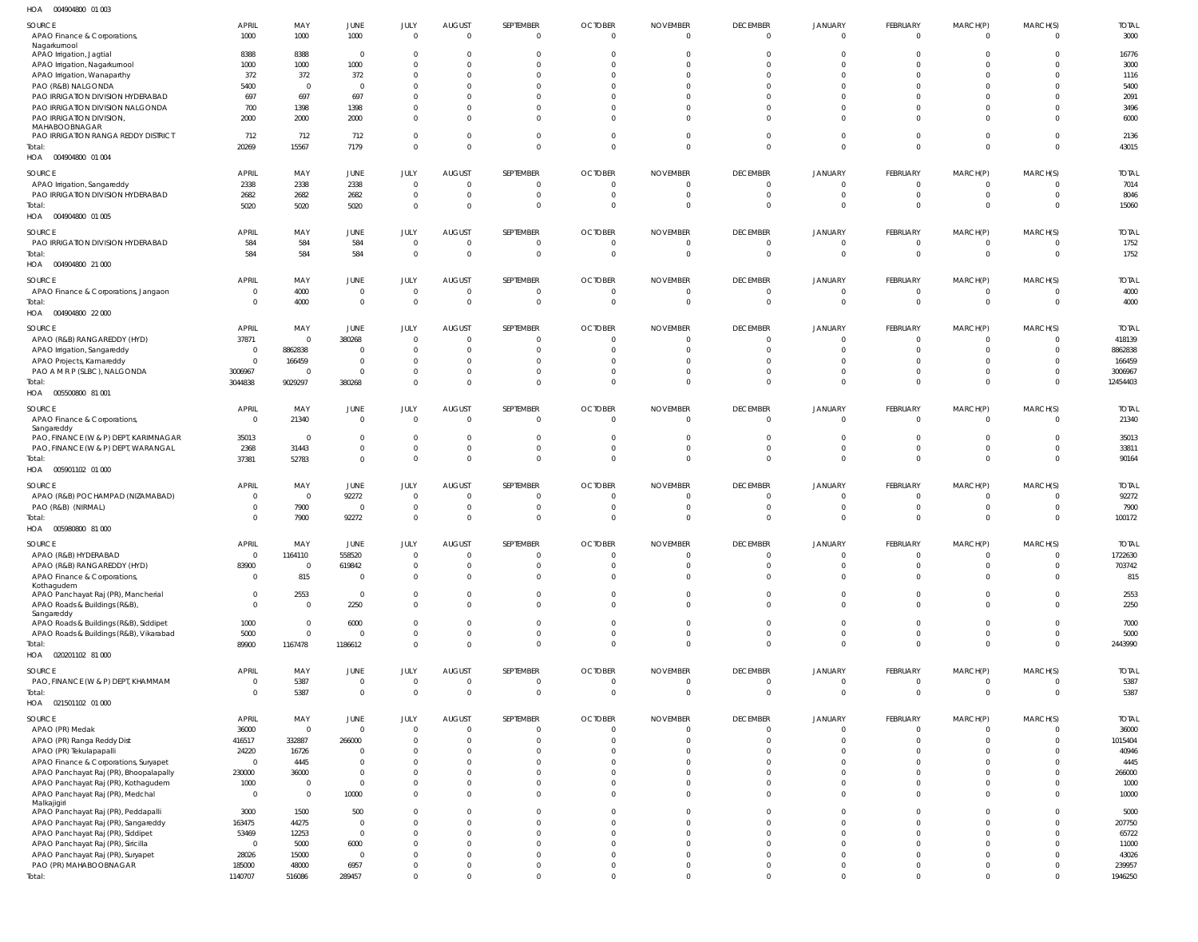004904800 01 003 HOA

| $\cdots$<br><b>COLLOCATION</b>                       |                         |                 |                |                              |                           |                             |                                  |                                   |                                |                            |                                  |                            |                      |                   |
|------------------------------------------------------|-------------------------|-----------------|----------------|------------------------------|---------------------------|-----------------------------|----------------------------------|-----------------------------------|--------------------------------|----------------------------|----------------------------------|----------------------------|----------------------|-------------------|
| SOURCE                                               | <b>APRIL</b>            | MAY             | JUNE           | JULY                         | <b>AUGUST</b>             | SEPTEMBER                   | <b>OCTOBER</b>                   | <b>NOVEMBER</b>                   | <b>DECEMBER</b>                | <b>JANUARY</b>             | <b>FEBRUARY</b>                  | MARCH(P)                   | MARCH(S)             | <b>TOTAL</b>      |
| APAO Finance & Corporations,                         | 1000                    | 1000            | 1000           | $\Omega$                     | $\Omega$                  | $\overline{0}$              | $\overline{0}$                   | $\overline{0}$                    | $\Omega$                       | $\Omega$                   | $\Omega$                         | $\Omega$                   | $\Omega$             | 3000              |
| Nagarkurnool                                         |                         |                 |                |                              |                           |                             |                                  |                                   |                                |                            |                                  |                            |                      |                   |
| APAO Irrigation, Jagtial                             | 8388                    | 8388            | $\mathbf 0$    | $\Omega$                     | $\Omega$                  | $\Omega$                    | $\Omega$                         | $\Omega$                          | $\Omega$                       | $\Omega$                   | $\Omega$                         | $\overline{0}$             | $\Omega$             | 16776             |
| APAO Irrigation, Nagarkurnool                        | 1000                    | 1000            | 1000           | $\Omega$                     | $\Omega$                  | $\Omega$                    | $\Omega$                         | $\Omega$                          | $\Omega$                       | $\Omega$                   | $\Omega$                         | $\Omega$                   | <sup>0</sup>         | 3000              |
| APAO Irrigation, Wanaparthy                          | 372                     | 372             | 372            | $\Omega$                     | $\Omega$                  | $\Omega$                    | $\Omega$                         | $\Omega$                          | $\Omega$                       | $\Omega$                   | $\Omega$                         | $\Omega$                   | <sup>0</sup>         | 1116              |
| PAO (R&B) NALGONDA                                   | 5400                    | $\Omega$        | $\mathbf 0$    | $\Omega$                     | $\Omega$                  | $\Omega$                    | $\Omega$                         | $\Omega$                          | $\Omega$                       | $\Omega$                   | $\Omega$                         | $\Omega$                   |                      | 5400              |
| PAO IRRIGATION DIVISION HYDERABAD                    | 697                     | 697             | 697            | $\Omega$                     | $\Omega$                  | $\Omega$                    | $\Omega$                         | $\Omega$                          | $\Omega$                       | $\Omega$                   | $\Omega$                         | $\Omega$                   |                      | 2091              |
| PAO IRRIGATION DIVISION NALGONDA                     | 700                     | 1398            | 1398           | $\Omega$                     | $\Omega$                  | $\Omega$                    | $\Omega$                         | $\Omega$                          | $\Omega$                       | $\Omega$                   | $\Omega$                         | $\Omega$                   |                      | 3496              |
| PAO IRRIGATION DIVISION,                             | 2000                    | 2000            | 2000           | $\Omega$                     | $\Omega$                  | $\Omega$                    | $\Omega$                         | $\Omega$                          | $\Omega$                       | $\Omega$                   | $\Omega$                         | $\Omega$                   | $\Omega$             | 6000              |
| MAHABOOBNAGAR<br>PAO IRRIGATION RANGA REDDY DISTRICT | 712                     | 712             | 712            | $\Omega$                     | $\Omega$                  | $\overline{0}$              | $\overline{0}$                   | $\overline{0}$                    | $\Omega$                       | $\Omega$                   | $\Omega$                         | $\overline{0}$             | $\Omega$             | 2136              |
| Total:                                               | 20269                   | 15567           | 7179           | $\Omega$                     | $\Omega$                  | $\Omega$                    | $\Omega$                         | $\Omega$                          | $\Omega$                       | $\Omega$                   | $\Omega$                         | $\Omega$                   | $\Omega$             | 43015             |
| HOA  004904800  01  004                              |                         |                 |                |                              |                           |                             |                                  |                                   |                                |                            |                                  |                            |                      |                   |
|                                                      |                         |                 |                |                              |                           |                             |                                  |                                   |                                |                            |                                  |                            |                      |                   |
| <b>SOURCE</b>                                        | APRIL                   | MAY             | JUNE           | JULY                         | <b>AUGUST</b>             | SEPTEMBER                   | <b>OCTOBER</b>                   | <b>NOVEMBER</b>                   | <b>DECEMBER</b>                | <b>JANUARY</b>             | FEBRUARY                         | MARCH(P)                   | MARCH(S)             | <b>TOTAL</b>      |
| APAO Irrigation, Sangareddy                          | 2338                    | 2338            | 2338           | $\overline{0}$               | $\Omega$                  | $\overline{0}$              | $\overline{0}$                   | $\overline{0}$                    | $\Omega$                       | $\Omega$                   | $\Omega$                         | $\mathbf 0$                | 0                    | 7014              |
| PAO IRRIGATION DIVISION HYDERABAD                    | 2682                    | 2682            | 2682           | $\overline{0}$               | $\Omega$                  | $\overline{0}$              | $\overline{0}$                   | $\overline{0}$                    | $\Omega$                       | $\Omega$                   | $\Omega$                         | $\overline{0}$             | $\Omega$             | 8046              |
| Total:                                               | 5020                    | 5020            | 5020           | $\mathbf 0$                  | $\Omega$                  | $\overline{0}$              | $\overline{0}$                   | $\overline{0}$                    | $\Omega$                       | $\Omega$                   | $\Omega$                         | $\overline{0}$             | $\Omega$             | 15060             |
| HOA  004904800  01  005                              |                         |                 |                |                              |                           |                             |                                  |                                   |                                |                            |                                  |                            |                      |                   |
| SOURCE                                               | <b>APRIL</b>            | MAY             | JUNE           | JULY                         | <b>AUGUST</b>             | SEPTEMBER                   | <b>OCTOBER</b>                   | <b>NOVEMBER</b>                   | <b>DECEMBER</b>                | <b>JANUARY</b>             | FEBRUARY                         | MARCH(P)                   | MARCH(S)             | <b>TOTAL</b>      |
| PAO IRRIGATION DIVISION HYDERABAD                    | 584                     | 584             | 584            | $\overline{0}$               | $\Omega$                  | $\overline{0}$              | $\overline{0}$                   | $\overline{0}$                    | $\Omega$                       | $\Omega$                   | $\Omega$                         | $\overline{0}$             | $\Omega$             | 1752              |
| Total:                                               | 584                     | 584             | 584            | $\Omega$                     | $\overline{0}$            | $\overline{0}$              | $\overline{0}$                   | $\overline{0}$                    | $\mathbf{0}$                   | $\mathbf{0}$               | $\overline{0}$                   | $\overline{0}$             | $\Omega$             | 1752              |
| HOA  004904800  21 000                               |                         |                 |                |                              |                           |                             |                                  |                                   |                                |                            |                                  |                            |                      |                   |
|                                                      |                         |                 |                |                              |                           |                             |                                  |                                   |                                |                            |                                  |                            |                      |                   |
| SOURCE                                               | <b>APRIL</b>            | MAY             | JUNE           | JULY                         | <b>AUGUST</b>             | SEPTEMBER                   | <b>OCTOBER</b>                   | <b>NOVEMBER</b>                   | <b>DECEMBER</b>                | <b>JANUARY</b>             | FEBRUARY                         | MARCH(P)                   | MARCH(S)             | <b>TOTAL</b>      |
| APAO Finance & Corporations, Jangaon                 | 0                       | 4000            | $\mathbf 0$    | $\overline{0}$               | $\Omega$                  | $\overline{0}$              | $\overline{0}$                   | $\overline{0}$                    | $\Omega$                       | $\Omega$                   | $\Omega$                         | - 0                        | 0                    | 4000              |
| Total:                                               |                         | 4000            | $\mathbf 0$    | $\mathbf 0$                  | $\overline{0}$            | $\overline{0}$              | $\overline{0}$                   | $\overline{0}$                    | $\mathbf 0$                    | $\mathbf 0$                | $\overline{0}$                   | $\overline{0}$             | $\mathbf{0}$         | 4000              |
| HOA  004904800  22 000                               |                         |                 |                |                              |                           |                             |                                  |                                   |                                |                            |                                  |                            |                      |                   |
| <b>SOURCE</b>                                        | APRIL                   | MAY             | JUNE           | JULY                         | <b>AUGUST</b>             | SEPTEMBER                   | <b>OCTOBER</b>                   | <b>NOVEMBER</b>                   | <b>DECEMBER</b>                | <b>JANUARY</b>             | FEBRUARY                         | MARCH(P)                   | MARCH(S)             | <b>TOTAL</b>      |
| APAO (R&B) RANGAREDDY (HYD)                          | 37871                   | $\Omega$        | 380268         | $\Omega$                     | $\Omega$                  | $\overline{0}$              | $\overline{0}$                   | $\overline{0}$                    | $\Omega$                       | $\Omega$                   | $\Omega$                         | $\overline{0}$             | $\Omega$             | 418139            |
| APAO Irrigation, Sangareddy                          | 0                       | 8862838         | $\mathbf 0$    | $\Omega$                     | $\Omega$                  | $\overline{0}$              | $\Omega$                         | $\overline{0}$                    | $\Omega$                       | $\Omega$                   | $\Omega$                         | $\overline{0}$             | $\Omega$             | 8862838           |
| APAO Projects, Kamareddy                             | $^{\circ}$              | 166459          | $\mathbf 0$    | $\Omega$                     | $\Omega$                  | $\Omega$                    | $\Omega$                         | $\Omega$                          | $\Omega$                       | $\Omega$                   | $\Omega$                         | $\overline{0}$             | $\Omega$             | 166459            |
| PAO A M R P (SLBC), NALGONDA                         | 3006967                 |                 | $\mathbf 0$    | $\mathbf{0}$                 | $\Omega$                  | $\overline{0}$              | $\overline{0}$                   | $\Omega$                          | $\Omega$                       | $\Omega$                   | $\Omega$                         | $\overline{0}$             | $\Omega$             | 3006967           |
| Total:                                               | 3044838                 | 9029297         | 380268         | $\Omega$                     | $\Omega$                  | $\Omega$                    | $\Omega$                         | $\Omega$                          | $\Omega$                       | $\Omega$                   | $\Omega$                         | $\overline{0}$             | $\Omega$             | 12454403          |
| HOA   005500800   81   001                           |                         |                 |                |                              |                           |                             |                                  |                                   |                                |                            |                                  |                            |                      |                   |
|                                                      |                         |                 |                |                              |                           |                             |                                  |                                   |                                |                            |                                  |                            |                      | <b>TOTAL</b>      |
| SOURCE                                               | APRIL<br>$\overline{0}$ | MAY             | JUNE           | JULY<br>$\overline{0}$       | <b>AUGUST</b><br>$\Omega$ | SEPTEMBER<br>$\overline{0}$ | <b>OCTOBER</b><br>$\overline{0}$ | <b>NOVEMBER</b><br>$\overline{0}$ | <b>DECEMBER</b><br>$\Omega$    | <b>JANUARY</b><br>$\Omega$ | FEBRUARY<br>$\Omega$             | MARCH(P)<br>$\Omega$       | MARCH(S)<br>$\Omega$ | 21340             |
| APAO Finance & Corporations,<br>Sangareddy           |                         | 21340           | $\mathbf 0$    |                              |                           |                             |                                  |                                   |                                |                            |                                  |                            |                      |                   |
| PAO, FINANCE (W & P) DEPT, KARIMNAGAR                | 35013                   | $\Omega$        | $\mathbf 0$    | $\mathbf{0}$                 | $\Omega$                  | $\overline{0}$              | $\Omega$                         | $\overline{0}$                    | $\Omega$                       | $\Omega$                   | $\Omega$                         | $\overline{0}$             | $\Omega$             | 35013             |
| PAO, FINANCE (W & P) DEPT, WARANGAL                  | 2368                    | 31443           | $\mathbf 0$    | $\mathbf 0$                  | $\Omega$                  | $\overline{0}$              | $\overline{0}$                   | $\overline{0}$                    | $\Omega$                       | $\Omega$                   | $\Omega$                         | $\overline{0}$             | $\Omega$             | 33811             |
| Total:                                               | 37381                   | 52783           | $\mathbf 0$    | $\mathbf 0$                  | $\Omega$                  | $\overline{0}$              | $\overline{0}$                   | $\overline{0}$                    | $\Omega$                       | $\Omega$                   | $\Omega$                         | $\overline{0}$             | $\Omega$             | 90164             |
| HOA   005901102   01   000                           |                         |                 |                |                              |                           |                             |                                  |                                   |                                |                            |                                  |                            |                      |                   |
|                                                      |                         |                 |                |                              |                           |                             |                                  |                                   |                                |                            |                                  |                            |                      |                   |
| <b>SOURCE</b>                                        | APRIL                   | MAY             | JUNE           | JULY                         | <b>AUGUST</b>             | SEPTEMBER                   | <b>OCTOBER</b>                   | <b>NOVEMBER</b>                   | <b>DECEMBER</b>                | <b>JANUARY</b>             | FEBRUARY                         | MARCH(P)                   | MARCH(S)             | <b>TOTAL</b>      |
| APAO (R&B) POCHAMPAD (NIZAMABAD)                     | $\Omega$                | $\overline{0}$  | 92272          | $\Omega$                     | $\Omega$                  | $\overline{0}$              | $\overline{0}$                   | $\overline{0}$                    | $\Omega$                       | $\Omega$                   | - 0                              | $\overline{0}$             | $\Omega$             | 92272             |
| PAO (R&B) (NIRMAL)                                   | -0                      | 7900            | $\Omega$       | $\Omega$                     | $\Omega$                  | $\Omega$                    | $\Omega$                         | $\Omega$                          | $\Omega$                       | $\Omega$                   | $\Omega$                         | $\overline{0}$             | 0                    | 7900              |
| Total:                                               |                         | 7900            | 92272          | $\Omega$                     | $\Omega$                  | $\Omega$                    | $\Omega$                         | $\Omega$                          | $\mathbf{0}$                   | $\Omega$                   | $\Omega$                         | $\overline{0}$             | $\Omega$             | 100172            |
| HOA  005980800  81  000                              |                         |                 |                |                              |                           |                             |                                  |                                   |                                |                            |                                  |                            |                      |                   |
| <b>SOURCE</b>                                        | APRIL                   | MAY             | JUNE           |                              | <b>AUGUST</b>             | <b>SFPTFMBFR</b>            | <b>OCTOBER</b>                   | <b>NOVEMBER</b>                   | <b>DECEMBER</b>                | <b>JANUARY</b>             | <b>FFBRUARY</b>                  | MARCH(P)                   | MARCH(S)             | <b>TOTAL</b>      |
| APAO (R&B) HYDERABAD                                 | $\overline{0}$          | 1164110         | 558520         | $\mathbf{0}$                 | $\Omega$                  | $\overline{0}$              | $\overline{0}$                   | $\overline{0}$                    | $\Omega$                       | $\Omega$                   | $\Omega$                         | $\overline{0}$             | $\Omega$             | 1722630           |
| APAO (R&B) RANGAREDDY (HYD)                          | 83900                   | $\overline{0}$  | 619842         | $\mathbf 0$                  | $\Omega$                  | $\overline{0}$              | $\overline{0}$                   | $\overline{0}$                    | $\mathbf 0$                    | $\Omega$                   | $\mathbf{0}$                     | $\overline{0}$             | $\Omega$             | 703742            |
| APAO Finance & Corporations,                         | $\Omega$                | 815             | $\mathbf 0$    | $\Omega$                     | $\Omega$                  | $\Omega$                    | $\Omega$                         | $\Omega$                          | $\Omega$                       | $\Omega$                   | $\Omega$                         | $\Omega$                   | $\Omega$             | 815               |
| Kothagudem                                           |                         |                 |                |                              |                           |                             |                                  |                                   |                                |                            |                                  |                            |                      |                   |
| APAO Panchayat Raj (PR), Mancherial                  | $\Omega$                | 2553            | $\mathbf 0$    | $\overline{0}$               | $\Omega$                  | $\Omega$                    | $\overline{0}$                   | $\Omega$                          | $\Omega$                       | $\Omega$                   | $\Omega$                         | $\Omega$                   | $\Omega$             | 2553              |
| APAO Roads & Buildings (R&B),<br>Sangareddy          | $\Omega$                | $\Omega$        | 2250           | $\mathbf{0}$                 | $\Omega$                  | $\Omega$                    | $\Omega$                         | $\Omega$                          | $\Omega$                       | $\Omega$                   | $\Omega$                         | $\Omega$                   | $\Omega$             | 2250              |
| APAO Roads & Buildings (R&B), Siddipet               | 1000                    | $\Omega$        | 6000           | $\mathbf{0}$                 | $\Omega$                  | $\Omega$                    | $\Omega$                         | $\Omega$                          | $\Omega$                       | $\Omega$                   | $\Omega$                         | $\Omega$                   | $\Omega$             | 7000              |
| APAO Roads & Buildings (R&B), Vikarabad              | 5000                    | $\Omega$        | $\mathbf 0$    | $\mathbf{0}$                 | $\Omega$                  | $\overline{0}$              | $\overline{0}$                   | $\overline{0}$                    | $\Omega$                       | $\Omega$                   | $\Omega$                         | $\overline{0}$             | $\Omega$             | 5000              |
| Total:                                               | 89900                   | 1167478         | 1186612        | $\mathbf{0}$                 | $\Omega$                  | $\overline{0}$              | $\Omega$                         | $\overline{0}$                    | $\Omega$                       | $\Omega$                   | $\Omega$                         | $\overline{0}$             | $\Omega$             | 2443990           |
| HOA  020201102  81  000                              |                         |                 |                |                              |                           |                             |                                  |                                   |                                |                            |                                  |                            |                      |                   |
|                                                      |                         |                 |                |                              |                           |                             |                                  |                                   |                                |                            |                                  |                            |                      |                   |
| SOURCE                                               | APRIL                   | MAY             | JUNE           | JULY                         | <b>AUGUST</b>             | SEPTEMBER                   | <b>OCTOBER</b>                   | <b>NOVEMBER</b>                   | <b>DECEMBER</b>                | JANUARY                    | FEBRUARY                         | MARCH(P)                   | MARCH(S)             | <b>TOTAL</b>      |
| PAO, FINANCE (W & P) DEPT, KHAMMAM<br>Total:         | $\mathbf 0$             | 5387            | $\pmb{0}$      | $\overline{0}$               | $\mathbf{0}$              | $\mathbf 0$                 | $\overline{0}$                   | $\mathbf 0$<br>$\Omega$           | $\mathbf{0}$<br>$\overline{0}$ | $\mathbf{0}$<br>$\Omega$   | $\overline{0}$<br>$\overline{0}$ | $\overline{0}$<br>$\Omega$ | $\Omega$             | 5387              |
|                                                      |                         | 5387            | $\bf 0$        | $\mathbf 0$                  | $\overline{0}$            | $\overline{0}$              | $\overline{0}$                   |                                   |                                |                            |                                  |                            | $\Omega$             | 5387              |
|                                                      |                         |                 |                |                              |                           |                             |                                  |                                   |                                |                            |                                  |                            |                      |                   |
| HOA  021501102  01  000                              |                         |                 |                |                              |                           |                             |                                  |                                   |                                |                            |                                  |                            |                      |                   |
| SOURCE                                               | APRIL                   | MAY             | JUNE           | JULY                         | <b>AUGUST</b>             | SEPTEMBER                   | <b>OCTOBER</b>                   | <b>NOVEMBER</b>                   | <b>DECEMBER</b>                | JANUARY                    | FEBRUARY                         | MARCH(P)                   | MARCH(S)             | <b>TOTAL</b>      |
| APAO (PR) Medak                                      | 36000                   | $\Omega$        | $\mathbf 0$    | $\mathbf 0$                  | $\Omega$                  | $\overline{0}$              | $\overline{0}$                   | $\overline{0}$                    | $\Omega$                       | $\Omega$                   | $\Omega$                         | $\overline{0}$             | $\Omega$             | 36000             |
| APAO (PR) Ranga Reddy Dist                           | 416517                  | 332887          | 266000         | $\overline{0}$               | $\Omega$                  | $\overline{0}$              | $\overline{0}$                   | $\overline{0}$                    | $\Omega$                       | $\Omega$                   | $\Omega$                         | $\overline{0}$             | $\Omega$             | 1015404           |
| APAO (PR) Tekulapapalli                              | 24220                   | 16726           | $\mathbf 0$    | $\mathbf 0$                  | $\Omega$                  | $\Omega$                    | $\Omega$                         | $\Omega$                          | $\Omega$                       | $\Omega$                   | $\Omega$                         | $\Omega$                   | $\Omega$             | 40946             |
| APAO Finance & Corporations, Suryapet                | $\overline{0}$          | 4445            | $\mathbf 0$    | $\Omega$                     | $\Omega$                  | $\Omega$                    | $\Omega$                         | $\Omega$                          | $\Omega$                       | $\Omega$                   | $\Omega$                         | $\Omega$                   | <sup>0</sup>         | 4445              |
| APAO Panchayat Raj (PR), Bhoopalapally               | 230000                  | 36000           | $\mathbf 0$    | $\Omega$                     | $\Omega$                  | $\Omega$                    | $\Omega$                         | $\Omega$                          | $\Omega$                       | $\Omega$                   | $\Omega$                         | $\Omega$                   | $\Omega$             | 266000            |
| APAO Panchayat Raj (PR), Kothagudem                  | 1000                    | $\overline{0}$  | $\mathbf 0$    | $\mathbf 0$                  | $\Omega$                  | $\Omega$                    | $\Omega$                         | $\Omega$                          | $\Omega$                       | $\Omega$                   | $\Omega$                         | $\Omega$                   | $\Omega$             | 1000              |
| APAO Panchayat Raj (PR), Medchal                     | $\overline{0}$          | $\overline{0}$  | 10000          | $\mathbf{0}$                 | $\Omega$                  | $\Omega$                    | $\Omega$                         | $\Omega$                          | $\Omega$                       | $\Omega$                   | $\Omega$                         | $\overline{0}$             | $\Omega$             | 10000             |
| Malkajigiri                                          |                         |                 |                |                              |                           |                             |                                  |                                   |                                |                            |                                  |                            |                      |                   |
| APAO Panchayat Raj (PR), Peddapalli                  | 3000                    | 1500            | 500            | $\mathbf{0}$                 | $\Omega$                  | $\Omega$                    | $\Omega$                         | $\overline{0}$                    | $\Omega$                       | $\Omega$                   | $\Omega$                         | $\overline{0}$             | 0                    | 5000              |
| APAO Panchayat Raj (PR), Sangareddy                  | 163475                  | 44275           | $\mathbf 0$    | $\mathbf 0$                  | $\Omega$                  | $\Omega$                    | $\Omega$                         | $\Omega$                          | $\Omega$                       | $\Omega$                   | $\Omega$                         | $\Omega$                   | $\Omega$             | 207750            |
| APAO Panchayat Raj (PR), Siddipet                    | 53469                   | 12253           | $\mathbf 0$    | $\mathbf 0$                  | $\Omega$                  | $\Omega$                    | $\Omega$                         | $\Omega$                          | $\Omega$                       | $\Omega$                   | $\Omega$                         | $\Omega$                   | 0                    | 65722             |
| APAO Panchayat Raj (PR), Siricilla                   | $\overline{0}$          | 5000            | 6000           | $\mathbf{0}$                 | $\Omega$                  | $\Omega$                    | $\Omega$                         | $\Omega$                          | $\Omega$                       | $\Omega$                   | $\Omega$                         | $\Omega$                   | 0                    | 11000             |
| APAO Panchayat Raj (PR), Suryapet                    | 28026                   | 15000           | $\mathbf 0$    | $\mathbf 0$                  | $\Omega$                  | $\Omega$                    | $\Omega$                         | $\Omega$                          | $\Omega$                       | $\Omega$                   | $\Omega$                         | $\Omega$                   | 0                    | 43026             |
| PAO (PR) MAHABOOBNAGAR<br>Total:                     | 185000<br>1140707       | 48000<br>516086 | 6957<br>289457 | $\mathbf{0}$<br>$\mathbf{0}$ | $\Omega$<br>$\Omega$      | $\overline{0}$<br>$\Omega$  | $\overline{0}$<br>$\Omega$       | $\overline{0}$<br>$\Omega$        | $\Omega$<br>$\Omega$           | $\Omega$<br>$\Omega$       | $\Omega$<br>$\Omega$             | $\overline{0}$<br>$\Omega$ | $\Omega$<br>$\Omega$ | 239957<br>1946250 |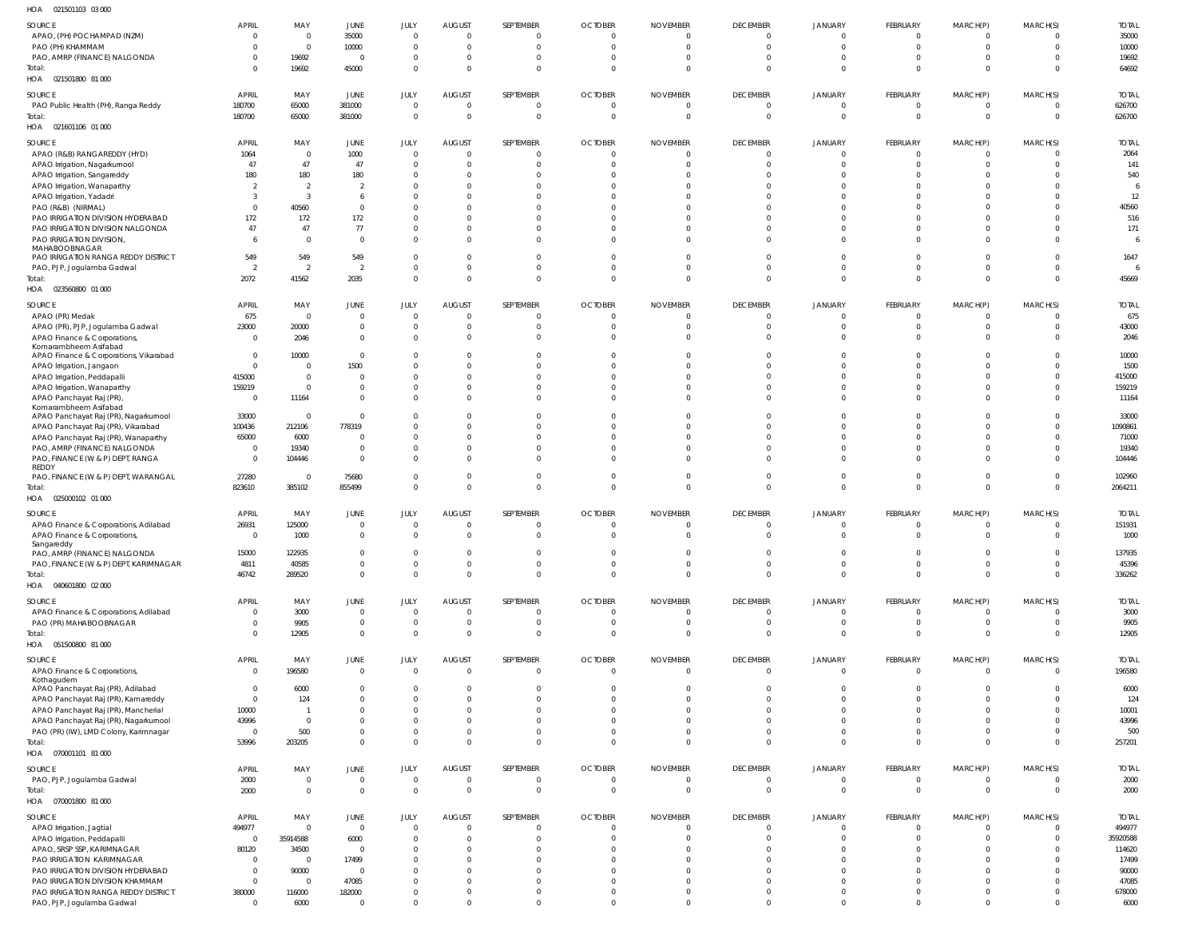| HOA | 021501103 03 000 |  |
|-----|------------------|--|

| SOURCE                                    | <b>APRIL</b>   | MAY            | JUNE           | JULY           | <b>AUGUST</b>  | SEPTEMBER      | <b>OCTOBER</b> | <b>NOVEMBER</b> | <b>DECEMBER</b> | JANUARY        | FEBRUARY       | MARCH(P)       | MARCH(S)       | <b>TOTAL</b> |
|-------------------------------------------|----------------|----------------|----------------|----------------|----------------|----------------|----------------|-----------------|-----------------|----------------|----------------|----------------|----------------|--------------|
| APAO, (PH) POCHAMPAD (NZM)                | $\Omega$       | $\Omega$       | 35000          | $\overline{0}$ | $\Omega$       | $\overline{0}$ | $\overline{0}$ | $\overline{0}$  | $\Omega$        | $\Omega$       | $\Omega$       | $\overline{0}$ |                | 35000        |
| PAO (PH) KHAMMAM                          |                | $\Omega$       | 10000          | $\mathbf{0}$   | $\Omega$       | $\overline{0}$ | $\overline{0}$ | $\overline{0}$  | $\Omega$        | $\Omega$       | $\Omega$       | $\overline{0}$ | $\Omega$       | 10000        |
| PAO, AMRP (FINANCE) NALGONDA              |                | 19692          | $\mathbf 0$    | $\overline{0}$ | $\Omega$       | $\overline{0}$ | $\overline{0}$ | $\overline{0}$  | $\Omega$        | $\Omega$       | $\Omega$       | $\overline{0}$ | $\Omega$       | 19692        |
| Total:                                    |                | 19692          | 45000          | $\mathbf{0}$   | $\Omega$       | $\overline{0}$ | $\overline{0}$ | $\overline{0}$  | $\Omega$        | $\Omega$       | $\Omega$       | $\overline{0}$ | $\Omega$       | 64692        |
| HOA  021501800  81  000                   |                |                |                |                |                |                |                |                 |                 |                |                |                |                |              |
|                                           |                |                |                |                |                |                |                |                 |                 |                |                |                |                |              |
| <b>SOURCE</b>                             | APRIL          | MAY            | JUNE           | JULY           | <b>AUGUST</b>  | SEPTEMBER      | <b>OCTOBER</b> | <b>NOVEMBER</b> | <b>DECEMBER</b> | <b>JANUARY</b> | FEBRUARY       | MARCH(P)       | MARCH(S)       | <b>TOTAL</b> |
| PAO Public Health (PH), Ranga Reddy       | 180700         | 65000          | 381000         | $\mathbf 0$    | $\mathbf{0}$   | $\overline{0}$ | $\overline{0}$ | $\overline{0}$  | $\mathbf{0}$    | $\mathbf{0}$   | $\overline{0}$ | $\overline{0}$ | $\Omega$       | 626700       |
| Total:                                    | 180700         | 65000          | 381000         | $\mathbf 0$    | $\mathbf{0}$   | $\overline{0}$ | $\overline{0}$ | $\overline{0}$  | $\Omega$        | $\mathbf 0$    | $\Omega$       | $\overline{0}$ | $\mathbf{0}$   | 626700       |
| HOA  021601106  01  000                   |                |                |                |                |                |                |                |                 |                 |                |                |                |                |              |
| SOURCE                                    | APRIL          | MAY            | JUNE           | JULY           | <b>AUGUST</b>  | SEPTEMBER      | <b>OCTOBER</b> | <b>NOVEMBER</b> | <b>DECEMBER</b> | JANUARY        | FEBRUARY       | MARCH(P)       | MARCH(S)       | <b>TOTAL</b> |
| APAO (R&B) RANGAREDDY (HYD)               | 1064           | $\overline{0}$ | 1000           | $\mathbf 0$    | $\Omega$       | $\overline{0}$ | $\overline{0}$ | $\overline{0}$  | $\Omega$        | $\Omega$       | $\Omega$       | $\overline{0}$ | $\Omega$       | 2064         |
| APAO Irrigation, Nagarkurnool             | 47             | 47             | 47             | $\mathbf{0}$   | $\Omega$       | $\overline{0}$ | $\overline{0}$ | $\overline{0}$  | $\Omega$        | $\Omega$       | $\Omega$       | $\overline{0}$ | $\Omega$       | 141          |
| APAO Irrigation, Sangareddy               | 180            | 180            | 180            | $\mathbf{0}$   | $\Omega$       | $\overline{0}$ | $\Omega$       | $\Omega$        | $\Omega$        | $\Omega$       | $\Omega$       | $\Omega$       | <sup>0</sup>   | 540          |
| APAO Irrigation, Wanaparthy               |                | $\overline{2}$ | $\overline{2}$ | $\mathbf{0}$   | $\Omega$       | $\Omega$       | $\Omega$       | $\Omega$        | $\Omega$        | $\Omega$       | $\Omega$       | $\Omega$       | U              |              |
| APAO Irrigation, Yadadri                  | -3             | -3             | 6              | $\mathbf 0$    | $\Omega$       | $\Omega$       | $\Omega$       | $\Omega$        | $\Omega$        | $\Omega$       | $\Omega$       | $\Omega$       |                | 12           |
| PAO (R&B) (NIRMAL)                        | $\Omega$       | 40560          | $\mathbf 0$    | $\mathbf{0}$   | $\Omega$       | $\Omega$       | $\Omega$       | $\Omega$        | $\Omega$        | $\Omega$       | $\Omega$       | $\Omega$       | <sup>n</sup>   | 40560        |
| PAO IRRIGATION DIVISION HYDERABAD         | 172            | 172            | 172            | $\mathbf{0}$   | $\Omega$       | $\Omega$       | $\Omega$       | $\Omega$        | $\Omega$        | $\Omega$       | $\Omega$       | $\Omega$       | <sup>0</sup>   | 516          |
|                                           |                |                | 77             | $\overline{0}$ | $\Omega$       | $\overline{0}$ | $\Omega$       | $\Omega$        | $\Omega$        | $\Omega$       | $\Omega$       | $\overline{0}$ | <sup>0</sup>   | 171          |
| PAO IRRIGATION DIVISION NALGONDA          | 47             | 47             |                |                | $\Omega$       |                | $\Omega$       | $\Omega$        | $\Omega$        | $\Omega$       | $\Omega$       |                | $\Omega$       |              |
| PAO IRRIGATION DIVISION,<br>MAHABOOBNAGAR |                |                | $\mathbf 0$    | $\mathbf{0}$   |                | $\overline{0}$ |                |                 |                 |                |                | $\overline{0}$ |                | 6            |
| PAO IRRIGATION RANGA REDDY DISTRICT       | 549            | 549            | 549            | $\mathbf{0}$   | $\Omega$       | $\overline{0}$ | $\overline{0}$ | $\overline{0}$  | $\Omega$        | $\Omega$       | $\Omega$       | $\overline{0}$ | $\Omega$       | 1647         |
| PAO, PJP, Jogulamba Gadwal                | $\overline{2}$ | $\overline{2}$ | $\overline{2}$ | $\mathbf 0$    | $\Omega$       | $\overline{0}$ | $\overline{0}$ | $\overline{0}$  | $\Omega$        | $\Omega$       | $\Omega$       | $\overline{0}$ | $\Omega$       | 6            |
| Total:                                    | 2072           | 41562          | 2035           | $\mathbf{0}$   | $\Omega$       | $\overline{0}$ | $\Omega$       | $\Omega$        | $\Omega$        | $\Omega$       | $\Omega$       | $\Omega$       | $\Omega$       | 45669        |
| HOA  023560800  01  000                   |                |                |                |                |                |                |                |                 |                 |                |                |                |                |              |
|                                           |                |                |                |                |                |                |                |                 |                 |                |                |                |                |              |
| SOURCE                                    | APRIL          | MAY            | JUNE           | JULY           | <b>AUGUST</b>  | SEPTEMBER      | <b>OCTOBER</b> | <b>NOVEMBER</b> | <b>DECEMBER</b> | <b>JANUARY</b> | FEBRUARY       | MARCH(P)       | MARCH(S)       | <b>TOTAL</b> |
| APAO (PR) Medak                           | 675            | $\Omega$       | $\mathbf 0$    | $\overline{0}$ | $\Omega$       | $\overline{0}$ | $\overline{0}$ | $\overline{0}$  | - 0             | $\Omega$       | $\Omega$       | $\overline{0}$ | $\Omega$       | 675          |
| APAO (PR), PJP, Jogulamba Gadwal          | 23000          | 20000          | $\mathbf 0$    | $\overline{0}$ | $\Omega$       | $\overline{0}$ | $\overline{0}$ | $\overline{0}$  | $\Omega$        | $\mathbf{0}$   | $\Omega$       | $\overline{0}$ | $\Omega$       | 43000        |
| APAO Finance & Corporations,              | $^{\circ}$     | 2046           | $\mathbf 0$    | $\mathbf{0}$   | $\Omega$       | $\Omega$       | $\Omega$       | $\Omega$        | $\Omega$        | $\Omega$       | $\Omega$       | $\Omega$       | $\Omega$       | 2046         |
| Komarambheem Asifabad                     |                |                |                |                |                |                |                |                 |                 |                |                |                |                |              |
| APAO Finance & Corporations, Vikarabad    | -0             | 10000          | $\mathbf 0$    | $\Omega$       | $\Omega$       | $\Omega$       | $\Omega$       | $\Omega$        | - 0             | $\Omega$       | $\Omega$       | $\Omega$       | <sup>0</sup>   | 10000        |
| APAO Irrigation, Jangaon                  | $\Omega$       | $\Omega$       | 1500           | $\mathbf 0$    | $\Omega$       | $\Omega$       | $\Omega$       | $\Omega$        | $\cap$          | $\Omega$       | $\cap$         | $\Omega$       | $\Omega$       | 1500         |
| APAO Irrigation, Peddapalli               | 415000         | $\Omega$       | $\mathbf 0$    | $\mathbf 0$    | $\Omega$       | $\Omega$       | $\Omega$       | $\Omega$        | $\Omega$        | $\Omega$       | $\Omega$       | $\Omega$       | $\Omega$       | 415000       |
| APAO Irrigation, Wanaparthy               | 159219         | $\Omega$       | $\mathbf 0$    | $\mathbf 0$    | $\Omega$       | $\Omega$       | $\Omega$       | $\Omega$        | $\Omega$        | $\Omega$       | $\Omega$       | $\Omega$       | $\Omega$       | 159219       |
| APAO Panchayat Raj (PR)                   | 0              | 11164          | $\mathbf 0$    | $\Omega$       | $\Omega$       | $\Omega$       | $\Omega$       | $\Omega$        | $\Omega$        | $\Omega$       | $\Omega$       | $\Omega$       | $\Omega$       | 11164        |
| Komarambheem Asifabad                     |                |                |                |                |                |                |                |                 |                 |                |                |                |                |              |
| APAO Panchayat Raj (PR), Nagarkurnool     | 33000          | $\Omega$       | $\Omega$       | $\mathbf 0$    | $\Omega$       | $\Omega$       | $\Omega$       | $\Omega$        | $\Omega$        | $\Omega$       | $\Omega$       | $\Omega$       | $\Omega$       | 33000        |
| APAO Panchayat Raj (PR), Vikarabad        | 100436         | 212106         | 778319         | $\mathbf 0$    | $\Omega$       | $\Omega$       | $\Omega$       | $\Omega$        | $\Omega$        | $\Omega$       | $\Omega$       | $\Omega$       | $\Omega$       | 1090861      |
| APAO Panchayat Raj (PR), Wanaparthy       | 65000          | 6000           | 0              | $\mathbf{0}$   | $\Omega$       | $\Omega$       | $\Omega$       | $\Omega$        | $\Omega$        | $\Omega$       | $\Omega$       | $\Omega$       | $\Omega$       | 71000        |
| PAO, AMRP (FINANCE) NALGONDA              | $\overline{0}$ | 19340          | $\mathbf 0$    | $\mathbf 0$    | $\Omega$       | $\overline{0}$ | $\Omega$       | $\Omega$        | $\Omega$        | $\Omega$       | $\Omega$       | $\overline{0}$ | $\Omega$       | 19340        |
| PAO, FINANCE (W & P) DEPT, RANGA          | - 0            | 104446         | $\mathbf 0$    | $\mathbf{0}$   | $\Omega$       | $\Omega$       | $\Omega$       | $\Omega$        | $\Omega$        | $\Omega$       | $\Omega$       | $\Omega$       | $\Omega$       | 104446       |
| REDDY                                     |                |                |                |                |                |                |                |                 |                 |                |                |                |                |              |
| PAO, FINANCE (W & P) DEPT, WARANGAL       | 27280          | $\overline{0}$ | 75680          | $\mathbf 0$    | $\Omega$       | $\overline{0}$ | $\overline{0}$ | $\overline{0}$  | $\Omega$        | $\mathbf{0}$   | $\Omega$       | $\overline{0}$ | $\Omega$       | 102960       |
| Total:                                    | 823610         | 385102         | 855499         | $\mathbf{0}$   | $\Omega$       | $\overline{0}$ | $\Omega$       | $\Omega$        | $\Omega$        | $\Omega$       | $\Omega$       | $\Omega$       | $\Omega$       | 2064211      |
| HOA  025000102  01 000                    |                |                |                |                |                |                |                |                 |                 |                |                |                |                |              |
| SOURCE                                    | APRIL          | MAY            | JUNE           | JULY           | <b>AUGUST</b>  | SEPTEMBER      | <b>OCTOBER</b> | <b>NOVEMBER</b> | <b>DECEMBER</b> | JANUARY        | FEBRUARY       | MARCH(P)       | MARCH(S)       | <b>TOTAL</b> |
| APAO Finance & Corporations, Adilabad     | 26931          | 125000         | $\mathbf 0$    | $\mathbf{0}$   | $\Omega$       | $\overline{0}$ | $\overline{0}$ | $\overline{0}$  | $\Omega$        | $\Omega$       | $\Omega$       | $\overline{0}$ | $\Omega$       | 151931       |
| APAO Finance & Corporations,              | $\mathbf 0$    | 1000           | $\mathbf 0$    | $\mathbf{0}$   | $\Omega$       | $\overline{0}$ | $\overline{0}$ | $\overline{0}$  | $\Omega$        | $\Omega$       | $\Omega$       | $\overline{0}$ | $\mathbf{0}$   | 1000         |
| Sangareddy                                |                |                |                |                |                |                |                |                 |                 |                |                |                |                |              |
| PAO, AMRP (FINANCE) NALGONDA              | 15000          | 122935         | $\mathbf 0$    | $\mathbf 0$    | $\Omega$       | $\Omega$       | $\overline{0}$ | $\Omega$        | $\Omega$        | $\Omega$       | $\Omega$       | $\overline{0}$ | $\Omega$       | 137935       |
| PAO, FINANCE (W & P) DEPT, KARIMNAGAR     | 4811           | 40585          | $\mathbf 0$    | $\mathbf{0}$   | $\mathbf 0$    | $\overline{0}$ | $\overline{0}$ | $\overline{0}$  | $\mathbf 0$     | $\mathbf 0$    | $\mathbf{0}$   | $\overline{0}$ | $\Omega$       | 45396        |
| Total:                                    | 46742          | 289520         | $\mathbf 0$    | $\mathbf 0$    | $\Omega$       | $\overline{0}$ | $\overline{0}$ | $\overline{0}$  | $\mathbf 0$     | $\mathbf 0$    | $\mathbf{0}$   | $\overline{0}$ | $\mathbf{0}$   | 336262       |
| HOA  040601800  02  000                   |                |                |                |                |                |                |                |                 |                 |                |                |                |                |              |
|                                           |                |                |                |                |                |                |                |                 |                 |                |                |                |                |              |
| SOURCE                                    | APRIL          | MAY            | JUNE           | JULY           | <b>AUGUST</b>  | SEPTEMBER      | <b>OCTOBER</b> | <b>NOVEMBER</b> | <b>DECEMBER</b> | JANUARY        | FEBRUARY       | MARCH(P)       | MARCH(S)       | <b>TOTAL</b> |
| APAO Finance & Corporations, Adilabad     | $^{\circ}$     | 3000           | $\mathbf 0$    | $\mathbf{0}$   | $\Omega$       | $\overline{0}$ | $\overline{0}$ | $\overline{0}$  | $\Omega$        | $^{\circ}$     | $\mathbf 0$    | $\overline{0}$ | $\Omega$       | 3000         |
| PAO (PR) MAHABOOBNAGAR                    | 0              | 9905           | $\mathbf 0$    | $\mathbf{0}$   | $\mathbf{0}$   | $\overline{0}$ | $\overline{0}$ | $\overline{0}$  | $\mathbf{0}$    | $\mathbf{0}$   | $\overline{0}$ | $\overline{0}$ | $\Omega$       | 9905         |
| Total:                                    | $\Omega$       | 12905          | $\mathbf 0$    | $\mathbf 0$    | $\Omega$       | $\overline{0}$ | $\overline{0}$ | $\overline{0}$  | $\mathbf 0$     | $\mathbf 0$    | $\mathbf{0}$   | $\overline{0}$ | $\mathbf{0}$   | 12905        |
| HOA  051500800  81 000                    |                |                |                |                |                |                |                |                 |                 |                |                |                |                |              |
| SOURCE                                    | <b>APRIL</b>   | MAY            | JUNE           | JULY           | <b>AUGUST</b>  | SEPTEMBER      | <b>OCTOBER</b> | <b>NOVEMBER</b> | <b>DECEMBER</b> | JANUARY        | FEBRUARY       | MARCH(P)       | MARCH(S)       | <b>TOTAL</b> |
| APAO Finance & Corporations,              | $\overline{0}$ | 196580         | $\mathbf 0$    | $\mathbf 0$    | $\overline{0}$ | $\overline{0}$ | $\overline{0}$ | $\overline{0}$  | $\mathbf 0$     | $\mathbf{0}$   | $\overline{0}$ | $\overline{0}$ | 0              | 196580       |
| Kothagudem                                |                |                |                |                |                |                |                |                 |                 |                |                |                |                |              |
| APAO Panchayat Raj (PR), Adilabad         | $^{\circ}$     | 6000           | $\mathbf 0$    | $^{\circ}$     | $\Omega$       | $\overline{0}$ | $\overline{0}$ | $\overline{0}$  | $\Omega$        | $\Omega$       | $\Omega$       | $\overline{0}$ | $\Omega$       | 6000         |
| APAO Panchayat Raj (PR), Kamareddy        | 0              | 124            | $\mathbf 0$    | $\mathbf{0}$   | $\Omega$       | $\overline{0}$ | $\overline{0}$ | $\overline{0}$  | $\Omega$        | $\Omega$       | $\Omega$       | $\overline{0}$ |                | 124          |
| APAO Panchayat Raj (PR), Mancherial       | 10000          |                | 0              | $\mathbf{0}$   | $\Omega$       | $\overline{0}$ | $\overline{0}$ | $\Omega$        | $\Omega$        | $\Omega$       | $\Omega$       | $\overline{0}$ |                | 10001        |
| APAO Panchayat Raj (PR), Nagarkurnool     | 43996          | $\Omega$       | $\mathbf 0$    | $\mathbf{0}$   | $\Omega$       | $\Omega$       | $\overline{0}$ | $\Omega$        | $\Omega$        | $\Omega$       | $\Omega$       | $\overline{0}$ | $\Omega$       | 43996        |
| PAO (PR) (IW), LMD Colony, Karimnagar     | - 0            | 500            | 0              | $\mathbf{0}$   | $\Omega$       | $\overline{0}$ | $\overline{0}$ | $\overline{0}$  | $\Omega$        | $\Omega$       | $\Omega$       | $\overline{0}$ | 0              | 500          |
| Total:                                    | 53996          | 203205         | $\mathbf 0$    | $\mathbf{0}$   | $\Omega$       | $\overline{0}$ | $\Omega$       | $\Omega$        | $\Omega$        | $\Omega$       | $\Omega$       | $\overline{0}$ | $\Omega$       | 257201       |
| HOA  070001101  81 000                    |                |                |                |                |                |                |                |                 |                 |                |                |                |                |              |
|                                           |                |                |                |                |                |                |                |                 |                 |                |                |                |                |              |
| SOURCE                                    | APRIL          | MAY            | JUNE           | JULY           | <b>AUGUST</b>  | SEPTEMBER      | <b>OCTOBER</b> | <b>NOVEMBER</b> | <b>DECEMBER</b> | JANUARY        | FEBRUARY       | MARCH(P)       | MARCH(S)       | <b>TOTAL</b> |
| PAO, PJP, Jogulamba Gadwal                | 2000           | $\overline{0}$ | $\mathbf 0$    | $\mathbf 0$    | $^{\circ}$     | $\overline{0}$ | $\overline{0}$ | $\overline{0}$  | $\Omega$        | $^{\circ}$     | $\mathbf 0$    | $\overline{0}$ | $\Omega$       | 2000         |
| Total:                                    | 2000           | $\mathbf{0}$   | $\bf 0$        | $\mathbf 0$    | $\overline{0}$ | $\overline{0}$ | $\overline{0}$ | $\overline{0}$  | $\mathbf 0$     | $\overline{0}$ | $\overline{0}$ | $\overline{0}$ | $\overline{0}$ | 2000         |
| HOA  070001800  81 000                    |                |                |                |                |                |                |                |                 |                 |                |                |                |                |              |
| SOURCE                                    | APRIL          | MAY            | JUNE           | JULY           | <b>AUGUST</b>  | SEPTEMBER      | <b>OCTOBER</b> | <b>NOVEMBER</b> | <b>DECEMBER</b> | JANUARY        | FEBRUARY       | MARCH(P)       | MARCH(S)       | <b>TOTAL</b> |
|                                           | 494977         | $\Omega$       | $\mathbf 0$    | $\mathbf 0$    | $\Omega$       | $\overline{0}$ | $\overline{0}$ | $\overline{0}$  | $\Omega$        | $\Omega$       | $\Omega$       | $\overline{0}$ |                | 494977       |
| APAO Irrigation, Jagtial                  |                | 35914588       | 6000           | $\mathbf{0}$   | $\Omega$       | $\overline{0}$ | $\overline{0}$ | $\overline{0}$  | $\Omega$        | $\Omega$       | $\Omega$       | $\overline{0}$ | $\Omega$       | 35920588     |
| APAO Irrigation, Peddapalli               | 0              |                |                |                | $\Omega$       |                |                |                 | $\Omega$        | $\Omega$       | $\Omega$       |                |                |              |
| APAO, SRSP SSP, KARIMNAGAR                | 80120          | 34500          | $\mathbf 0$    | $\mathbf{0}$   |                | $\overline{0}$ | $\overline{0}$ | $\overline{0}$  |                 |                |                | $\overline{0}$ |                | 114620       |
| PAO IRRIGATION KARIMNAGAR                 | 0              | $\Omega$       | 17499          | $\mathbf 0$    | $\Omega$       | $\overline{0}$ | $\overline{0}$ | $\Omega$        | $\Omega$        | $\Omega$       | $\Omega$       | $\Omega$       |                | 17499        |
| PAO IRRIGATION DIVISION HYDERABAD         | $^{\circ}$     | 90000          | $\mathbf 0$    | $\mathbf{0}$   | $\Omega$       | $\Omega$       | $\Omega$       | $\Omega$        | $\Omega$        | $\Omega$       | $\Omega$       | $\Omega$       |                | 90000        |
| PAO IRRIGATION DIVISION KHAMMAM           | $\mathbf 0$    | $\Omega$       | 47085          | $\mathbf{0}$   | $\Omega$       | $\overline{0}$ | $\overline{0}$ | $\Omega$        | $\Omega$        | $\Omega$       | $\Omega$       | $\overline{0}$ |                | 47085        |
| PAO IRRIGATION RANGA REDDY DISTRICT       | 380000         | 116000         | 182000         | $\overline{0}$ | $\Omega$       | $\overline{0}$ | $\overline{0}$ | $\overline{0}$  | $\mathbf 0$     | $\Omega$       | $\mathbf{0}$   | $\overline{0}$ |                | 678000       |
| PAO, PJP, Jogulamba Gadwal                | $\mathbf 0$    | 6000           | $\mathbf 0$    | $\mathbf{0}$   | $\Omega$       | $\overline{0}$ | $\overline{0}$ | $\overline{0}$  | $\Omega$        | $\Omega$       | $\Omega$       | $\overline{0}$ | $\mathbf 0$    | 6000         |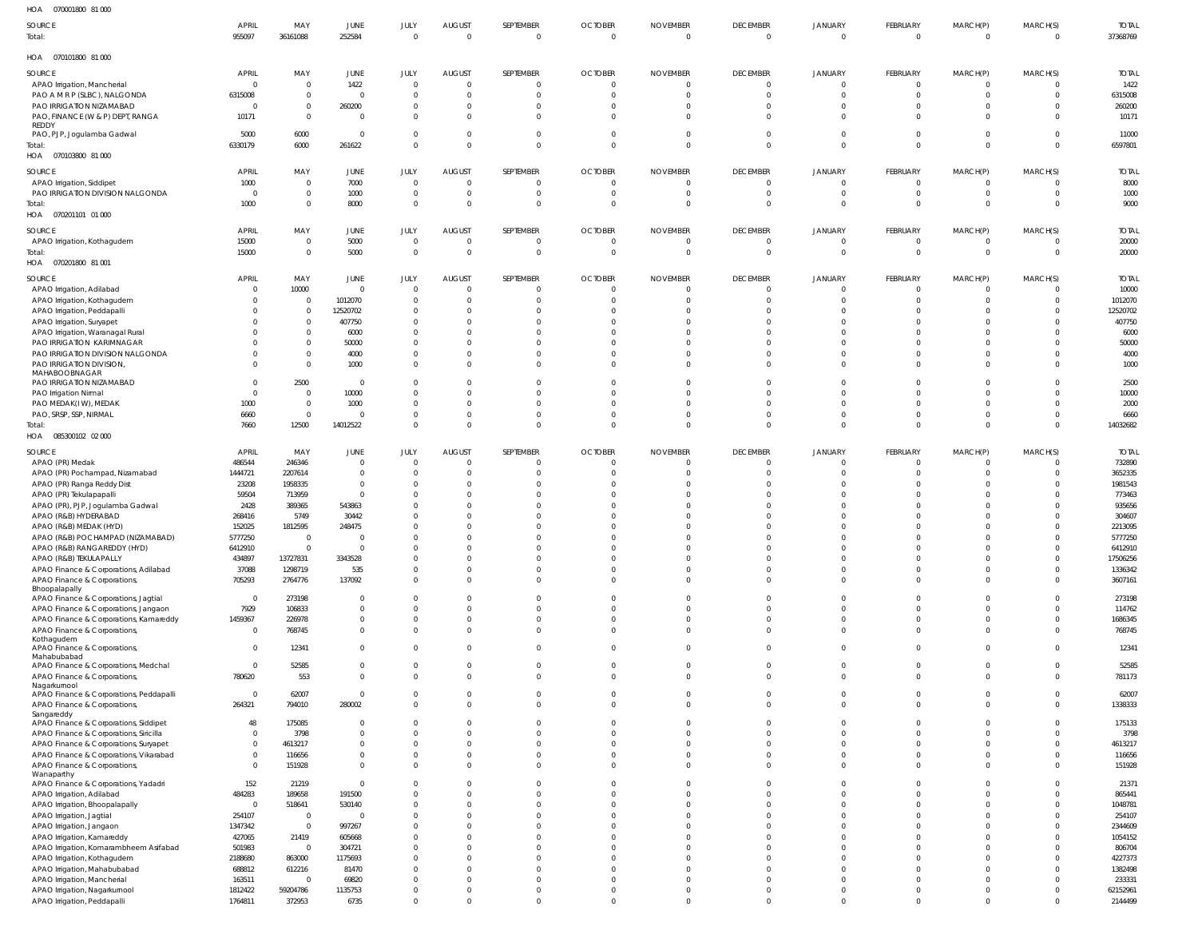| HOA | 070001800 81 000 |  |
|-----|------------------|--|

| 110 <sub>M</sub><br>U/UUUIUUU UIUUU                                   |                          |                               |                                  |                      |                                  |                            |                            |                                  |                             |                            |                      |                                  |                         |                        |
|-----------------------------------------------------------------------|--------------------------|-------------------------------|----------------------------------|----------------------|----------------------------------|----------------------------|----------------------------|----------------------------------|-----------------------------|----------------------------|----------------------|----------------------------------|-------------------------|------------------------|
| SOURCE                                                                | APRIL                    | MAY                           | JUNE                             | JULY                 | <b>AUGUST</b>                    | SEPTEMBER                  | <b>OCTOBER</b>             | <b>NOVEMBER</b>                  | <b>DECEMBER</b>             | <b>JANUARY</b>             | FEBRUARY             | MARCH(P)                         | MARCH(S)                | <b>TOTAL</b>           |
| Total:                                                                | 955097                   | 36161088                      | 252584                           | $\Omega$             | $\overline{0}$                   | $\Omega$                   | $\overline{0}$             | $\overline{0}$                   | $\overline{0}$              | $\overline{0}$             | $\Omega$             | $\overline{0}$                   | $\Omega$                | 37368769               |
| HOA  070101800  81 000                                                |                          |                               |                                  |                      |                                  |                            |                            |                                  |                             |                            |                      |                                  |                         |                        |
|                                                                       |                          |                               |                                  |                      |                                  |                            |                            |                                  |                             |                            |                      |                                  |                         |                        |
| SOURCE                                                                | <b>APRIL</b><br>$\Omega$ | MAY<br>$\mathbf 0$            | <b>JUNE</b><br>1422              | JULY<br>$\Omega$     | <b>AUGUST</b><br>$\overline{0}$  | SEPTEMBER                  | <b>OCTOBER</b><br>- 0      | <b>NOVEMBER</b><br>0             | <b>DECEMBER</b><br>$\Omega$ | <b>JANUARY</b><br>- 0      | FEBRUARY<br>$\Omega$ | MARCH(P)<br>0                    | MARCH(S)                | <b>TOTAL</b><br>1422   |
| APAO Irrigation, Mancherial<br>PAO A M R P (SLBC), NALGONDA           | 6315008                  | $\mathbf 0$                   | $\overline{0}$                   | $\Omega$             | $\overline{0}$                   | $\Omega$                   | $\Omega$                   | $\mathbf 0$                      | $\overline{0}$              | $\overline{0}$             | $\Omega$             | 0                                | $\Omega$                | 6315008                |
| PAO IRRIGATION NIZAMABAD                                              | $\Omega$                 | $\mathbf 0$                   | 260200                           | $\Omega$             | $\overline{0}$                   |                            | -0                         | $\Omega$                         | $\Omega$                    |                            | $\Omega$             | 0                                |                         | 260200                 |
| PAO, FINANCE (W & P) DEPT, RANGA                                      | 10171                    | $\mathbf 0$                   | $\overline{0}$                   | $\Omega$             | $\overline{0}$                   | $\Omega$                   | $\Omega$                   | 0                                | $\Omega$                    | $\overline{0}$             | $\Omega$             | 0                                |                         | 10171                  |
| REDDY                                                                 |                          |                               |                                  |                      |                                  |                            |                            |                                  |                             |                            |                      |                                  |                         |                        |
| PAO, PJP, Jogulamba Gadwal                                            | 5000                     | 6000                          | $\mathbf{0}$                     | $\Omega$             | $\overline{0}$                   | $\Omega$                   | $\overline{0}$             | $\mathbf 0$                      | $\overline{0}$              | $\overline{0}$             | $\Omega$             | $\overline{0}$                   | $\Omega$                | 11000                  |
| Total:                                                                | 6330179                  | 6000                          | 261622                           | $\Omega$             | $\overline{0}$                   | $\Omega$                   | $\Omega$                   | $\mathbf 0$                      | $\Omega$                    | $\Omega$                   | $\Omega$             | $\overline{0}$                   | $\Omega$                | 6597801                |
| HOA  070103800  81 000                                                |                          |                               |                                  |                      |                                  |                            |                            |                                  |                             |                            |                      |                                  |                         |                        |
| SOURCE                                                                | <b>APRIL</b>             | MAY                           | JUNE                             | JULY                 | <b>AUGUST</b>                    | SEPTEMBER                  | <b>OCTOBER</b>             | <b>NOVEMBER</b>                  | <b>DECEMBER</b>             | <b>JANUARY</b>             | FEBRUARY             | MARCH(P)                         | MARCH(S)                | <b>TOTAL</b>           |
| APAO Irrigation, Siddipet                                             | 1000                     | $\mathbf 0$                   | 7000                             | $\Omega$             | $\overline{0}$                   | $\Omega$                   | $\overline{0}$             | $\mathbf 0$                      | $\overline{0}$              | $\overline{0}$             | $\Omega$             | $\overline{0}$                   | $\Omega$                | 8000                   |
| PAO IRRIGATION DIVISION NALGONDA                                      | $\overline{0}$           | $\mathbf 0$                   | 1000                             | $\Omega$             | $\overline{0}$                   | $\circ$                    | $\overline{0}$             | $\overline{0}$                   | $\overline{0}$              | $\overline{0}$             | $\Omega$             | $\overline{0}$                   | $\overline{0}$          | 1000                   |
| Total:                                                                | 1000                     | $\mathbf 0$                   | 8000                             | $\Omega$             | $\overline{0}$                   | $\Omega$                   | $\Omega$                   | $\mathbf 0$                      | $\Omega$                    | $\Omega$                   | $\Omega$             | $\overline{0}$                   | $\Omega$                | 9000                   |
| HOA  070201101  01  000                                               |                          |                               |                                  |                      |                                  |                            |                            |                                  |                             |                            |                      |                                  |                         |                        |
| SOURCE                                                                | <b>APRIL</b>             | MAY                           | <b>JUNE</b>                      | JULY                 | <b>AUGUST</b>                    | SEPTEMBER                  | <b>OCTOBER</b>             | <b>NOVEMBER</b>                  | <b>DECEMBER</b>             | <b>JANUARY</b>             | FEBRUARY             | MARCH(P)                         | MARCH(S)                | <b>TOTAL</b>           |
| APAO Irrigation, Kothagudem                                           | 15000                    | $\mathbf 0$                   | 5000                             | $\Omega$             | $\overline{0}$                   |                            | $\circ$                    | $\mathbf 0$                      | $\overline{0}$              | $\Omega$                   | $\Omega$             | 0                                |                         | 20000                  |
| Total:                                                                | 15000                    | $\mathbf 0$                   | 5000                             | $\Omega$             | $\overline{0}$                   | $\Omega$                   | $\circ$                    | $\mathbf 0$                      | $\overline{0}$              | $\overline{0}$             | $\mathbf{0}$         | $\overline{0}$                   | $\overline{0}$          | 20000                  |
| HOA  070201800  81 001                                                |                          |                               |                                  |                      |                                  |                            |                            |                                  |                             |                            |                      |                                  |                         |                        |
| SOURCE                                                                | <b>APRIL</b>             | MAY                           | JUNE                             | JULY                 | <b>AUGUST</b>                    | SEPTEMBER                  | <b>OCTOBER</b>             | <b>NOVEMBER</b>                  | <b>DECEMBER</b>             | <b>JANUARY</b>             | FEBRUARY             | MARCH(P)                         | MARCH(S)                | <b>TOTAL</b>           |
| APAO Irrigation, Adilabad                                             | 0                        | 10000                         | $\overline{0}$                   | $\Omega$             | $\overline{0}$                   | $\Omega$                   | $\overline{0}$             | $\mathbf 0$                      | $\Omega$                    | $\Omega$                   | $\Omega$             | 0                                |                         | 10000                  |
| APAO Irrigation, Kothagudem                                           | $\Omega$                 | $\mathbf 0$                   | 1012070                          | $\Omega$             | $\overline{0}$                   | $\Omega$                   | $\circ$                    | $\mathbf 0$                      | $\Omega$                    | $\Omega$                   | $\Omega$             | $\mathbf 0$                      | $\overline{0}$          | 1012070                |
| APAO Irrigation, Peddapalli                                           |                          | $\mathbf 0$                   | 12520702                         | $\Omega$             | $\overline{0}$                   |                            | $\Omega$                   | $\Omega$                         | $\Omega$                    |                            | $\Omega$             | $\Omega$                         | $\Omega$                | 12520702               |
| APAO Irrigation, Suryapet                                             |                          | $\mathbf 0$<br>$\mathbf 0$    | 407750<br>6000                   | $\Omega$<br>$\Omega$ | $\overline{0}$<br>$\overline{0}$ |                            | $\Omega$<br>$\Omega$       | $\Omega$<br>$\Omega$             | $\Omega$<br>$\Omega$        |                            | $\Omega$<br>$\Omega$ | $\Omega$<br>$\Omega$             | $\Omega$                | 407750<br>6000         |
| APAO Irrigation, Waranagal Rural<br>PAO IRRIGATION KARIMNAGAR         |                          | $\mathbf 0$                   | 50000                            | $\Omega$             | $\overline{0}$                   | $\Omega$                   | $\Omega$                   | $\Omega$                         | $\Omega$                    |                            | $\Omega$             | $\Omega$                         | $\Omega$                | 50000                  |
| PAO IRRIGATION DIVISION NALGONDA                                      |                          | $\mathbf 0$                   | 4000                             | $\Omega$             | $\overline{0}$                   | $\Omega$                   | $\Omega$                   | $\Omega$                         | $\Omega$                    | $\Omega$                   | $\Omega$             | 0                                | $\Omega$                | 4000                   |
| PAO IRRIGATION DIVISION,                                              | $\Omega$                 | $\mathbf 0$                   | 1000                             | $\Omega$             | $\overline{0}$                   | $\Omega$                   | $\Omega$                   | $\Omega$                         | $\Omega$                    | $\Omega$                   | $\Omega$             | $\Omega$                         | $\Omega$                | 1000                   |
| MAHABOOBNAGAR                                                         |                          |                               |                                  |                      |                                  |                            |                            |                                  |                             |                            |                      |                                  |                         |                        |
| PAO IRRIGATION NIZAMABAD                                              | $\Omega$                 | 2500                          | $\overline{0}$                   | $\Omega$             | $\overline{0}$                   | $\Omega$                   | $\Omega$                   | $\Omega$                         | $\Omega$                    |                            | $\Omega$             | $\Omega$                         |                         | 2500                   |
| PAO Irrigation Nirmal                                                 | $\Omega$                 | $\mathbf 0$                   | 10000                            | $\Omega$             | $\overline{0}$                   | $\Omega$                   | $\Omega$                   | $\Omega$                         | $\Omega$                    |                            | $\Omega$             | $\Omega$                         | $\Omega$                | 10000                  |
| PAO MEDAK(IW), MEDAK<br>PAO, SRSP, SSP, NIRMAL                        | 1000<br>6660             | $\mathbf 0$<br>$\overline{0}$ | 1000<br>$\overline{0}$           | $\Omega$<br>$\Omega$ | $\overline{0}$<br>$\overline{0}$ | $\Omega$<br>$\Omega$       | $\Omega$<br>$\overline{0}$ | $\Omega$<br>$\mathbf 0$          | $\Omega$<br>$\overline{0}$  | $\overline{0}$             | $\Omega$<br>$\Omega$ | 0<br>0                           | $\Omega$                | 2000<br>6660           |
| Total:                                                                | 7660                     | 12500                         | 14012522                         | $\Omega$             | $\overline{0}$                   | $\Omega$                   | $\Omega$                   | $\mathbf 0$                      | $\Omega$                    | $\Omega$                   | $\Omega$             | $\overline{0}$                   | $\Omega$                | 14032682               |
| HOA  085300102  02  000                                               |                          |                               |                                  |                      |                                  |                            |                            |                                  |                             |                            |                      |                                  |                         |                        |
|                                                                       |                          |                               |                                  |                      |                                  |                            |                            |                                  |                             |                            |                      |                                  |                         |                        |
| SOURCE                                                                | <b>APRIL</b>             | MAY<br>246346                 | <b>JUNE</b><br>$\mathbf{0}$      | JULY<br>$\Omega$     | <b>AUGUST</b><br>$\overline{0}$  | SEPTEMBER                  | <b>OCTOBER</b>             | <b>NOVEMBER</b>                  | <b>DECEMBER</b><br>$\Omega$ | <b>JANUARY</b>             | FEBRUARY<br>$\Omega$ | MARCH(P)                         | MARCH(S)                | <b>TOTAL</b><br>732890 |
| APAO (PR) Medak<br>APAO (PR) Pochampad, Nizamabad                     | 486544<br>1444721        | 2207614                       | $\overline{0}$                   | $\Omega$             | $\overline{0}$                   |                            | - 0<br>$\Omega$            | 0<br>$\Omega$                    | $\Omega$                    | $\Omega$                   | $\Omega$             | 0<br>0                           |                         | 3652335                |
| APAO (PR) Ranga Reddy Dist                                            | 23208                    | 1958335                       | $\overline{0}$                   | $\Omega$             | $\overline{0}$                   |                            | -0                         | -0                               |                             |                            | $\Omega$             | $\Omega$                         |                         | 1981543                |
| APAO (PR) Tekulapapalli                                               | 59504                    | 713959                        | $\mathbf{0}$                     | $\Omega$             | $\Omega$                         |                            |                            |                                  |                             |                            |                      |                                  |                         | 773463                 |
| APAO (PR), PJP, Jogulamba Gadwal                                      | 2428                     | 389365                        | 543863                           | $\Omega$             | $\Omega$                         |                            |                            |                                  |                             |                            |                      | $\Omega$                         |                         | 935656                 |
| APAO (R&B) HYDERABAD                                                  | 268416                   | 5749                          | 30442                            | $\Omega$             | $\mathbf 0$                      |                            | -0                         |                                  |                             |                            | $\Omega$             | $\Omega$                         |                         | 304607                 |
| APAO (R&B) MEDAK (HYD)                                                | 152025                   | 1812595                       | 248475                           | $\Omega$             | $\overline{0}$                   |                            | $\Omega$                   | -0                               |                             |                            | $\Omega$             | $\Omega$                         |                         | 2213095                |
| APAO (R&B) POCHAMPAD (NIZAMABAD)                                      | 5777250                  | $\mathbf 0$                   | $\Omega$                         | $\Omega$             | $\Omega$                         |                            | $\Omega$                   | $\Omega$                         | $\Omega$                    | $\Omega$                   | $\Omega$             | $\Omega$                         | $\Omega$                | 5777250                |
| APAO (R&B) RANGAREDDY (HYD)                                           | 6412910                  | $\Omega$                      | 0                                |                      | $\Omega$                         |                            |                            |                                  |                             |                            |                      | $\Omega$                         |                         | 6412910                |
| APAO (R&B) TEKULAPALLY                                                | 434897                   | 13727831                      | 3343528                          | $\Omega$<br>$\Omega$ | $\overline{0}$<br>$\overline{0}$ |                            | $\Omega$<br>$\Omega$       | $\Omega$<br>$\Omega$             | $\overline{0}$<br>$\Omega$  | $\Omega$<br>$\Omega$       | $\Omega$<br>$\Omega$ | $\Omega$                         | $\Omega$<br>$\Omega$    | 17506256               |
| APAO Finance & Corporations, Adilabad<br>APAO Finance & Corporations, | 37088<br>705293          | 1298719<br>2764776            | 535<br>137092                    | $\Omega$             | $\overline{0}$                   | $\Omega$<br>$\Omega$       | $\Omega$                   | $\mathbf 0$                      | $\overline{0}$              | $\overline{0}$             | $\Omega$             | $\mathbf{0}$<br>$\mathbf{0}$     | $\Omega$                | 1336342<br>3607161     |
| Bhoopalapally                                                         |                          |                               |                                  |                      |                                  |                            |                            |                                  |                             |                            |                      |                                  |                         |                        |
| APAO Finance & Corporations, Jagtial                                  | $\overline{0}$           | 273198                        | $\overline{0}$                   | $\Omega$             | $\overline{0}$                   | $\Omega$                   | $\Omega$                   | $\Omega$                         | $\Omega$                    | $\Omega$                   | $\Omega$             | $\mathbf{0}$                     | $\Omega$                | 273198                 |
| APAO Finance & Corporations, Jangaon                                  | 7929                     | 106833                        | $\overline{0}$                   | $\Omega$             | $\overline{0}$                   | $\Omega$                   | $\Omega$                   | $\Omega$                         | $\Omega$                    | $\Omega$                   | $\Omega$             | $\Omega$                         | $\Omega$                | 114762                 |
| APAO Finance & Corporations, Kamareddy                                | 1459367                  | 226978                        | $\overline{0}$                   | $\Omega$             | $\overline{0}$                   | $\Omega$                   | $\Omega$                   | $\Omega$                         | $\Omega$                    | $\Omega$                   | $\Omega$             | $\mathbf{0}$                     | $\Omega$                | 1686345                |
| APAO Finance & Corporations,<br>Kothagudem                            | $\overline{0}$           | 768745                        | $\overline{0}$                   | $\Omega$             | $\overline{0}$                   | $\Omega$                   | $\Omega$                   | $\mathbf 0$                      | $\overline{0}$              | $\overline{0}$             | $\Omega$             | $\mathbf{0}$                     | $\Omega$                | 768745                 |
| APAO Finance & Corporations,                                          | $\overline{0}$           | 12341                         | $\overline{0}$                   | $\Omega$             | $\overline{0}$                   | $\Omega$                   | $\Omega$                   | $\Omega$                         | $\Omega$                    | $\Omega$                   | $\Omega$             | $\mathbf{0}$                     | $\Omega$                | 12341                  |
| Mahabubabad                                                           |                          |                               |                                  |                      |                                  |                            |                            |                                  |                             |                            |                      |                                  |                         |                        |
| APAO Finance & Corporations, Medchal<br>APAO Finance & Corporations,  | $\overline{0}$<br>780620 | 52585<br>553                  | $\overline{0}$<br>$\overline{0}$ | $\Omega$<br>$\Omega$ | $\overline{0}$<br>$\overline{0}$ | $\Omega$<br>$\Omega$       | $\Omega$<br>$\Omega$       | $\Omega$<br>$\Omega$             | $\overline{0}$<br>$\Omega$  | $\overline{0}$<br>$\Omega$ | $\Omega$<br>$\Omega$ | $\mathbf{0}$<br>$\Omega$         | $\Omega$<br>$\Omega$    | 52585<br>781173        |
| Nagarkurnool                                                          |                          |                               |                                  |                      |                                  |                            |                            |                                  |                             |                            |                      |                                  |                         |                        |
| APAO Finance & Corporations, Peddapalli                               | $\overline{0}$           | 62007                         | $\mathbf{0}$                     | $\Omega$             | $\overline{0}$                   | $\Omega$                   | $\Omega$                   | $\Omega$                         | $\Omega$                    | $\Omega$                   | $\Omega$             | $\overline{0}$                   | $\Omega$                | 62007                  |
| APAO Finance & Corporations,                                          | 264321                   | 794010                        | 280002                           | $\Omega$             | $\overline{0}$                   | $\Omega$                   | $\Omega$                   | $\Omega$                         | $\Omega$                    | $\Omega$                   | $\Omega$             | $\mathbf{0}$                     | $\Omega$                | 1338333                |
| Sangareddy<br>APAO Finance & Corporations, Siddipet                   | 48                       | 175085                        | $\overline{0}$                   | $\Omega$             | $\overline{0}$                   | $\Omega$                   | $\Omega$                   | $\Omega$                         | $\Omega$                    | $\Omega$                   | $\Omega$             | $\Omega$                         | $\Omega$                | 175133                 |
| APAO Finance & Corporations, Siricilla                                | $\overline{0}$           | 3798                          | $\overline{0}$                   | $\Omega$             | $\overline{0}$                   | $\Omega$                   | $\Omega$                   | $\mathbf 0$                      | $\Omega$                    | $\Omega$                   | $\Omega$             | $\Omega$                         | $\Omega$                | 3798                   |
| APAO Finance & Corporations, Suryapet                                 | $\mathbf 0$              | 4613217                       | $\overline{0}$                   | $\Omega$             | $\overline{0}$                   | $\Omega$                   | $\Omega$                   | $\mathbf 0$                      | $\Omega$                    | $\Omega$                   | $\Omega$             | $\Omega$                         | $\Omega$                | 4613217                |
| APAO Finance & Corporations, Vikarabad                                | $\mathbf{0}$             | 116656                        | $\overline{0}$                   | $\Omega$             | $\overline{0}$                   | $\Omega$                   | $\Omega$                   | $\overline{0}$                   | $\Omega$                    | $\Omega$                   | $\Omega$             | $\mathbf{0}$                     | $\Omega$                | 116656                 |
| APAO Finance & Corporations,                                          | $\mathbf{0}$             | 151928                        | $\overline{0}$                   | $\Omega$             | $\overline{0}$                   | $\Omega$                   | $\Omega$                   | $\overline{0}$                   | $\Omega$                    | $\Omega$                   | $\Omega$             | $\mathbf{0}$                     | $\Omega$                | 151928                 |
| Wanaparthy<br>APAO Finance & Corporations, Yadadri                    | 152                      | 21219                         | $\overline{0}$                   | $\Omega$             | $\overline{0}$                   | $\Omega$                   | $\Omega$                   | $\mathbf 0$                      | $\Omega$                    | $\Omega$                   | $\Omega$             | $\overline{0}$                   | $\Omega$                | 21371                  |
| APAO Irrigation, Adilabad                                             | 484283                   | 189658                        | 191500                           | $\Omega$             | $\overline{0}$                   | $\Omega$                   | $\Omega$                   | $\mathbf 0$                      | $\Omega$                    | $\Omega$                   | $\Omega$             | $\Omega$                         | $\Omega$                | 865441                 |
| APAO Irrigation, Bhoopalapally                                        | $\overline{0}$           | 518641                        | 530140                           | $\Omega$             | $\overline{0}$                   | $\Omega$                   | $\Omega$                   | $\mathbf 0$                      | $\Omega$                    | $\Omega$                   | $\Omega$             | $\Omega$                         | $\Omega$                | 1048781                |
| APAO Irrigation, Jagtial                                              | 254107                   | $\overline{0}$                | $\overline{0}$                   | $\Omega$             | $\Omega$                         | $\Omega$                   | $\Omega$                   | $\Omega$                         | $\Omega$                    | $\Omega$                   | $\Omega$             | $\Omega$                         | $\Omega$                | 254107                 |
| APAO Irrigation, Jangaon                                              | 1347342                  | $\overline{0}$                | 997267                           | $\Omega$             | $\overline{0}$                   | $\Omega$                   | $\Omega$                   | $\mathbf 0$                      | $\Omega$                    | $\Omega$                   | $\Omega$             | $\Omega$                         | $\Omega$                | 2344609                |
| APAO Irrigation, Kamareddy                                            | 427065                   | 21419                         | 605668                           | $\Omega$             | $\Omega$                         | $\Omega$                   | $\Omega$                   | $\mathbf 0$                      | $\Omega$                    | $\Omega$                   | $\Omega$             | $\Omega$                         | <sup>0</sup>            | 1054152                |
| APAO Irrigation, Komarambheem Asifabad                                | 501983                   | $\overline{0}$                | 304721                           | $\Omega$             | $\overline{0}$                   | $\Omega$                   | $\Omega$                   | $\Omega$                         | $\Omega$                    | $\Omega$                   | $\Omega$             | $\Omega$                         | $\Omega$                | 806704                 |
| APAO Irrigation, Kothagudem                                           | 2188680                  | 863000                        | 1175693                          | $\Omega$             | $\Omega$                         | $\Omega$                   | $\Omega$                   | $\Omega$                         | $\Omega$                    | $\Omega$                   | $\Omega$             | $\Omega$                         | $\Omega$                | 4227373                |
| APAO Irrigation, Mahabubabad                                          | 688812                   | 612216                        | 81470                            | $\Omega$             | $\overline{0}$                   | $\Omega$                   | $\Omega$                   | $\Omega$                         | $\Omega$                    | $\Omega$                   | $\Omega$             | $\Omega$                         | $\Omega$                | 1382498                |
| APAO Irrigation, Mancherial                                           | 163511                   | $\overline{0}$                | 69820                            | $\Omega$             | $\overline{0}$                   | $\Omega$                   | $\Omega$                   | $\mathbf 0$                      | $\Omega$                    | $\Omega$                   | $\Omega$             | $\overline{0}$                   | $\Omega$                | 233331                 |
| APAO Irrigation, Nagarkurnool                                         | 1812422<br>1764811       | 59204786<br>372953            | 1135753<br>6735                  | $\Omega$<br>$\Omega$ | $\overline{0}$<br>$\overline{0}$ | $\Omega$<br>$\overline{0}$ | - 0<br>$\overline{0}$      | $\overline{0}$<br>$\overline{0}$ | $\Omega$<br>$\overline{0}$  | $\Omega$<br>$\overline{0}$ | $\Omega$<br>$\Omega$ | $\overline{0}$<br>$\overline{0}$ | $\Omega$<br>$\mathbf 0$ | 62152961<br>2144499    |
| APAO Irrigation, Peddapalli                                           |                          |                               |                                  |                      |                                  |                            |                            |                                  |                             |                            |                      |                                  |                         |                        |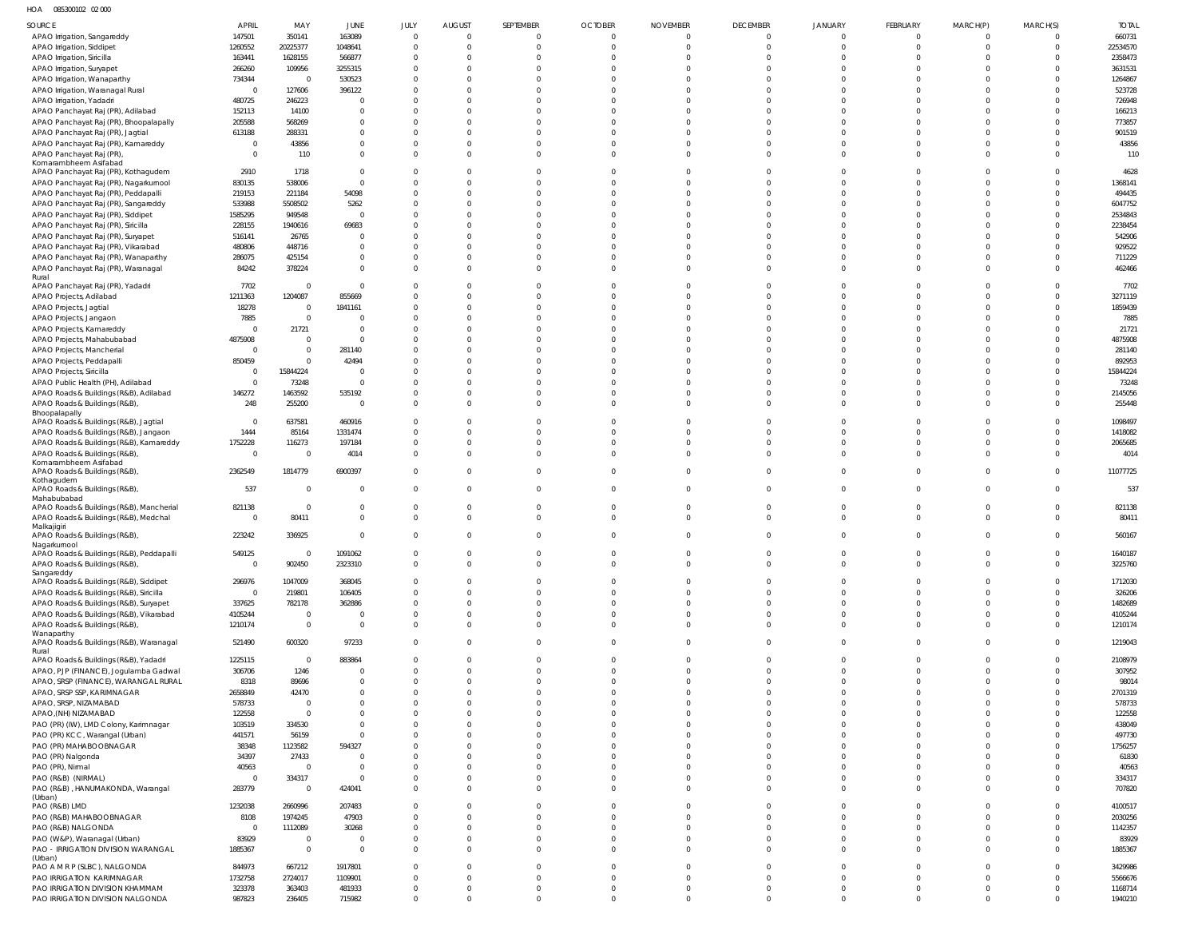HOA 085300102 02 000

| <b>SOURCE</b>                                                                     | <b>APRIL</b>             | MAY                      | JUNE                       | JULY                        | <b>AUGUST</b>        | SEPTEMBER                        | <b>OCTOBER</b>                   | <b>NOVEMBER</b>            | <b>DECEMBER</b>      | JANUARY              | <b>FEBRUARY</b>      | MARCH(P)                         | MARCH(S)                 | <b>TOTAL</b>       |
|-----------------------------------------------------------------------------------|--------------------------|--------------------------|----------------------------|-----------------------------|----------------------|----------------------------------|----------------------------------|----------------------------|----------------------|----------------------|----------------------|----------------------------------|--------------------------|--------------------|
| APAO Irrigation, Sangareddy                                                       | 147501                   | 350141                   | 163089                     | $\mathbf{0}$                | $\Omega$             | $\overline{0}$                   | $\overline{0}$                   | $\overline{0}$             | $\Omega$             | $\Omega$             | $\Omega$             | $\circ$                          |                          | 660731             |
| APAO Irrigation, Siddipet                                                         | 1260552                  | 20225377                 | 1048641                    | $\mathbf 0$                 | $\Omega$             | $\overline{0}$                   | $\overline{0}$                   | $\overline{0}$             | $\Omega$             | $\Omega$             | $\Omega$             | $\overline{0}$                   | $\mathbf{0}$             | 22534570           |
| APAO Irrigation, Siricilla                                                        | 163441                   | 1628155                  | 566877                     | $\mathbf 0$                 | $\Omega$             | $\Omega$                         | $\Omega$                         | $\Omega$                   | $\Omega$             | $\Omega$             | $\Omega$             | $\Omega$                         | <sup>0</sup>             | 2358473            |
| APAO Irrigation, Suryapet                                                         | 266260<br>734344         | 109956<br>$\Omega$       | 3255315<br>530523          | $\mathbf 0$<br>$\mathbf 0$  | $\Omega$<br>$\Omega$ | $\Omega$<br>$\Omega$             | $\Omega$<br>$\Omega$             | $\Omega$<br>$\Omega$       | $\Omega$<br>$\Omega$ | $\Omega$<br>$\cap$   | $\Omega$<br>$\cap$   | $\Omega$<br>$\Omega$             | U                        | 3631531<br>1264867 |
| APAO Irrigation, Wanaparthy<br>APAO Irrigation, Waranagal Rural                   | C                        | 127606                   | 396122                     | $\mathbf 0$                 | $\Omega$             | $\Omega$                         | $\Omega$                         | $\Omega$                   | $\Omega$             | $\Omega$             | $\Omega$             | $\Omega$                         | $\Omega$                 | 523728             |
| APAO Irrigation, Yadadri                                                          | 480725                   | 246223                   | 0                          | $\mathbf 0$                 | $\Omega$             | $\Omega$                         | $\Omega$                         | $\Omega$                   | $\Omega$             | $\Omega$             | $\Omega$             | $\Omega$                         | <sup>0</sup>             | 726948             |
| APAO Panchayat Raj (PR), Adilabad                                                 | 152113                   | 14100                    | $\mathbf 0$                | $\mathbf 0$                 | $\Omega$             | $\Omega$                         | $\Omega$                         | $\Omega$                   | $\Omega$             | $\Omega$             | $\cap$               | $\Omega$                         | $\Omega$                 | 166213             |
| APAO Panchayat Raj (PR), Bhoopalapally                                            | 205588                   | 568269                   | $\mathbf 0$                | $\mathbf 0$                 | $\Omega$             | $\Omega$                         | $\Omega$                         | $\Omega$                   | $\Omega$             | $\Omega$             | $\Omega$             | $\Omega$                         | <sup>0</sup>             | 773857             |
| APAO Panchayat Raj (PR), Jagtial                                                  | 613188                   | 288331                   | 0                          | $\mathbf 0$                 | $\Omega$             | $\Omega$                         | $\Omega$                         | $\Omega$                   | $\Omega$             | $\Omega$             | $\cap$               | $\Omega$                         | $\Omega$                 | 901519             |
| APAO Panchayat Raj (PR), Kamareddy                                                | C                        | 43856                    | $\mathbf 0$                | $\mathbf 0$                 | $\Omega$             | $\overline{0}$                   | $\Omega$                         | $\Omega$                   | $\Omega$             | $\Omega$             | $\Omega$             | $\Omega$                         | $\Omega$                 | 43856              |
| APAO Panchayat Raj (PR)<br>Komarambheem Asifabad                                  | - 0                      | 110                      | $\mathbf 0$                | $\mathbf 0$                 | $\Omega$             | $\Omega$                         | $\Omega$                         | $\Omega$                   | $\Omega$             | $\Omega$             | $\Omega$             | $\Omega$                         | $\Omega$                 | 110                |
| APAO Panchayat Raj (PR), Kothagudem                                               | 2910                     | 1718                     | $\mathbf 0$                | $\mathbf 0$                 | $\Omega$             | $\Omega$                         | $\Omega$                         | $\Omega$                   | $\Omega$             | $\Omega$             | $\Omega$             | $\Omega$                         | $\Omega$                 | 4628               |
| APAO Panchayat Raj (PR), Nagarkurnool                                             | 830135                   | 538006                   | $\mathbf 0$                | $\mathbf{0}$                | $\Omega$             | $\Omega$                         | $\overline{0}$                   | $\Omega$                   | $\Omega$             | $\Omega$             | $\Omega$             | $\Omega$                         | $\Omega$                 | 1368141            |
| APAO Panchayat Raj (PR), Peddapalli                                               | 219153                   | 221184                   | 54098                      | $\mathbf 0$                 | $\Omega$             | $\Omega$                         | $\Omega$                         | $\Omega$                   | $\Omega$             | $\Omega$             | $\Omega$             | $\Omega$                         | <sup>0</sup>             | 494435             |
| APAO Panchayat Raj (PR), Sangareddy                                               | 533988                   | 5508502                  | 5262                       | $\mathbf 0$                 | $\Omega$<br>$\Omega$ | $\Omega$                         | $\Omega$                         | $\Omega$<br>$\Omega$       | $\Omega$<br>$\Omega$ | $\Omega$<br>$\Omega$ | $\Omega$<br>$\Omega$ | $\Omega$<br>$\Omega$             | $\Omega$                 | 6047752            |
| APAO Panchayat Raj (PR), Siddipet<br>APAO Panchayat Raj (PR), Siricilla           | 1585295<br>228155        | 949548<br>1940616        | $\Omega$<br>69683          | $\mathbf 0$<br>$\mathbf 0$  | $\Omega$             | $\Omega$<br>$\Omega$             | $\Omega$<br>$\Omega$             | $\Omega$                   | $\Omega$             | $\Omega$             | $\cap$               | $\Omega$                         | <sup>0</sup><br>U        | 2534843<br>2238454 |
| APAO Panchayat Raj (PR), Suryapet                                                 | 516141                   | 26765                    | $\mathbf 0$                | $\mathbf 0$                 | $\Omega$             | $\Omega$                         | $\Omega$                         | $\Omega$                   | $\Omega$             | $\Omega$             | $\Omega$             | $\Omega$                         | <sup>0</sup>             | 542906             |
| APAO Panchayat Raj (PR), Vikarabad                                                | 480806                   | 448716                   | $\mathbf 0$                | $\mathbf 0$                 | $\Omega$             | $\Omega$                         | $\Omega$                         | $\Omega$                   | $\Omega$             | $\Omega$             | $\Omega$             | $\Omega$                         | $\Omega$                 | 929522             |
| APAO Panchayat Raj (PR), Wanaparthy                                               | 286075                   | 425154                   | $\mathbf 0$                | $\mathbf 0$                 | $\Omega$             | $\Omega$                         | $\Omega$                         | $\Omega$                   | $\Omega$             | $\Omega$             | $\Omega$             | $\Omega$                         | $\Omega$                 | 711229             |
| APAO Panchayat Raj (PR), Waranagal                                                | 84242                    | 378224                   | $\mathbf 0$                | $\mathbf 0$                 | $\Omega$             | $\Omega$                         | $\Omega$                         | $\Omega$                   | $\Omega$             | $\Omega$             | $\Omega$             | $\Omega$                         | $\Omega$                 | 462466             |
| Rural                                                                             | 7702                     | $\Omega$                 | $\mathbf 0$                | $\mathbf 0$                 | $\Omega$             | $\Omega$                         | $\overline{0}$                   | $\Omega$                   | $\Omega$             | $\Omega$             | $\Omega$             | $\Omega$                         | $\Omega$                 | 7702               |
| APAO Panchayat Raj (PR), Yadadri<br>APAO Projects, Adilabad                       | 1211363                  | 1204087                  | 855669                     | $\mathbf 0$                 | $\Omega$             | $\Omega$                         | $\Omega$                         | $\Omega$                   | $\Omega$             | $\Omega$             | $\Omega$             | $\Omega$                         | $\Omega$                 | 3271119            |
| APAO Projects, Jagtial                                                            | 18278                    | $\Omega$                 | 1841161                    | $\mathbf 0$                 | $\Omega$             | $\Omega$                         | $\Omega$                         | $\Omega$                   | $\Omega$             | $\Omega$             | $\Omega$             | $\Omega$                         | $\Omega$                 | 1859439            |
| APAO Projects, Jangaon                                                            | 7885                     | $\Omega$                 | 0                          | $\mathbf 0$                 | $\Omega$             | $\Omega$                         | $\Omega$                         | $\Omega$                   | $\Omega$             | $\Omega$             | $\Omega$             | $\Omega$                         | $\Omega$                 | 7885               |
| APAO Projects, Kamareddy                                                          | - 0                      | 21721                    | $\mathbf 0$                | $\mathbf 0$                 | $\Omega$             | $\Omega$                         | $\Omega$                         | $\Omega$                   | $\Omega$             | $\Omega$             | $\Omega$             | $\Omega$                         | $\Omega$                 | 21721              |
| APAO Projects, Mahabubabad                                                        | 4875908                  | $\Omega$                 | $\Omega$                   | $\mathbf 0$                 | $\Omega$             | $\Omega$                         | $\Omega$                         | $\Omega$                   | $\Omega$             | $\Omega$             | $\cap$               | $\Omega$                         | <sup>0</sup>             | 4875908            |
| APAO Projects, Mancherial                                                         | $\overline{0}$           | $\Omega$                 | 281140                     | $\mathbf 0$                 | $\Omega$             | $\Omega$                         | $\Omega$                         | $\Omega$                   | $\Omega$             | $\Omega$             | $\Omega$             | $\Omega$                         | <sup>0</sup>             | 281140             |
| APAO Projects, Peddapalli                                                         | 850459                   | $\Omega$                 | 42494                      | $\mathbf 0$                 | $\Omega$             | $\Omega$                         | $\Omega$                         | $\Omega$                   | $\Omega$             | $\Omega$             | $\Omega$             | $\Omega$                         | $\Omega$                 | 892953             |
| APAO Projects, Siricilla                                                          |                          | 15844224                 | 0                          | $\mathbf 0$                 | $\Omega$<br>$\Omega$ | $\Omega$                         | $\Omega$                         | $\Omega$                   | $\Omega$             | $\Omega$             | $\Omega$             | $\Omega$                         | $\Omega$                 | 15844224           |
| APAO Public Health (PH), Adilabad<br>APAO Roads & Buildings (R&B), Adilabad       | 146272                   | 73248<br>1463592         | $\mathbf 0$<br>535192      | $\mathbf 0$<br>$\mathbf 0$  | $\Omega$             | $\Omega$<br>$\Omega$             | $\Omega$<br>$\Omega$             | $\Omega$<br>$\Omega$       | $\Omega$<br>$\Omega$ | $\Omega$<br>$\Omega$ | $\Omega$<br>$\Omega$ | $\Omega$<br>$\Omega$             | $\Omega$<br>$\Omega$     | 73248<br>2145056   |
| APAO Roads & Buildings (R&B),                                                     | 248                      | 255200                   | $\mathbf 0$                | $\mathbf 0$                 | $\Omega$             | $\overline{0}$                   | $\Omega$                         | $\Omega$                   | $\Omega$             | $\Omega$             | $\Omega$             | $\Omega$                         | $\Omega$                 | 255448             |
| Bhoopalapally                                                                     |                          |                          |                            |                             |                      |                                  |                                  |                            |                      |                      |                      |                                  |                          |                    |
| APAO Roads & Buildings (R&B), Jagtial                                             | $\overline{0}$           | 637581                   | 460916                     | $\mathbf 0$                 | $\Omega$             | $\Omega$                         | $\Omega$                         | $\Omega$                   | $\Omega$             | $\Omega$             | $\Omega$             | $\Omega$                         | $\Omega$                 | 1098497            |
| APAO Roads & Buildings (R&B), Jangaon                                             | 1444                     | 85164                    | 1331474                    | $\mathbf{0}$                | $\Omega$             | $\Omega$                         | $\Omega$                         | $\Omega$                   | $\Omega$             | $\Omega$             | $\Omega$             | $\Omega$                         | $\Omega$                 | 1418082            |
| APAO Roads & Buildings (R&B), Kamareddy                                           | 1752228<br>C             | 116273<br>- 0            | 197184<br>4014             | $\mathbf 0$<br>$\mathbf 0$  | $\Omega$<br>$\Omega$ | $\overline{0}$<br>$\Omega$       | $\overline{0}$<br>$\Omega$       | $\Omega$<br>$\Omega$       | $\Omega$<br>$\Omega$ | $\Omega$<br>$\Omega$ | $\Omega$<br>$\Omega$ | $\Omega$<br>$\Omega$             | $\Omega$<br>$\Omega$     | 2065685<br>4014    |
| APAO Roads & Buildings (R&B)<br>Komarambheem Asifabad                             |                          |                          |                            |                             |                      |                                  |                                  |                            |                      |                      |                      |                                  |                          |                    |
| APAO Roads & Buildings (R&B),                                                     | 2362549                  | 1814779                  | 6900397                    | $\mathbf{0}$                | $\Omega$             | $\Omega$                         | $\overline{0}$                   | $\Omega$                   | $\Omega$             | $\Omega$             | $\Omega$             | $\Omega$                         | $\Omega$                 | 11077725           |
| Kothagudem<br>APAO Roads & Buildings (R&B),                                       | 537                      | $\Omega$                 | $\mathbf 0$                | $\mathbf{0}$                | $\Omega$             | $\overline{0}$                   | $\overline{0}$                   | $\Omega$                   | $\Omega$             | $\Omega$             | $\Omega$             | $\Omega$                         | $\Omega$                 | 537                |
| Mahabubabad                                                                       |                          |                          |                            |                             |                      |                                  |                                  |                            |                      |                      |                      |                                  |                          |                    |
| APAO Roads & Buildings (R&B), Mancherial                                          | 821138<br>$\overline{0}$ | $\Omega$<br>80411        | $\mathbf 0$<br>$\mathbf 0$ | $^{\circ}$<br>$\mathbf 0$   | $\Omega$<br>$\Omega$ | $\overline{0}$<br>$\overline{0}$ | $\overline{0}$<br>$\overline{0}$ | $\Omega$<br>$\overline{0}$ | $\Omega$<br>$\Omega$ | $\Omega$<br>$\Omega$ | $\Omega$<br>$\Omega$ | $\overline{0}$<br>$\overline{0}$ | $\Omega$<br>$\Omega$     | 821138<br>80411    |
| APAO Roads & Buildings (R&B), Medchal<br>Malkajigiri                              |                          |                          |                            |                             |                      |                                  |                                  |                            |                      |                      |                      |                                  |                          |                    |
| APAO Roads & Buildings (R&B),                                                     | 223242                   | 336925                   | $\mathbf 0$                | $\mathbf{0}$                | $\Omega$             | $\Omega$                         | $\Omega$                         | $\Omega$                   | $\Omega$             | $\Omega$             | $\Omega$             | $\Omega$                         | $\Omega$                 | 560167             |
| Nagarkurnool<br>APAO Roads & Buildings (R&B), Peddapalli                          | 549125                   | $\Omega$                 | 1091062                    | $\overline{0}$              | $\Omega$             | $\overline{0}$                   | $\overline{0}$                   | $\overline{0}$             | $\Omega$             | $\Omega$             | $\Omega$             | $\overline{0}$                   | $\Omega$                 | 1640187            |
| APAO Roads & Buildings (R&B)                                                      | $\Omega$                 | 902450                   | 2323310                    | $\mathbf{0}$                | $\overline{0}$       | $\overline{0}$                   | $\Omega$                         | $\overline{0}$             | $\Omega$             | $\mathbf 0$          | $\overline{0}$       | $\overline{0}$                   | $\Omega$                 | 3225760            |
| Sangareddy                                                                        |                          |                          |                            |                             |                      |                                  |                                  |                            |                      |                      |                      |                                  |                          |                    |
| APAO Roads & Buildings (R&B), Siddipet                                            | 296976                   | 1047009                  | 368045                     | $\overline{0}$              | $\Omega$             | $\overline{0}$                   | $\Omega$                         | $\Omega$                   | $\Omega$             | $\Omega$             | $\Omega$             | $\Omega$                         | $\Omega$                 | 1712030            |
| APAO Roads & Buildings (R&B), Siricilla                                           | $\overline{0}$           | 219801                   | 106405                     | $\mathbf{0}$                | $\Omega$<br>$\Omega$ | $\Omega$                         | $\Omega$<br>$\Omega$             | $\Omega$<br>$\Omega$       | $\Omega$<br>$\Omega$ | $\Omega$<br>$\Omega$ | $\Omega$<br>$\Omega$ | $\Omega$<br>$\Omega$             | $\Omega$<br>$\Omega$     | 326206             |
| APAO Roads & Buildings (R&B), Suryapet<br>APAO Roads & Buildings (R&B), Vikarabad | 337625<br>4105244        | 782178<br>$\overline{0}$ | 362886<br>$\mathbf 0$      | $\mathbf 0$<br>$\mathbf{0}$ | $\Omega$             | $\overline{0}$<br>$\overline{0}$ | $\Omega$                         | $\Omega$                   | $\Omega$             | $\Omega$             | $\Omega$             | $\Omega$                         | $\Omega$                 | 1482689<br>4105244 |
| APAO Roads & Buildings (R&B)                                                      | 1210174                  | $\overline{0}$           | $\mathbf 0$                | $\mathbf{0}$                | $\Omega$             | $\overline{0}$                   | $\Omega$                         | $\overline{0}$             | $\Omega$             | $\Omega$             | $\Omega$             | $\Omega$                         | $\Omega$                 | 1210174            |
| Wanaparthy                                                                        |                          |                          |                            |                             |                      |                                  |                                  |                            |                      |                      |                      |                                  |                          |                    |
| APAO Roads & Buildings (R&B), Waranagal                                           | 521490                   | 600320                   | 97233                      | $\mathbf{0}$                | $\Omega$             | $\Omega$                         | $\Omega$                         | $\Omega$                   | $\Omega$             | $\Omega$             | $\Omega$             | $\Omega$                         | $\Omega$                 | 1219043            |
| Rural<br>APAO Roads & Buildings (R&B), Yadadri                                    | 1225115                  | $\overline{0}$           | 883864                     | $\overline{0}$              | $\Omega$             | $\Omega$                         | $\Omega$                         | $\Omega$                   | $\Omega$             | $\Omega$             | $\Omega$             | $\Omega$                         | $\Omega$                 | 2108979            |
| APAO, PJP (FINANCE), Jogulamba Gadwal                                             | 306706                   | 1246                     | $\mathbf 0$                | $\mathbf 0$                 | $\Omega$             | $\Omega$                         | $\Omega$                         | $\Omega$                   | $\Omega$             | $\Omega$             | $\Omega$             | $\Omega$                         | $\Omega$                 | 307952             |
| APAO, SRSP (FINANCE), WARANGAL RURAL                                              | 8318                     | 89696                    | $\mathbf 0$                | $\mathbf 0$                 | $\Omega$             | $\Omega$                         | $\Omega$                         | $\Omega$                   | $\Omega$             | $\Omega$             | $\Omega$             | $\Omega$                         | $\Omega$                 | 98014              |
| APAO, SRSP SSP, KARIMNAGAR                                                        | 2658849                  | 42470                    | $\mathbf 0$                | $\Omega$                    | $\Omega$             | $\Omega$                         | $\Omega$                         | $\Omega$                   | $\Omega$             | $\Omega$             | $\Omega$             | $\Omega$                         | $\Omega$                 | 2701319            |
| APAO, SRSP, NIZAMABAD                                                             | 578733                   | $\overline{0}$           | $\mathbf 0$                | $\Omega$                    | $\Omega$             | $\Omega$                         | $\Omega$                         | $\Omega$                   | $\Omega$             | $\Omega$             | $\Omega$             | $\Omega$                         | $\Omega$                 | 578733             |
| APAO, (NH) NIZAMABAD                                                              | 122558                   | $\Omega$                 | $\mathbf 0$<br>$\mathbf 0$ | $\Omega$<br>$\Omega$        | $\Omega$<br>$\Omega$ | $\Omega$<br>$\Omega$             | $\Omega$<br>$\Omega$             | $\Omega$<br>$\Omega$       | $\Omega$<br>$\Omega$ | $\Omega$<br>$\Omega$ | $\Omega$<br>$\Omega$ | $\Omega$<br>$\Omega$             | <sup>0</sup><br>$\Omega$ | 122558             |
| PAO (PR) (IW), LMD Colony, Karimnagar<br>PAO (PR) KCC, Warangal (Urban)           | 103519<br>441571         | 334530<br>56159          | $\Omega$                   | $\Omega$                    | $\Omega$             | $\Omega$                         | $\Omega$                         | $\Omega$                   | $\Omega$             | $\Omega$             | $\Omega$             | $\Omega$                         | $\Omega$                 | 438049<br>497730   |
| PAO (PR) MAHABOOBNAGAR                                                            | 38348                    | 1123582                  | 594327                     | $\Omega$                    | $\Omega$             | $\Omega$                         | $\Omega$                         | $\Omega$                   | $\Omega$             | $\Omega$             | $\Omega$             | $\Omega$                         | $\Omega$                 | 1756257            |
| PAO (PR) Nalgonda                                                                 | 34397                    | 27433                    | $\mathbf 0$                | $\mathbf 0$                 | $\Omega$             | $\Omega$                         | $\Omega$                         | $\Omega$                   | $\Omega$             | $\Omega$             | $\Omega$             | $\Omega$                         | $\Omega$                 | 61830              |
| PAO (PR), Nirmal                                                                  | 40563                    | $\Omega$                 | $\mathbf 0$                | $\mathbf 0$                 | $\Omega$             | $\overline{0}$                   | $\Omega$                         | $\overline{0}$             | $\Omega$             | $\Omega$             | $\Omega$             | $\overline{0}$                   | $\Omega$                 | 40563              |
| PAO (R&B) (NIRMAL)                                                                | $\overline{0}$           | 334317                   | $\mathbf 0$                | $\mathbf{0}$                | $\Omega$             | $\overline{0}$                   | $\Omega$                         | $\overline{0}$             | $\Omega$             | $\Omega$             | $\Omega$             | $\overline{0}$                   | $\Omega$                 | 334317             |
| PAO (R&B), HANUMAKONDA, Warangal<br>(Urban)                                       | 283779                   | $\overline{0}$           | 424041                     | $\mathbf{0}$                | $\Omega$             | $\overline{0}$                   | $\Omega$                         | $\overline{0}$             | $\Omega$             | $\Omega$             | $\Omega$             | $\overline{0}$                   | $\Omega$                 | 707820             |
| PAO (R&B) LMD                                                                     | 1232038                  | 2660996                  | 207483                     | $\overline{0}$              | $\Omega$             | $\overline{0}$                   | $\overline{0}$                   | $\overline{0}$             | $\Omega$             | $\Omega$             | $\Omega$             | $\overline{0}$                   | <sup>0</sup>             | 4100517            |
| PAO (R&B) MAHABOOBNAGAR                                                           | 8108                     | 1974245                  | 47903                      | $\mathbf 0$                 | $\Omega$             | $\Omega$                         | $\Omega$                         | $\Omega$                   | $\Omega$             | $\Omega$             | $\Omega$             | $\Omega$                         | $\Omega$                 | 2030256            |
| PAO (R&B) NALGONDA                                                                | - 0                      | 1112089                  | 30268                      | $\mathbf{0}$                | $\Omega$             | $\overline{0}$                   | $\Omega$                         | $\Omega$                   | $\Omega$             | $\Omega$             | $\Omega$             | $\Omega$                         | $\Omega$                 | 1142357            |
| PAO (W&P), Waranagal (Urban)                                                      | 83929                    | $\Omega$                 | $\mathbf 0$                | $\mathbf{0}$                | $\Omega$             | $\overline{0}$                   | $\Omega$<br>$\Omega$             | $\overline{0}$<br>$\Omega$ | $\Omega$<br>$\Omega$ | $\Omega$             | $\Omega$<br>$\Omega$ | $\overline{0}$<br>$\Omega$       | $\Omega$                 | 83929              |
| PAO - IRRIGATION DIVISION WARANGAL<br>(Urban)                                     | 1885367                  | $\Omega$                 | $\mathbf{0}$               | $\overline{0}$              | $\Omega$             | $\Omega$                         |                                  |                            |                      | $\Omega$             |                      |                                  | $\Omega$                 | 1885367            |
| PAO A M R P (SLBC), NALGONDA                                                      | 844973                   | 667212                   | 1917801                    | $\overline{0}$              | $\Omega$             | $\Omega$                         | $\Omega$                         | $\Omega$                   | $\Omega$             | $\Omega$             | $\Omega$             | $\Omega$                         | <sup>0</sup>             | 3429986            |
| PAO IRRIGATION KARIMNAGAR                                                         | 1732758                  | 2724017                  | 1109901                    | $\mathbf{0}$                | $\Omega$             | $\overline{0}$                   | $\overline{0}$                   | $\Omega$                   | $\Omega$             | $\Omega$             | $\Omega$             | $\overline{0}$                   | $\Omega$                 | 5566676            |
| PAO IRRIGATION DIVISION KHAMMAM                                                   | 323378                   | 363403                   | 481933                     | $\mathbf{0}$                | $\Omega$             | $\overline{0}$                   | $\overline{0}$                   | $\overline{0}$             | $\mathbf 0$          | $\Omega$             | $\mathbf{0}$         | $\overline{0}$                   | $\Omega$                 | 1168714            |
| PAO IRRIGATION DIVISION NALGONDA                                                  | 987823                   | 236405                   | 715982                     | $\mathbf{0}$                | $\Omega$             | $\mathbf 0$                      | $\Omega$                         | $\mathbf 0$                | $\Omega$             | $\Omega$             | $\Omega$             | $\mathbf 0$                      | $\Omega$                 | 1940210            |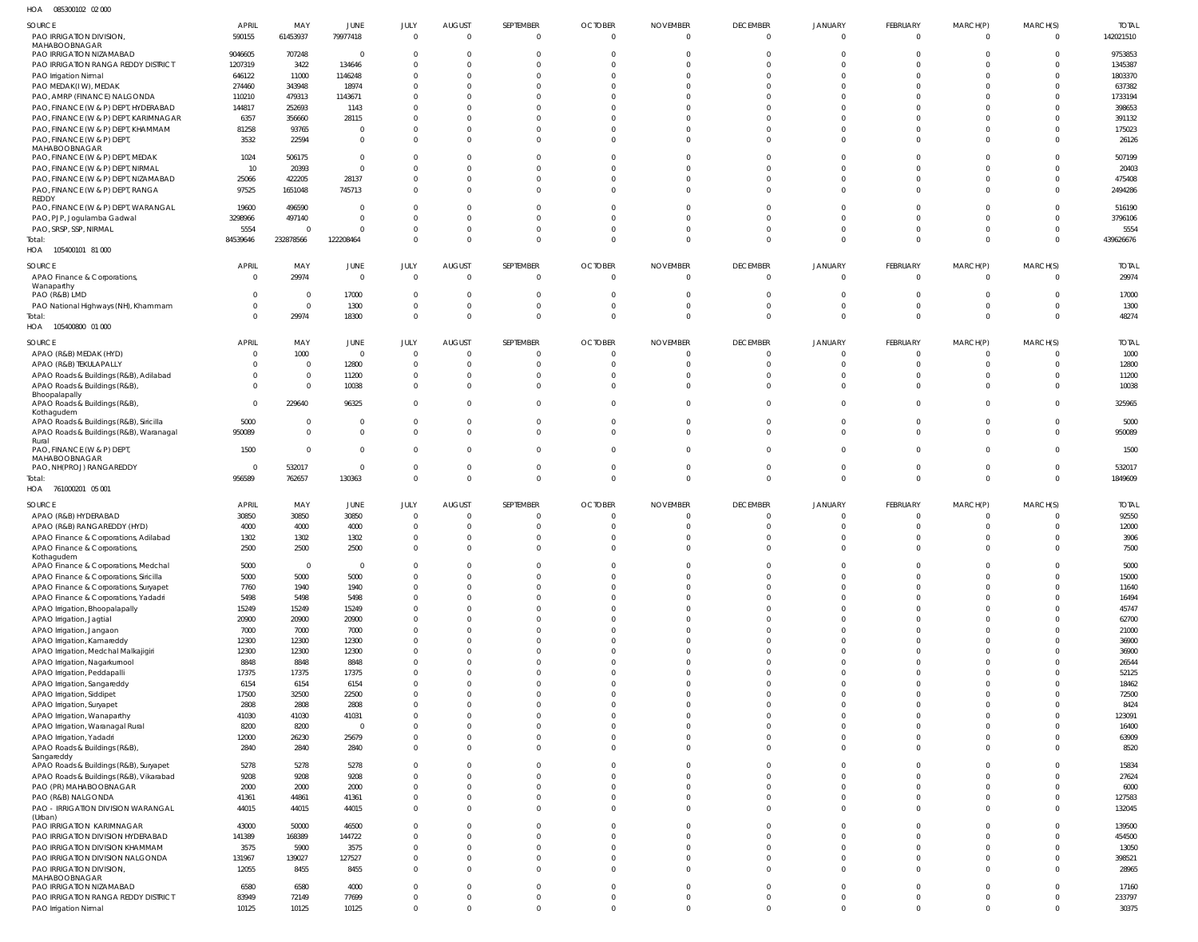085300102 02 000 HOA

| .                                                                                 |                        |                  |                                  |                              |                                  |                                |                                  |                                   |                             |                            |                         |                                |                      |                           |
|-----------------------------------------------------------------------------------|------------------------|------------------|----------------------------------|------------------------------|----------------------------------|--------------------------------|----------------------------------|-----------------------------------|-----------------------------|----------------------------|-------------------------|--------------------------------|----------------------|---------------------------|
| SOURCE<br>PAO IRRIGATION DIVISION,                                                | <b>APRIL</b><br>590155 | MAY<br>61453937  | JUNE<br>79977418                 | JULY<br>$\Omega$             | <b>AUGUST</b><br>$\Omega$        | SEPTEMBER<br>$\overline{0}$    | <b>OCTOBER</b><br>$\overline{0}$ | <b>NOVEMBER</b><br>$\overline{0}$ | <b>DECEMBER</b><br>$\Omega$ | <b>JANUARY</b><br>$\Omega$ | FEBRUARY<br>$\Omega$    | MARCH(P)<br>$\overline{0}$     | MARCH(S)<br>$\Omega$ | <b>TOTAL</b><br>142021510 |
| MAHABOOBNAGAR                                                                     |                        |                  |                                  |                              |                                  |                                |                                  |                                   |                             |                            |                         |                                |                      |                           |
| PAO IRRIGATION NIZAMABAD<br>PAO IRRIGATION RANGA REDDY DISTRICT                   | 9046605<br>1207319     | 707248<br>3422   | $\overline{0}$<br>134646         | $\Omega$<br>$\Omega$         | $\Omega$<br>$\Omega$             | $\Omega$<br>$\Omega$           | $\Omega$<br>$\Omega$             | C.<br>$\Omega$                    | $\Omega$<br>$\Omega$        |                            |                         | $\Omega$<br>$\Omega$           |                      | 9753853<br>1345387        |
| PAO Irrigation Nirmal                                                             | 646122                 | 11000            | 1146248                          | $\Omega$                     | $\Omega$                         | - 0                            | -0                               | -C                                | $\Omega$                    |                            |                         | $\Omega$                       |                      | 1803370                   |
| PAO MEDAK(IW), MEDAK                                                              | 274460                 | 343948           | 18974                            | $\Omega$                     | $\Omega$                         | - 0                            | -0                               | -C                                | $\Omega$                    |                            |                         | $\Omega$                       |                      | 637382                    |
| PAO, AMRP (FINANCE) NALGONDA                                                      | 110210                 | 479313           | 1143671                          | $\Omega$                     | $\Omega$                         |                                | $\Omega$                         |                                   | $\Omega$                    |                            |                         |                                |                      | 1733194                   |
| PAO, FINANCE (W & P) DEPT, HYDERABAD                                              | 144817                 | 252693           | 1143                             |                              | $\Omega$                         |                                | $\Omega$                         |                                   |                             |                            |                         |                                |                      | 398653                    |
| PAO, FINANCE (W & P) DEPT, KARIMNAGAR<br>PAO, FINANCE (W & P) DEPT, KHAMMAM       | 6357<br>81258          | 356660<br>93765  | 28115<br>$\overline{0}$          | $\Omega$<br>$\Omega$         | $\Omega$<br>$\Omega$             | $\Omega$                       | -0<br>$\Omega$                   | -C<br>$\Omega$                    | $\Omega$<br>$\Omega$        |                            |                         | $\Omega$<br>$\Omega$           |                      | 391132<br>175023          |
| PAO, FINANCE (W & P) DEPT,                                                        | 3532                   | 22594            | $\mathbf{0}$                     | $\Omega$                     | $\Omega$                         | $\Omega$                       | $\Omega$                         | $\Omega$                          | $\Omega$                    | $\Omega$                   |                         | $\Omega$                       |                      | 26126                     |
| MAHABOOBNAGAR                                                                     |                        |                  |                                  |                              |                                  |                                |                                  |                                   |                             |                            |                         |                                |                      |                           |
| PAO, FINANCE (W & P) DEPT, MEDAK                                                  | 1024                   | 506175           | $\overline{0}$                   | $\Omega$                     | $\Omega$                         | $\Omega$                       | $\Omega$                         | $\Omega$                          | $\Omega$                    | $\Omega$                   |                         | $\Omega$                       |                      | 507199                    |
| PAO, FINANCE (W & P) DEPT, NIRMAL<br>PAO, FINANCE (W & P) DEPT, NIZAMABAD         | 10<br>25066            | 20393<br>422205  | $\Omega$<br>28137                | $\Omega$<br>$\Omega$         | $\Omega$<br>$\Omega$             | $\Omega$<br>$\Omega$           | $\Omega$<br>$\Omega$             | $\Omega$<br>$\Omega$              | $\Omega$<br>$\Omega$        | $\Omega$<br>$\Omega$       |                         | $\Omega$<br>$\Omega$           |                      | 20403<br>475408           |
| PAO, FINANCE (W & P) DEPT, RANGA                                                  | 97525                  | 1651048          | 745713                           | $\Omega$                     | $\Omega$                         | $\Omega$                       | $\Omega$                         | $\Omega$                          | $\Omega$                    | $\Omega$                   |                         | $\Omega$                       | $\Omega$             | 2494286                   |
| REDDY                                                                             |                        |                  |                                  |                              |                                  |                                |                                  |                                   |                             |                            |                         |                                |                      |                           |
| PAO, FINANCE (W & P) DEPT, WARANGAL<br>PAO, PJP, Jogulamba Gadwal                 | 19600<br>3298966       | 496590<br>497140 | $\overline{0}$<br>$\overline{0}$ | $\Omega$<br>$\Omega$         | $\Omega$<br>$\Omega$             | $\Omega$<br>$\Omega$           | $\Omega$<br>$\Omega$             | $\Omega$<br>$\Omega$              | $\Omega$<br>$\Omega$        | $\Omega$<br>$\Omega$       |                         | $\Omega$<br>$\Omega$           |                      | 516190<br>3796106         |
| PAO, SRSP, SSP, NIRMAL                                                            | 5554                   | $\Omega$         | $\overline{0}$                   | $\Omega$                     | $\overline{0}$                   | $\Omega$                       | $\Omega$                         | $\Omega$                          | $\Omega$                    | $\Omega$                   |                         | $\Omega$                       |                      | 5554                      |
| Total:                                                                            | 84539646               | 232878566        | 122208464                        | $\Omega$                     | $\Omega$                         | $\Omega$                       | $\Omega$                         | $\Omega$                          | $\Omega$                    | $\Omega$                   | $\Omega$                | $\Omega$                       | $\Omega$             | 439626676                 |
| HOA 105400101 81 000                                                              |                        |                  |                                  |                              |                                  |                                |                                  |                                   |                             |                            |                         |                                |                      |                           |
| SOURCE                                                                            | <b>APRIL</b>           | MAY              | JUNE                             | JULY                         | <b>AUGUST</b>                    | SEPTEMBER                      | <b>OCTOBER</b>                   | <b>NOVEMBER</b>                   | <b>DECEMBER</b>             | JANUARY                    | FEBRUARY                | MARCH(P)                       | MARCH(S)             | <b>TOTAL</b>              |
| APAO Finance & Corporations,                                                      | $\overline{0}$         | 29974            | $\mathbf 0$                      | $\Omega$                     | $\overline{0}$                   | $\Omega$                       | $\overline{0}$                   | $\overline{0}$                    | $\Omega$                    | $\Omega$                   | $\Omega$                | $\Omega$                       | $\Omega$             | 29974                     |
| Wanaparthy                                                                        | $\Omega$               | $\overline{0}$   | 17000                            | $\Omega$                     | $\overline{0}$                   | $\Omega$                       | $\Omega$                         | $\Omega$                          | $\Omega$                    | $\Omega$                   | $\Omega$                | $\Omega$                       | $\Omega$             | 17000                     |
| PAO (R&B) LMD<br>PAO National Highways (NH), Khammam                              | $\Omega$               | $\overline{0}$   | 1300                             | $\Omega$                     | $\overline{0}$                   | - 0                            | 0                                | $\Omega$                          | $\Omega$                    | $\Omega$                   | $\Omega$                | $\mathbf{0}$                   | $\Omega$             | 1300                      |
| Total:                                                                            | $\Omega$               | 29974            | 18300                            | $\Omega$                     | $\overline{0}$                   | $\Omega$                       | $\Omega$                         | $\Omega$                          | $\Omega$                    | $\Omega$                   | $\Omega$                | $\mathbf{0}$                   | $\Omega$             | 48274                     |
| HOA 105400800 01 000                                                              |                        |                  |                                  |                              |                                  |                                |                                  |                                   |                             |                            |                         |                                |                      |                           |
| SOURCE                                                                            | <b>APRIL</b>           | MAY              | JUNE                             | JULY                         | <b>AUGUST</b>                    | SEPTEMBER                      | <b>OCTOBER</b>                   | <b>NOVEMBER</b>                   | <b>DECEMBER</b>             | <b>JANUARY</b>             | FEBRUARY                | MARCH(P)                       | MARCH(S)             | <b>TOTAL</b>              |
| APAO (R&B) MEDAK (HYD)                                                            | $\Omega$               | 1000             | $\overline{0}$                   | $\Omega$                     | $\Omega$                         | $\Omega$                       | $\overline{0}$                   | $\Omega$                          | $\Omega$                    | $\Omega$                   | $\Omega$                | $\Omega$                       |                      | 1000                      |
| APAO (R&B) TEKULAPALLY                                                            | 0                      | $\Omega$         | 12800                            | $\Omega$                     | $\Omega$                         | $\Omega$                       | $\Omega$                         | $\Omega$                          | $\Omega$                    | $\Omega$                   |                         | $\Omega$                       |                      | 12800                     |
| APAO Roads & Buildings (R&B), Adilabad                                            |                        | $\mathbf 0$      | 11200                            | $\Omega$                     | $\overline{0}$                   | $\Omega$                       | $\Omega$                         | $\Omega$                          | $\Omega$                    | $\Omega$                   |                         | $\Omega$                       |                      | 11200                     |
| APAO Roads & Buildings (R&B),<br>Bhoopalapally                                    | $\Omega$               | $\Omega$         | 10038                            | $\Omega$                     | $\Omega$                         | $\Omega$                       | $\Omega$                         | $\Omega$                          | $\Omega$                    | $\Omega$                   | $\Omega$                | $\Omega$                       |                      | 10038                     |
| APAO Roads & Buildings (R&B),                                                     | $\Omega$               | 229640           | 96325                            | $\Omega$                     | $\Omega$                         | $\Omega$                       | $\Omega$                         | $\Omega$                          | $\Omega$                    | $\Omega$                   |                         | $\Omega$                       |                      | 325965                    |
| Kothagudem<br>APAO Roads & Buildings (R&B), Siricilla                             | 5000                   | $\Omega$         | $\overline{0}$                   | $\Omega$                     | $\overline{0}$                   | $\Omega$                       | $\Omega$                         | $\Omega$                          | $\Omega$                    | $\Omega$                   |                         | $\Omega$                       |                      | 5000                      |
| APAO Roads & Buildings (R&B), Waranagal                                           | 950089                 | $\Omega$         | $\overline{0}$                   | $\Omega$                     | $\Omega$                         | $\Omega$                       | $\Omega$                         | $\Omega$                          | $\Omega$                    | $\Omega$                   |                         | $\Omega$                       | $\Omega$             | 950089                    |
| Rural                                                                             |                        |                  |                                  |                              |                                  |                                |                                  |                                   |                             |                            |                         |                                |                      |                           |
| PAO, FINANCE (W & P) DEPT,<br>MAHABOOBNAGAR                                       | 1500                   | $\Omega$         | $\mathbf 0$                      | $\Omega$                     | $\Omega$                         | $\Omega$                       | $\Omega$                         | $\Omega$                          | $\Omega$                    | $\Omega$                   | $\Omega$                | $\Omega$                       |                      | 1500                      |
|                                                                                   |                        |                  |                                  |                              |                                  |                                |                                  |                                   |                             |                            |                         |                                |                      |                           |
| PAO, NH(PROJ) RANGAREDDY                                                          | $\overline{0}$         | 532017           | $\mathbf{0}$                     | $\Omega$                     | $\overline{0}$                   | $\overline{0}$                 | $\mathbf{0}$                     | $\mathbf{0}$                      | $\Omega$                    | $\Omega$                   | $\Omega$                | $\mathbf{0}$                   | $\Omega$             | 532017                    |
| Total:                                                                            | 956589                 | 762657           | 130363                           | $\Omega$                     | $\overline{0}$                   | $\Omega$                       | $\mathbf 0$                      | $\mathbf{0}$                      | $\Omega$                    | $\Omega$                   | $\Omega$                | $\overline{0}$                 | $\Omega$             | 1849609                   |
| HOA 761000201 05 001                                                              |                        |                  |                                  |                              |                                  |                                |                                  |                                   |                             |                            |                         |                                |                      |                           |
| SOURCE                                                                            | <b>APRIL</b>           | MAY              | JUNE                             | JULY                         | <b>AUGUST</b>                    | SEPTEMBER                      | <b>OCTOBER</b>                   | <b>NOVEMBER</b>                   | <b>DECEMBER</b>             | <b>JANUARY</b>             | <b>FEBRUARY</b>         | MARCH(P)                       | MARCH(S)             | <b>TOTAL</b>              |
| APAO (R&B) HYDERABAD                                                              | 30850                  | 30850            | 30850                            | $\Omega$                     | $\overline{0}$                   | $\Omega$                       | - 0                              | $\Omega$                          | $\Omega$                    | $\Omega$                   | $\Omega$                | $\Omega$                       |                      | 92550                     |
| APAO (R&B) RANGAREDDY (HYD)                                                       | 4000                   | 4000             | 4000                             | $\Omega$                     | $\overline{0}$                   | $\sqrt{ }$                     | $\Omega$                         | C.                                | $\Omega$                    | $\Omega$                   | $\Omega$                | $\Omega$                       | - 0                  | 12000                     |
| APAO Finance & Corporations, Adilabad                                             | 1302                   | 1302             | 1302                             | $\Omega$                     | $\Omega$                         | $\Omega$                       | $\Omega$                         | $\Omega$                          | $\Omega$                    | $\Omega$                   | $\Omega$                | $\Omega$                       |                      | 3906                      |
| APAO Finance & Corporations,<br>Kothagudem                                        | 2500                   | 2500             | 2500                             |                              |                                  |                                |                                  |                                   |                             |                            |                         |                                |                      | 7500                      |
| APAO Finance & Corporations, Medchal                                              | 5000                   | $\overline{0}$   | $\overline{0}$                   | $\Omega$                     | $\overline{0}$                   | $\overline{0}$                 | $\overline{0}$                   | $\overline{0}$                    | $\Omega$                    | $\Omega$                   | $\Omega$                | $\overline{0}$                 | $\Omega$             | 5000                      |
| APAO Finance & Corporations, Siricilla                                            | 5000                   | 5000             | 5000                             | $\Omega$                     | $\overline{0}$                   | $\Omega$                       | $\mathbf{0}$                     | $\Omega$                          | $\Omega$                    | $\Omega$                   | $\Omega$                | $\Omega$                       | $\Omega$             | 15000                     |
| APAO Finance & Corporations, Suryapet                                             | 7760<br>5498           | 1940<br>5498     | 1940<br>5498                     | $\Omega$<br>$\mathbf{0}$     | $\overline{0}$<br>$\overline{0}$ | $\Omega$<br>$\mathbf 0$        | $\Omega$<br>$\mathbf 0$          | $\Omega$<br>$\overline{0}$        | $\Omega$<br>$\Omega$        | $\Omega$<br>$\Omega$       | $\Omega$<br>$\Omega$    | $\Omega$<br>$\overline{0}$     | $\Omega$<br>$\Omega$ | 11640<br>16494            |
| APAO Finance & Corporations, Yadadri<br>APAO Irrigation, Bhoopalapally            | 15249                  | 15249            | 15249                            | $\Omega$                     | $\overline{0}$                   | $\Omega$                       | $\Omega$                         | $\mathbf{0}$                      | $\Omega$                    | $\Omega$                   | $\Omega$                | $\overline{0}$                 | $\Omega$             | 45747                     |
| APAO Irrigation, Jagtial                                                          | 20900                  | 20900            | 20900                            | $\mathbf{0}$                 | $\overline{0}$                   | $\Omega$                       | $\Omega$                         | $\overline{0}$                    | $\Omega$                    | $\Omega$                   | $\Omega$                | $\Omega$                       | $\Omega$             | 62700                     |
| APAO Irrigation, Jangaon                                                          | 7000                   | 7000             | 7000                             | $\Omega$                     | $\overline{0}$                   | $\Omega$                       | $\Omega$                         | $\Omega$                          | $\Omega$                    | $\Omega$                   | $\Omega$                | $\Omega$                       | $\Omega$             | 21000                     |
| APAO Irrigation, Kamareddy                                                        | 12300                  | 12300            | 12300                            | $\mathbf{0}$                 | $\overline{0}$                   | $\Omega$                       | $\Omega$                         | $\mathbf{0}$                      | $\Omega$                    | $\Omega$                   | $\Omega$                | $\mathbf 0$                    | $\Omega$             | 36900                     |
| APAO Irrigation, Medchal Malkajigiri                                              | 12300<br>8848          | 12300<br>8848    | 12300<br>8848                    | $\Omega$<br>$\Omega$         | $\overline{0}$<br>$\overline{0}$ | $\mathbf 0$<br>$\Omega$        | $\mathbf{0}$<br>$\Omega$         | $\mathbf{0}$<br>$\Omega$          | $\Omega$<br>$\Omega$        | $\Omega$<br>$\Omega$       | $\Omega$<br>$\Omega$    | $\overline{0}$<br>$\Omega$     | $\Omega$<br>$\Omega$ | 36900<br>26544            |
| APAO Irrigation, Nagarkurnool<br>APAO Irrigation, Peddapalli                      | 17375                  | 17375            | 17375                            | $\Omega$                     | $\overline{0}$                   | $\Omega$                       | $\Omega$                         | $\Omega$                          | $\Omega$                    | $\Omega$                   | $\Omega$                | $\Omega$                       | $\Omega$             | 52125                     |
| APAO Irrigation, Sangareddy                                                       | 6154                   | 6154             | 6154                             | $\Omega$                     | $\overline{0}$                   | $\Omega$                       | $\Omega$                         | $\mathbf 0$                       | $\Omega$                    | $\Omega$                   | $\Omega$                | $\Omega$                       | $\Omega$             | 18462                     |
| APAO Irrigation, Siddipet                                                         | 17500                  | 32500            | 22500                            | $\Omega$                     | $\overline{0}$                   | $\Omega$                       | $\Omega$                         | $\mathbf 0$                       | $\Omega$                    | $\Omega$                   | $\Omega$                | $\overline{0}$                 | $\Omega$             | 72500                     |
| APAO Irrigation, Suryapet                                                         | 2808                   | 2808             | 2808                             | $\mathbf{0}$                 | $\overline{0}$                   | $\Omega$                       | $\Omega$                         | $\overline{0}$                    | $\Omega$                    | $\Omega$                   | $\Omega$                | $\Omega$                       | $\Omega$             | 8424                      |
| APAO Irrigation, Wanaparthy                                                       | 41030                  | 41030            | 41031                            | $\Omega$<br>$\Omega$         | $\Omega$<br>$\overline{0}$       | $\Omega$<br>$\Omega$           | $\Omega$<br>$\mathbf 0$          | $\Omega$<br>$\overline{0}$        | $\Omega$<br>$\Omega$        | $\Omega$<br>$\Omega$       | $\Omega$<br>$\Omega$    | $\Omega$<br>$\overline{0}$     | $\Omega$<br>$\Omega$ | 123091                    |
| APAO Irrigation, Waranagal Rural<br>APAO Irrigation, Yadadri                      | 8200<br>12000          | 8200<br>26230    | $\mathbf 0$<br>25679             | $\Omega$                     | $\overline{0}$                   | $\mathbf 0$                    | $\mathbf 0$                      | $\mathbf{0}$                      | $\Omega$                    | $\Omega$                   | $\Omega$                | $\overline{0}$                 | $\Omega$             | 16400<br>63909            |
| APAO Roads & Buildings (R&B),                                                     | 2840                   | 2840             | 2840                             | $\Omega$                     | $\overline{0}$                   | $\Omega$                       | $\Omega$                         | $\Omega$                          | $\Omega$                    | $\Omega$                   | $\Omega$                | $\Omega$                       | $\Omega$             | 8520                      |
| Sangareddy                                                                        |                        |                  |                                  | $\Omega$                     | $\overline{0}$                   | $\overline{0}$                 | $\mathbf{0}$                     | $\mathbf{0}$                      | $\Omega$                    | $\Omega$                   | $\Omega$                | $\Omega$                       | $\Omega$             |                           |
| APAO Roads & Buildings (R&B), Suryapet<br>APAO Roads & Buildings (R&B), Vikarabad | 5278<br>9208           | 5278<br>9208     | 5278<br>9208                     | $\mathbf{0}$                 | $\overline{0}$                   | $\overline{0}$                 | $\mathbf 0$                      | $\overline{0}$                    | $\Omega$                    | $\Omega$                   | $\Omega$                | $\mathbf 0$                    | $\Omega$             | 15834<br>27624            |
| PAO (PR) MAHABOOBNAGAR                                                            | 2000                   | 2000             | 2000                             | $\Omega$                     | $\overline{0}$                   | $\Omega$                       | $\Omega$                         | $\mathbf{0}$                      | $\Omega$                    | $\Omega$                   | $\Omega$                | $\overline{0}$                 | $\Omega$             | 6000                      |
| PAO (R&B) NALGONDA                                                                | 41361                  | 44861            | 41361                            | $\mathbf{0}$                 | $\overline{0}$                   | $\overline{0}$                 | $\mathbf 0$                      | $\mathbf{0}$                      | $\mathbf{0}$                | $\mathbf 0$                | $\Omega$                | $\overline{0}$                 | $\Omega$             | 127583                    |
| PAO - IRRIGATION DIVISION WARANGAL                                                | 44015                  | 44015            | 44015                            | $\Omega$                     | $\overline{0}$                   | $\overline{0}$                 | $\Omega$                         | $\mathbf{0}$                      | $\Omega$                    | $\Omega$                   | $\Omega$                | $\Omega$                       | $\Omega$             | 132045                    |
| (Urban)<br>PAO IRRIGATION KARIMNAGAR                                              | 43000                  | 50000            | 46500                            | $\mathbf{0}$                 | $\overline{0}$                   | $\overline{0}$                 | $\mathbf 0$                      | $\overline{0}$                    | $\Omega$                    | $\Omega$                   | $\Omega$                | $\mathbf 0$                    | $\Omega$             | 139500                    |
| PAO IRRIGATION DIVISION HYDERABAD                                                 | 141389                 | 168389           | 144722                           | $\Omega$                     | $\overline{0}$                   | $\Omega$                       | $\mathbf 0$                      | $\Omega$                          | $\Omega$                    | $\Omega$                   | $\Omega$                | $\overline{0}$                 | $\Omega$             | 454500                    |
| PAO IRRIGATION DIVISION KHAMMAM                                                   | 3575                   | 5900             | 3575                             | $\mathbf{0}$                 | $\overline{0}$                   | $\overline{0}$                 | $\mathbf 0$                      | $\mathbf{0}$                      | $\Omega$                    | $\Omega$                   | $\Omega$                | $\overline{0}$                 | $\Omega$             | 13050                     |
| PAO IRRIGATION DIVISION NALGONDA                                                  | 131967                 | 139027           | 127527                           | $\Omega$                     | $\overline{0}$                   | $\mathbf 0$                    | $\mathbf 0$                      | $\mathbf{0}$                      | $\Omega$                    | $\Omega$                   | $\Omega$                | $\overline{0}$                 | $\Omega$             | 398521                    |
| PAO IRRIGATION DIVISION,<br>MAHABOOBNAGAR                                         | 12055                  | 8455             | 8455                             | $\Omega$                     | $\overline{0}$                   | $\overline{0}$                 | $\Omega$                         | $\mathbf{0}$                      | $\Omega$                    | $\Omega$                   | $\Omega$                | $\Omega$                       | $\Omega$             | 28965                     |
| PAO IRRIGATION NIZAMABAD                                                          | 6580                   | 6580             | 4000                             | $\Omega$                     | $\overline{0}$                   | $\overline{0}$                 | $\overline{0}$                   | $\mathbf{0}$                      | $\Omega$                    | $\Omega$                   | $\Omega$                | $\overline{0}$                 | $\Omega$             | 17160                     |
| PAO IRRIGATION RANGA REDDY DISTRICT<br>PAO Irrigation Nirmal                      | 83949<br>10125         | 72149<br>10125   | 77699<br>10125                   | $\mathbf{0}$<br>$\mathbf{0}$ | $\overline{0}$<br>$\overline{0}$ | $\overline{0}$<br>$\mathbf{0}$ | $\mathbf 0$<br>$\Omega$          | $\overline{0}$<br>$\Omega$        | $\mathbf{0}$<br>$\Omega$    | $\mathbf 0$<br>$\Omega$    | $\mathbf 0$<br>$\Omega$ | $\overline{0}$<br>$\mathbf{0}$ | $\Omega$<br>$\Omega$ | 233797<br>30375           |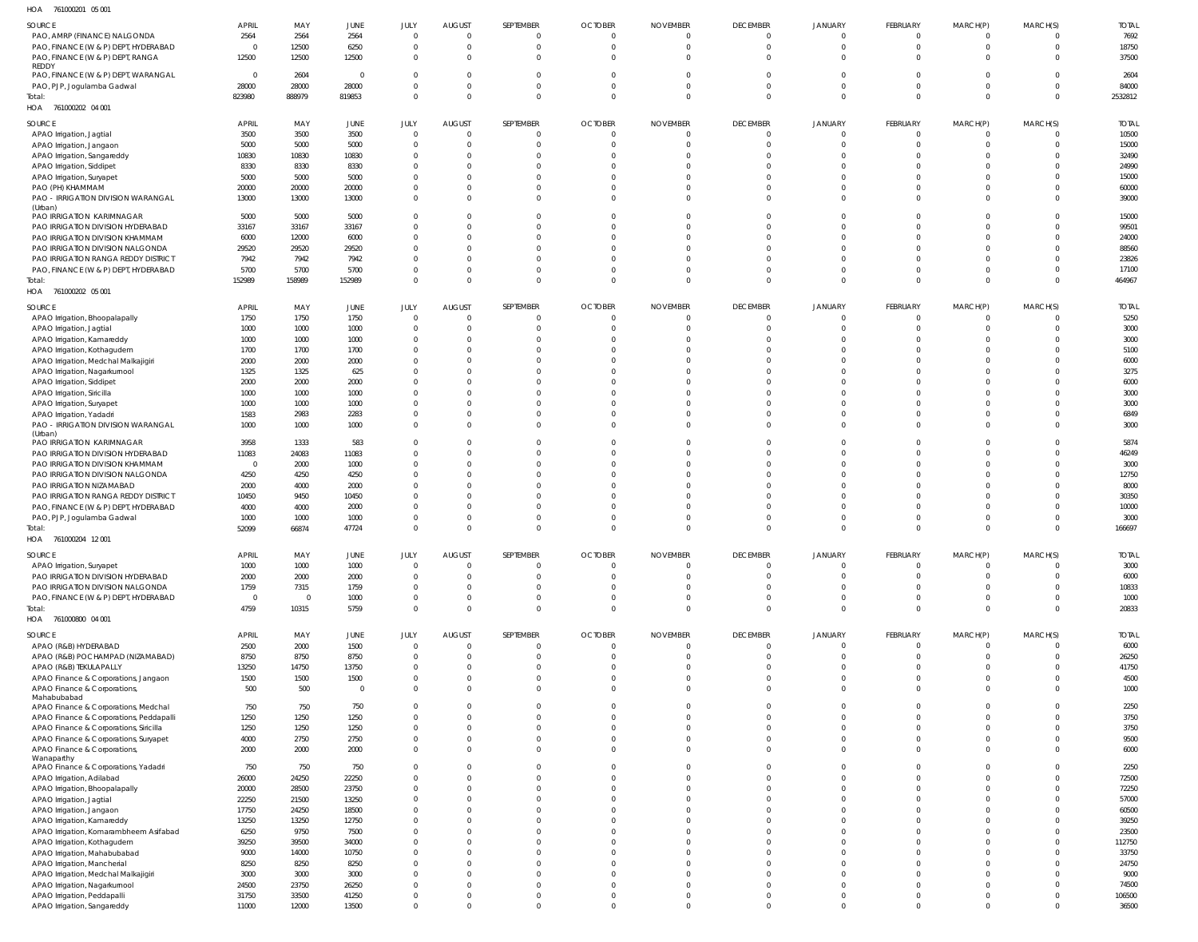761000201 05 001 HOA

| $\cdots$<br><b>INTONICATE AND AND</b>   |                |                |                |                |               |           |                |                 |                 |                |                 |                |          |              |
|-----------------------------------------|----------------|----------------|----------------|----------------|---------------|-----------|----------------|-----------------|-----------------|----------------|-----------------|----------------|----------|--------------|
| SOURCE                                  | <b>APRIL</b>   | MAY            | JUNE           | JULY           | <b>AUGUST</b> | SEPTEMBER | <b>OCTOBER</b> | <b>NOVEMBER</b> | <b>DECEMBER</b> | <b>JANUARY</b> | <b>FEBRUARY</b> | MARCH(P)       | MARCH(S) | <b>TOTAL</b> |
| PAO, AMRP (FINANCE) NALGONDA            | 2564           | 2564           | 2564           | $\Omega$       | $\Omega$      |           | $\Omega$       | $\Omega$        | $\Omega$        | $\Omega$       |                 | $\Omega$       |          | 7692         |
|                                         |                |                | 6250           | $\Omega$       | $\Omega$      |           | $\Omega$       | $\Omega$        | $\Omega$        | $\Omega$       | $\Omega$        | $\Omega$       |          | 18750        |
| PAO, FINANCE (W & P) DEPT, HYDERABAD    | $\mathbf{0}$   | 12500          |                |                |               |           |                |                 |                 |                |                 |                |          |              |
| PAO, FINANCE (W & P) DEPT, RANGA        | 12500          | 12500          | 12500          | $\overline{0}$ | $\Omega$      |           | $\Omega$       | $\Omega$        | $\Omega$        | $\Omega$       | $\Omega$        | $\Omega$       |          | 37500        |
| REDDY                                   |                |                |                |                |               |           |                |                 |                 |                |                 |                |          |              |
| PAO, FINANCE (W & P) DEPT, WARANGAL     | $\Omega$       | 2604           | $\Omega$       | $\Omega$       | 0             |           | $\Omega$       | $\Omega$        | $\Omega$        | $\Omega$       |                 | $\Omega$       |          | 2604         |
| PAO, PJP, Jogulamba Gadwal              | 28000          | 28000          | 28000          | $\mathbf{0}$   | $\Omega$      | $\Omega$  | $\Omega$       | $\Omega$        | $\Omega$        | $\Omega$       | $\Omega$        | $\Omega$       |          | 84000        |
| Total:                                  | 823980         | 888979         | 819853         | $\overline{0}$ | $\Omega$      | $\Omega$  | $\Omega$       | $\Omega$        | $\Omega$        | $\Omega$       | $\Omega$        | $\mathbf 0$    | $\Omega$ | 2532812      |
| HOA 761000202 04 001                    |                |                |                |                |               |           |                |                 |                 |                |                 |                |          |              |
|                                         |                |                |                |                |               |           |                |                 |                 |                |                 |                |          |              |
| SOURCE                                  | APRIL          | MAY            | JUNE           | JULY           | AUGUST        | SEPTEMBER | <b>OCTOBER</b> | <b>NOVEMBER</b> | <b>DECEMBER</b> | JANUARY        | FEBRUARY        | MARCH(P)       | MARCH(S) | <b>TOTAL</b> |
| APAO Irrigation, Jagtial                | 3500           | 3500           | 3500           | $\overline{0}$ | $\Omega$      |           | $\overline{0}$ | $\overline{0}$  | $\Omega$        | $\Omega$       | $\Omega$        | $\Omega$       |          | 10500        |
|                                         |                |                |                |                |               |           |                |                 |                 |                |                 |                |          |              |
| APAO Irrigation, Jangaon                | 5000           | 5000           | 5000           | $\overline{0}$ | $\Omega$      |           | $\Omega$       | $\Omega$        | $\Omega$        | $\Omega$       | $\Omega$        | $\Omega$       | $\Omega$ | 15000        |
| APAO Irrigation, Sangareddy             | 10830          | 10830          | 10830          | $\mathbf{0}$   | $\Omega$      |           | $\Omega$       | $\Omega$        | $\Omega$        | $\Omega$       | $\Omega$        | $\Omega$       |          | 32490        |
| APAO Irrigation, Siddipet               | 8330           | 8330           | 8330           | $\Omega$       | $\Omega$      |           | $\Omega$       | $\Omega$        | $\Omega$        | $\Omega$       |                 |                |          | 24990        |
| APAO Irrigation, Suryapet               | 5000           | 5000           | 5000           | $\Omega$       | $\Omega$      |           | $\Omega$       | $\Omega$        | $\Omega$        | $\Omega$       |                 | $\Omega$       |          | 15000        |
|                                         |                |                |                |                |               |           |                |                 |                 |                |                 |                |          |              |
| PAO (PH) KHAMMAM                        | 20000          | 20000          | 20000          | $\Omega$       | $\Omega$      |           | $\Omega$       | $\Omega$        | $\Omega$        | $\Omega$       |                 | $\Omega$       | $\Omega$ | 60000        |
| PAO - IRRIGATION DIVISION WARANGAL      | 13000          | 13000          | 13000          | $\Omega$       | $\Omega$      |           | $\Omega$       | $\Omega$        | $\Omega$        | $\Omega$       | $\Omega$        | $\Omega$       |          | 39000        |
| (Urban)                                 |                |                |                |                |               |           |                |                 |                 |                |                 |                |          |              |
| PAO IRRIGATION KARIMNAGAR               | 5000           | 5000           | 5000           | $\Omega$       | 0             |           | $\Omega$       | $\Omega$        | $\Omega$        | $\Omega$       |                 | $\Omega$       | $\Omega$ | 15000        |
| PAO IRRIGATION DIVISION HYDERABAD       | 33167          | 33167          | 33167          | $\Omega$       | $\Omega$      |           | $\Omega$       | $\Omega$        | $\Omega$        | $\Omega$       | $\Omega$        | $\Omega$       |          | 99501        |
| PAO IRRIGATION DIVISION KHAMMAM         | 6000           | 12000          | 6000           | $\Omega$       | $\Omega$      |           | $\Omega$       | $\Omega$        | $\Omega$        | $\Omega$       |                 | $\Omega$       |          | 24000        |
|                                         |                |                |                |                |               |           |                |                 |                 |                |                 |                |          |              |
| PAO IRRIGATION DIVISION NALGONDA        | 29520          | 29520          | 29520          | $\Omega$       | $\Omega$      |           | $\Omega$       | $\Omega$        | $\Omega$        | $\Omega$       |                 | $\Omega$       |          | 88560        |
| PAO IRRIGATION RANGA REDDY DISTRICT     | 7942           | 7942           | 7942           | $\Omega$       | $\Omega$      |           | $\Omega$       | $\Omega$        | $\Omega$        | $\Omega$       |                 | $\Omega$       | $\Omega$ | 23826        |
| PAO, FINANCE (W & P) DEPT, HYDERABAD    | 5700           | 5700           | 5700           | $\Omega$       | $\Omega$      |           | $\Omega$       | $\Omega$        | $\Omega$        | $\Omega$       | $\Omega$        | $\Omega$       | $\Omega$ | 17100        |
| Total:                                  | 152989         | 158989         | 152989         | $\Omega$       | $\mathbf 0$   | $\Omega$  | $\Omega$       | $\Omega$        | $\Omega$        | $\Omega$       | $\Omega$        | $\Omega$       | $\Omega$ | 464967       |
|                                         |                |                |                |                |               |           |                |                 |                 |                |                 |                |          |              |
| HOA 761000202 05 001                    |                |                |                |                |               |           |                |                 |                 |                |                 |                |          |              |
|                                         |                |                |                |                |               |           |                |                 |                 |                |                 |                |          |              |
| SOURCE                                  | <b>APRIL</b>   | MAY            | JUNE           | JULY           | <b>AUGUST</b> | SEPTEMBER | <b>OCTOBER</b> | <b>NOVEMBER</b> | <b>DECEMBER</b> | JANUARY        | FEBRUARY        | MARCH(P)       | MARCH(S) | <b>TOTAL</b> |
| APAO Irrigation, Bhoopalapally          | 1750           | 1750           | 1750           | $\Omega$       | $\Omega$      |           | $\overline{0}$ | $\Omega$        | $\Omega$        | $\Omega$       | $\Omega$        | $\Omega$       |          | 5250         |
| APAO Irrigation, Jagtial                | 1000           | 1000           | 1000           | $\overline{0}$ | $\Omega$      |           | $\Omega$       | $\Omega$        | $\Omega$        | $\Omega$       | $\Omega$        | $\Omega$       |          | 3000         |
| APAO Irrigation, Kamareddy              | 1000           | 1000           | 1000           | $\Omega$       | $\Omega$      |           | $\Omega$       | $\Omega$        | $\Omega$        | $\Omega$       |                 | $\Omega$       |          | 3000         |
|                                         |                |                |                |                |               |           |                |                 |                 |                |                 |                |          |              |
| APAO Irrigation, Kothagudem             | 1700           | 1700           | 1700           | $\Omega$       | <sup>0</sup>  |           | $\Omega$       | $\Omega$        |                 | $\Omega$       |                 |                |          | 5100         |
| APAO Irrigation, Medchal Malkajigiri    | 2000           | 2000           | 2000           | $\Omega$       |               |           | $\Omega$       | $\Omega$        | $\Omega$        | $\Omega$       |                 |                |          | 6000         |
| APAO Irrigation, Nagarkurnool           | 1325           | 1325           | 625            | $\Omega$       | $\Omega$      |           | $\Omega$       | $\Omega$        |                 | $\Omega$       |                 |                |          | 3275         |
| APAO Irrigation, Siddipet               | 2000           | 2000           | 2000           | $\Omega$       |               |           | $\Omega$       | $\Omega$        | $\Omega$        | $\Omega$       |                 |                |          | 6000         |
|                                         |                |                |                |                |               |           |                |                 |                 |                |                 |                |          |              |
| APAO Irrigation, Siricilla              | 1000           | 1000           | 1000           | $\Omega$       | $\Omega$      |           | $\Omega$       | $\Omega$        |                 | $\Omega$       |                 |                |          | 3000         |
| APAO Irrigation, Suryapet               | 1000           | 1000           | 1000           | $\Omega$       | $\Omega$      |           | $\Omega$       | $\Omega$        | $\Omega$        | $\Omega$       |                 | $\Omega$       |          | 3000         |
| APAO Irrigation, Yadadri                | 1583           | 2983           | 2283           | $\Omega$       | $\Omega$      |           | $\Omega$       | $\Omega$        | $\Omega$        | $\Omega$       |                 | $\Omega$       |          | 6849         |
| PAO - IRRIGATION DIVISION WARANGAL      | 1000           | 1000           | 1000           | $\Omega$       | $\Omega$      |           | $\Omega$       | $\Omega$        | $\Omega$        | $\Omega$       | $\Omega$        | $\Omega$       |          | 3000         |
|                                         |                |                |                |                |               |           |                |                 |                 |                |                 |                |          |              |
| (Urban)                                 |                |                |                | $\Omega$       |               |           | $\Omega$       |                 | $\Omega$        | $\Omega$       |                 | $\Omega$       |          |              |
| PAO IRRIGATION KARIMNAGAR               | 3958           | 1333           | 583            |                | 0             |           |                | $\Omega$        |                 |                |                 |                |          | 5874         |
| PAO IRRIGATION DIVISION HYDERABAD       | 11083          | 24083          | 11083          | $\Omega$       | $\Omega$      |           | $\Omega$       | $\Omega$        | $\Omega$        | $\Omega$       |                 | U              |          | 46249        |
| PAO IRRIGATION DIVISION KHAMMAM         | $\Omega$       | 2000           | 1000           | $\Omega$       | $\Omega$      |           | $\Omega$       | $\Omega$        | $\Omega$        | $\Omega$       |                 | $\Omega$       |          | 3000         |
| PAO IRRIGATION DIVISION NALGONDA        | 4250           | 4250           | 4250           | $\Omega$       | $\Omega$      |           | $\Omega$       | $\Omega$        | $\Omega$        | $\Omega$       |                 |                |          | 12750        |
|                                         |                |                |                |                | $\Omega$      |           |                |                 |                 |                |                 |                |          |              |
| PAO IRRIGATION NIZAMABAD                | 2000           | 4000           | 2000           | $\Omega$       |               |           | $\Omega$       | $\Omega$        |                 | $\Omega$       |                 |                |          | 8000         |
| PAO IRRIGATION RANGA REDDY DISTRICT     | 10450          | 9450           | 10450          | $\Omega$       |               |           | $\Omega$       | $\Omega$        |                 | $\Omega$       |                 |                |          | 30350        |
| PAO, FINANCE (W & P) DEPT, HYDERABAD    | 4000           | 4000           | 2000           | $\Omega$       |               |           | $\Omega$       | $\Omega$        |                 | $\Omega$       |                 |                |          | 10000        |
| PAO, PJP, Jogulamba Gadwal              | 1000           | 1000           | 1000           | $\Omega$       | $\Omega$      |           | $\Omega$       | $\Omega$        | $\Omega$        | $\Omega$       |                 | 0              |          | 3000         |
|                                         |                |                |                |                |               |           |                |                 |                 |                |                 |                |          |              |
| Total:                                  | 52099          | 66874          | 47724          | $\Omega$       | $\Omega$      |           | $\Omega$       | $\Omega$        | $\Omega$        | $\Omega$       | $\Omega$        | $\Omega$       |          | 166697       |
| HOA 761000204 12001                     |                |                |                |                |               |           |                |                 |                 |                |                 |                |          |              |
|                                         |                |                |                |                |               |           |                |                 |                 |                |                 |                |          |              |
| SOURCE                                  | <b>APRIL</b>   | MAY            | JUNE           | JULY           | <b>AUGUST</b> | SEPTEMBER | <b>OCTOBER</b> | <b>NOVEMBER</b> | <b>DECEMBER</b> | <b>JANUARY</b> | FEBRUARY        | MARCH(P)       | MARCH(S) | <b>TOTAL</b> |
| APAO Irrigation, Suryapet               | 1000           | 1000           | 1000           | $\overline{0}$ | $\mathbf 0$   | - 0       | $\overline{0}$ | $\overline{0}$  | $\Omega$        | $\Omega$       | $\mathbf{0}$    | $\overline{0}$ | $\Omega$ | 3000         |
| PAO IRRIGATION DIVISION HYDERABAD       | 2000           | 2000           | 2000           | $\overline{0}$ | $\Omega$      |           | $\Omega$       | $\Omega$        | $\Omega$        | $\Omega$       | $\Omega$        | $\Omega$       | $\Omega$ | 6000         |
| PAO IRRIGATION DIVISION NALGONDA        | 1759           | 7315           | 1759           | $\Omega$       | $\Omega$      | $\Omega$  | $\Omega$       | $\Omega$        | $\Omega$        | $\Omega$       | $\Omega$        | $\Omega$       | $\Omega$ | 10833        |
|                                         |                |                |                |                |               |           |                |                 |                 |                |                 |                |          |              |
| PAO, FINANCE (W & P) DEPT, HYDERABAD    | $\overline{0}$ | $\overline{0}$ | 1000           | $\overline{0}$ | $\Omega$      | $\Omega$  | $\Omega$       | $\Omega$        | $\Omega$        | $\Omega$       | $\Omega$        | $\Omega$       | $\Omega$ | 1000         |
| Total:                                  | 4759           | 10315          | 5759           | $\Omega$       | $\mathbf 0$   | $\Omega$  | $\Omega$       | $\Omega$        | $\Omega$        | $\Omega$       | $\Omega$        | $\Omega$       | $\Omega$ | 20833        |
| HOA 761000800 04 001                    |                |                |                |                |               |           |                |                 |                 |                |                 |                |          |              |
|                                         |                |                |                |                |               |           |                |                 |                 |                |                 |                |          |              |
| SOURCE                                  | <b>APRIL</b>   | MAY            | JUNE           | JULY           | AUGUST        | SEPTEMBER | <b>OCTOBER</b> | <b>NOVEMBER</b> | <b>DECEMBER</b> | <b>JANUARY</b> | FEBRUARY        | MARCH(P)       | MARCH(S) | <b>TOTAL</b> |
| APAO (R&B) HYDERABAD                    | 2500           | 2000           | 1500           | $\Omega$       | $\Omega$      |           | $\overline{0}$ | $\overline{0}$  | $\Omega$        | $\Omega$       | $\Omega$        | $\Omega$       |          | 6000         |
| APAO (R&B) POCHAMPAD (NIZAMABAD)        |                |                |                | $\overline{0}$ | $\Omega$      |           | $\Omega$       | $\Omega$        | $\Omega$        | $\Omega$       | $\Omega$        | $\mathbf 0$    |          | 26250        |
|                                         | 8750           | 8750           | 8750           |                |               |           |                |                 |                 |                |                 |                |          |              |
| APAO (R&B) TEKULAPALLY                  | 13250          | 14750          | 13750          | $\overline{0}$ | $\Omega$      |           | $\Omega$       | $\Omega$        | $\Omega$        | $\Omega$       | $\Omega$        | $\Omega$       |          | 41750        |
| APAO Finance & Corporations, Jangaon    | 1500           | 1500           | 1500           | $\mathbf 0$    | $\Omega$      | $\Omega$  | $\Omega$       | $\Omega$        | $\Omega$        | $\Omega$       | $\Omega$        | $\Omega$       |          | 4500         |
| APAO Finance & Corporations,            | 500            | 500            | $\overline{0}$ | $\Omega$       | $\Omega$      | $\Omega$  | $\Omega$       | $\Omega$        | $\Omega$        | $\Omega$       | $\Omega$        | $\Omega$       |          | 1000         |
| Mahabubabad                             |                |                |                |                |               |           |                |                 |                 |                |                 |                |          |              |
| APAO Finance & Corporations, Medchal    | 750            | 750            | 750            | $\Omega$       | $\Omega$      |           | $\Omega$       | $\Omega$        | $\Omega$        | $\Omega$       | $\Omega$        | $\Omega$       |          | 2250         |
|                                         | 1250           | 1250           | 1250           | $\Omega$       | $\Omega$      |           | $\Omega$       | $\Omega$        | $\Omega$        | $\Omega$       | $\Omega$        | $\Omega$       |          | 3750         |
| APAO Finance & Corporations, Peddapalli |                |                |                |                |               |           |                |                 |                 |                |                 |                |          |              |
| APAO Finance & Corporations, Siricilla  | 1250           | 1250           | 1250           | $\Omega$       | $\Omega$      |           | $\Omega$       | $\Omega$        | $\Omega$        | $\Omega$       | $\Omega$        | $\Omega$       |          | 3750         |
| APAO Finance & Corporations, Suryapet   | 4000           | 2750           | 2750           | $\mathbf 0$    | $\Omega$      |           | $\Omega$       | $\Omega$        | $\Omega$        | $\Omega$       | $\Omega$        | $\Omega$       |          | 9500         |
| APAO Finance & Corporations,            | 2000           | 2000           | 2000           | $\overline{0}$ | $\Omega$      |           | $\Omega$       | $\Omega$        | $\Omega$        | $\Omega$       | $\Omega$        | $\Omega$       |          | 6000         |
| Wanaparthy                              |                |                |                |                |               |           |                |                 |                 |                |                 |                |          |              |
| APAO Finance & Corporations, Yadadri    | 750            | 750            | 750            | $\Omega$       | $\Omega$      |           | $\Omega$       | $\Omega$        | $\Omega$        | $\Omega$       | $\Omega$        | $\Omega$       |          | 2250         |
|                                         |                |                |                |                |               |           |                |                 |                 |                |                 |                |          |              |
| APAO Irrigation, Adilabad               | 26000          | 24250          | 22250          | $\Omega$       | $\Omega$      |           | $\Omega$       | $\Omega$        | $\Omega$        | $\Omega$       | $\Omega$        | $\Omega$       |          | 72500        |
| APAO Irrigation, Bhoopalapally          | 20000          | 28500          | 23750          | $\Omega$       | $\Omega$      |           | $\Omega$       | $\Omega$        | $\Omega$        | $\Omega$       | $\Omega$        | $\Omega$       |          | 72250        |
| APAO Irrigation, Jagtial                | 22250          | 21500          | 13250          | $\Omega$       | $\Omega$      |           | $\Omega$       | $\Omega$        | $\Omega$        | $\Omega$       |                 | $\Omega$       |          | 57000        |
|                                         | 17750          | 24250          | 18500          | $\Omega$       | $\Omega$      |           | $\Omega$       | $\Omega$        | $\Omega$        | $\Omega$       | $\Omega$        | $\Omega$       |          | 60500        |
| APAO Irrigation, Jangaon                |                |                |                |                |               |           |                |                 |                 |                |                 |                |          |              |
| APAO Irrigation, Kamareddy              | 13250          | 13250          | 12750          | $\Omega$       | $\Omega$      |           | $\Omega$       | $\Omega$        | $\Omega$        | $\Omega$       | $\Omega$        | $\Omega$       |          | 39250        |
| APAO Irrigation, Komarambheem Asifabad  | 6250           | 9750           | 7500           | $\Omega$       | $\Omega$      |           | $\Omega$       | $\Omega$        | $\Omega$        | $\Omega$       | $\Omega$        | $\Omega$       |          | 23500        |
| APAO Irrigation, Kothagudem             | 39250          | 39500          | 34000          | $\Omega$       | $\Omega$      |           | $\Omega$       | $\Omega$        | $\Omega$        | $\Omega$       |                 | $\Omega$       |          | 112750       |
|                                         | 9000           | 14000          | 10750          | $\Omega$       | $\Omega$      |           | $\Omega$       | $\Omega$        | $\Omega$        | $\Omega$       | $\Omega$        | $\Omega$       |          | 33750        |
| APAO Irrigation, Mahabubabad            |                |                |                |                |               |           |                |                 |                 |                |                 |                |          |              |
| APAO Irrigation, Mancherial             | 8250           | 8250           | 8250           | $\Omega$       | $\Omega$      |           | $\Omega$       | $\Omega$        | $\Omega$        | $\Omega$       | $\Omega$        | $\Omega$       |          | 24750        |
| APAO Irrigation, Medchal Malkajigiri    | 3000           | 3000           | 3000           | $\Omega$       | $\Omega$      |           | $\Omega$       | $\Omega$        | $\Omega$        | $\Omega$       | $\Omega$        | $\Omega$       |          | 9000         |
| APAO Irrigation, Nagarkurnool           | 24500          | 23750          | 26250          | $\Omega$       | $\Omega$      |           | $\Omega$       | $\Omega$        | $\Omega$        | $\Omega$       |                 | $\Omega$       |          | 74500        |
|                                         |                | 33500          |                | $\mathbf{0}$   | $\Omega$      | $\Omega$  | $\Omega$       | $\Omega$        | $\Omega$        | $\Omega$       | $\Omega$        | $\Omega$       |          | 106500       |
| APAO Irrigation, Peddapalli             | 31750          |                | 41250          |                |               |           |                |                 |                 |                |                 |                |          |              |
| APAO Irrigation, Sangareddy             | 11000          | 12000          | 13500          | $\Omega$       | $\Omega$      | $\Omega$  | $\Omega$       | $\Omega$        | $\Omega$        | $\Omega$       | $\Omega$        | $\Omega$       |          | 36500        |
|                                         |                |                |                |                |               |           |                |                 |                 |                |                 |                |          |              |